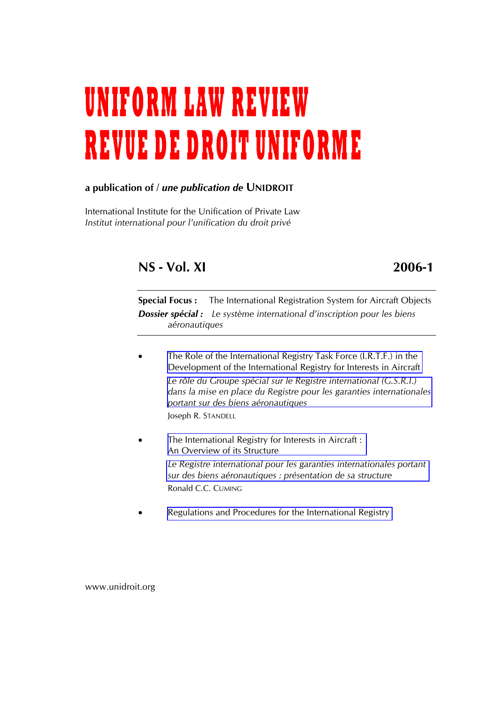# UNIFORM LAW REVIEW REVUE DE DROIT UNIFORME

# **a publication of /** *une publication de* **UNIDROIT**

International Institute for the Unification of Private Law *Institut international pour l'unification du droit privé* 

# **NS - Vol. XI 2006-1**

**Special Focus :** The International Registration System for Aircraft Objects *Dossier spécial : Le système international d'inscription pour les biens aéronautiques*

- The Role of the International Registry Task Force (I.R.T.F.) in the [Development of the International Registry for Interests in Aircraft](#page-3-0)   *Le rôle du Groupe spécial sur le Registre international (G.S.R.I.) [dans la mise en place du Registre pour les garanties internationales](#page-4-0)  portant sur des biens aéronautiques*  Joseph R. STANDELL
- [The International Registry for Interests in Aircraft :](#page-13-0)  An Overview of its Structure  *[Le Registre international pour les garanties internationales portant](#page-14-0)  sur des biens aéronautiques : présentation de sa structure*  Ronald C.C. CUMING
- [Regulations and Procedures for the International Registry](#page-55-0)

www.unidroit.org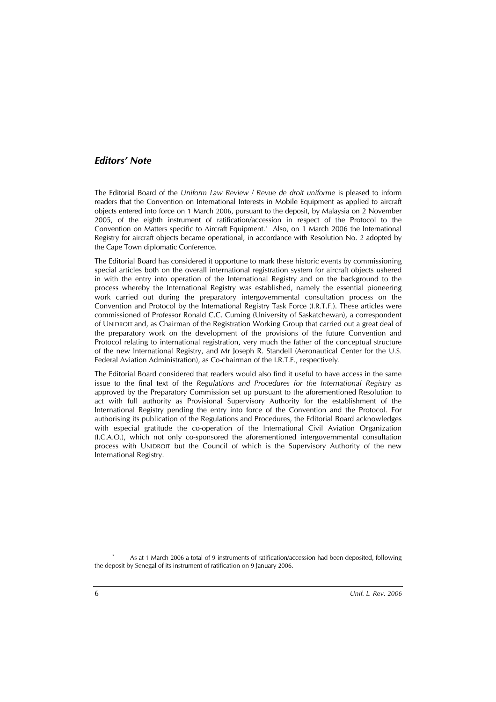## *Editors' Note*

The Editorial Board of the *Uniform Law Review / Revue de droit uniforme* is pleased to inform readers that the Convention on International Interests in Mobile Equipment as applied to aircraft objects entered into force on 1 March 2006, pursuant to the deposit, by Malaysia on 2 November 2005, of the eighth instrument of ratification/accession in respect of the Protocol to the Convention on Matters specific to Aircraft Equipment.\* Also, on 1 March 2006 the International Registry for aircraft objects became operational, in accordance with Resolution No. 2 adopted by the Cape Town diplomatic Conference.

The Editorial Board has considered it opportune to mark these historic events by commissioning special articles both on the overall international registration system for aircraft objects ushered in with the entry into operation of the International Registry and on the background to the process whereby the International Registry was established, namely the essential pioneering work carried out during the preparatory intergovernmental consultation process on the Convention and Protocol by the International Registry Task Force (I.R.T.F.). These articles were commissioned of Professor Ronald C.C. Cuming (University of Saskatchewan), a correspondent of UNIDROIT and, as Chairman of the Registration Working Group that carried out a great deal of the preparatory work on the development of the provisions of the future Convention and Protocol relating to international registration, very much the father of the conceptual structure of the new International Registry, and Mr Joseph R. Standell (Aeronautical Center for the U.S. Federal Aviation Administration), as Co-chairman of the I.R.T.F., respectively.

The Editorial Board considered that readers would also find it useful to have access in the same issue to the final text of the *Regulations and Procedures for the International Registry* as approved by the Preparatory Commission set up pursuant to the aforementioned Resolution to act with full authority as Provisional Supervisory Authority for the establishment of the International Registry pending the entry into force of the Convention and the Protocol. For authorising its publication of the Regulations and Procedures, the Editorial Board acknowledges with especial gratitude the co-operation of the International Civil Aviation Organization (I.C.A.O.), which not only co-sponsored the aforementioned intergovernmental consultation process with UNIDROIT but the Council of which is the Supervisory Authority of the new International Registry.

\* As at 1 March 2006 a total of 9 instruments of ratification/accession had been deposited, following the deposit by Senegal of its instrument of ratification on 9 January 2006.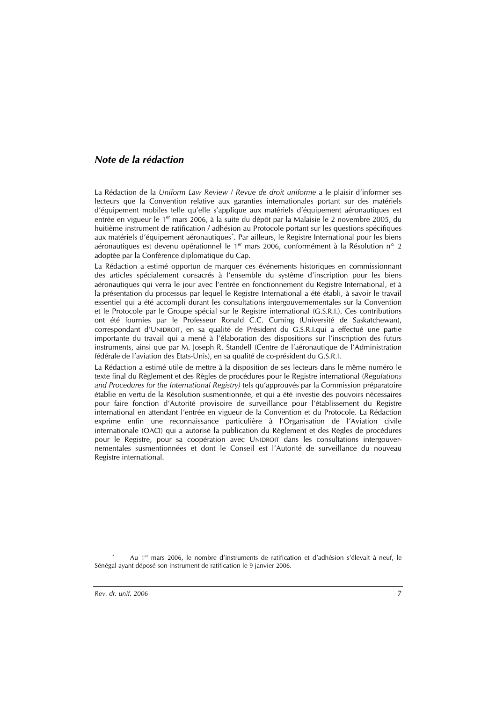# *Note de la rédaction*

La Rédaction de la *Uniform Law Review / Revue de droit uniforme* a le plaisir d'informer ses lecteurs que la Convention relative aux garanties internationales portant sur des matériels d'équipement mobiles telle qu'elle s'applique aux matériels d'équipement aéronautiques est entrée en vigueur le 1<sup>er</sup> mars 2006, à la suite du dépôt par la Malaisie le 2 novembre 2005, du huitième instrument de ratification / adhésion au Protocole portant sur les questions spécifiques aux matériels d'équipement aéronautiques\* . Par ailleurs, le Registre International pour les biens aéronautiques est devenu opérationnel le 1<sup>er</sup> mars 2006, conformément à la Résolution n° 2 adoptée par la Conférence diplomatique du Cap.

La Rédaction a estimé opportun de marquer ces événements historiques en commissionnant des articles spécialement consacrés à l'ensemble du système d'inscription pour les biens aéronautiques qui verra le jour avec l'entrée en fonctionnement du Registre International, et à la présentation du processus par lequel le Registre International a été établi, à savoir le travail essentiel qui a été accompli durant les consultations intergouvernementales sur la Convention et le Protocole par le Groupe spécial sur le Registre international (G.S.R.I.). Ces contributions ont été fournies par le Professeur Ronald C.C. Cuming (Université de Saskatchewan), correspondant d'UNIDROIT, en sa qualité de Président du G.S.R.I.qui a effectué une partie importante du travail qui a mené à l'élaboration des dispositions sur l'inscription des futurs instruments, ainsi que par M. Joseph R. Standell (Centre de l'aéronautique de l'Administration fédérale de l'aviation des Etats-Unis), en sa qualité de co-président du G.S.R.I.

La Rédaction a estimé utile de mettre à la disposition de ses lecteurs dans le même numéro le texte final du Règlement et des Règles de procédures pour le Registre international (*Regulations and Procedures for the International Registry)* tels qu'approuvés par la Commission préparatoire établie en vertu de la Résolution susmentionnée, et qui a été investie des pouvoirs nécessaires pour faire fonction d'Autorité provisoire de surveillance pour l'établissement du Registre international en attendant l'entrée en vigueur de la Convention et du Protocole. La Rédaction exprime enfin une reconnaissance particulière à l'Organisation de l'Aviation civile internationale (OACI) qui a autorisé la publication du Règlement et des Règles de procédures pour le Registre, pour sa coopération avec UNIDROIT dans les consultations intergouvernementales susmentionnées et dont le Conseil est l'Autorité de surveillance du nouveau Registre international.

\* Au 1<sup>er</sup> mars 2006, le nombre d'instruments de ratification et d'adhésion s'élevait à neuf, le Sénégal ayant déposé son instrument de ratification le 9 janvier 2006.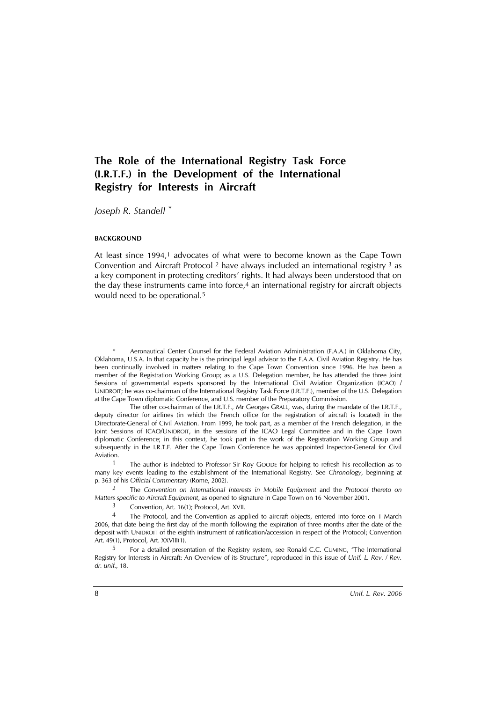# <span id="page-3-0"></span>**The Role of the International Registry Task Force (I.R.T.F.) in the Development of the International Registry for Interests in Aircraft**

*Joseph R. Standell \**

#### **BACKGROUND**

At least since 1994,1 advocates of what were to become known as the Cape Town Convention and Aircraft Protocol 2 have always included an international registry 3 as a key component in protecting creditors' rights. It had always been understood that on the day these instruments came into force, $4$  an international registry for aircraft objects would need to be operational.5

Aeronautical Center Counsel for the Federal Aviation Administration (F.A.A.) in Oklahoma City, Oklahoma, U.S.A. In that capacity he is the principal legal advisor to the F.A.A. Civil Aviation Registry. He has been continually involved in matters relating to the Cape Town Convention since 1996. He has been a member of the Registration Working Group; as a U.S. Delegation member, he has attended the three Joint Sessions of governmental experts sponsored by the International Civil Aviation Organization (ICAO) / UNIDROIT; he was co-chairman of the International Registry Task Force (I.R.T.F.), member of the U.S. Delegation at the Cape Town diplomatic Conference, and U.S. member of the Preparatory Commission.

 The other co-chairman of the I.R.T.F., Mr Georges GRALL, was, during the mandate of the I.R.T.F., deputy director for airlines (in which the French office for the registration of aircraft is located) in the Directorate-General of Civil Aviation. From 1999, he took part, as a member of the French delegation, in the Joint Sessions of ICAO/UNIDROIT, in the sessions of the ICAO Legal Committee and in the Cape Town diplomatic Conference; in this context, he took part in the work of the Registration Working Group and subsequently in the I.R.T.F. After the Cape Town Conference he was appointed Inspector-General for Civil Aviation.

1 The author is indebted to Professor Sir Roy GOODE for helping to refresh his recollection as to many key events leading to the establishment of the International Registry. See *Chronology*, beginning at p. 363 of his *Official Commentary* (Rome, 2002).

2 The *Convention on International Interests in Mobile Equipment* and the *Protocol thereto on Matters specific to Aircraft Equipment*, as opened to signature in Cape Town on 16 November 2001.

3 Convention, Art. 16(1); Protocol, Art. XVII.

<sup>4</sup> The Protocol, and the Convention as applied to aircraft objects, entered into force on 1 March 2006, that date being the first day of the month following the expiration of three months after the date of the deposit with UNIDROIT of the eighth instrument of ratification/accession in respect of the Protocol; Convention Art. 49(1), Protocol, Art. XXVIII(1).

<sup>5</sup> For a detailed presentation of the Registry system, see Ronald C.C. CUMING, "The International Registry for Interests in Aircraft: An Overview of its Structure", reproduced in this issue of *Unif. L. Rev. / Rev. dr. unif.,* 18.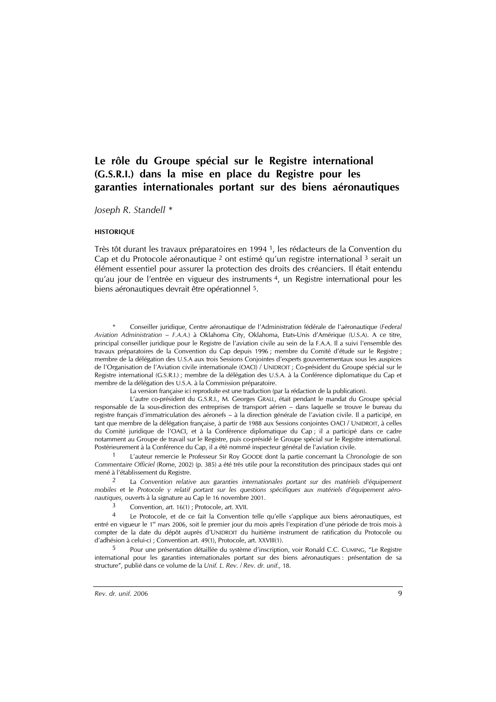# <span id="page-4-0"></span>**Le rôle du Groupe spécial sur le Registre international (G.S.R.I.) dans la mise en place du Registre pour les garanties internationales portant sur des biens aéronautiques**

*Joseph R. Standell \** 

#### **HISTORIQUE**

Très tôt durant les travaux préparatoires en 1994 1, les rédacteurs de la Convention du Cap et du Protocole aéronautique <sup>2</sup> ont estimé qu'un registre international <sup>3</sup> serait un élément essentiel pour assurer la protection des droits des créanciers. Il était entendu qu'au jour de l'entrée en vigueur des instruments 4, un Registre international pour les biens aéronautiques devrait être opérationnel 5.

\* Conseiller juridique, Centre aéronautique de l'Administration fédérale de l'aéronautique (*Federal Aviation Administration – F.A.A.*) à Oklahoma City, Oklahoma, Etats-Unis d'Amérique (U.S.A). A ce titre, principal conseiller juridique pour le Registre de l'aviation civile au sein de la F.A.A. Il a suivi l'ensemble des travaux préparatoires de la Convention du Cap depuis 1996 ; membre du Comité d'étude sur le Registre ; membre de la délégation des U.S.A aux trois Sessions Conjointes d'experts gouvernementaux sous les auspices de l'Organisation de l'Aviation civile internationale (OACI) / UNIDROIT ; Co-président du Groupe spécial sur le Registre international (G.S.R.I.) ; membre de la délégation des U.S.A. à la Conférence diplomatique du Cap et membre de la délégation des U.S.A. à la Commission préparatoire.

La version française ici reproduite est une traduction (par la rédaction de la publication).

 L'autre co-président du G.S.R.I., M. Georges GRALL, était pendant le mandat du Groupe spécial responsable de la sous-direction des entreprises de transport aérien – dans laquelle se trouve le bureau du registre français d'immatriculation des aéronefs – à la direction générale de l'aviation civile. Il a participé, en tant que membre de la délégation française, à partir de 1988 aux Sessions conjointes OACI / UNIDROIT, à celles du Comité juridique de l'OACI, et à la Conférence diplomatique du Cap ; il a participé dans ce cadre notamment au Groupe de travail sur le Registre, puis co-présidé le Groupe spécial sur le Registre international. Postérieurement à la Conférence du Cap, il a été nommé inspecteur général de l'aviation civile.

1 L'auteur remercie le Professeur Sir Roy GOODE dont la partie concernant la *Chronologie* de son *Commentaire Officiel* (Rome, 2002) (p. 385) a été très utile pour la reconstitution des principaux stades qui ont mené à l'établissement du Registre.

2 La *Convention relative aux garanties internationales portant sur des matériels d'équipement mobiles* et le *Protocole y relatif portant sur les questions spécifiques aux matériels d'équipement aéronautiques, ouverts à la signature au Cap le 16 novembre 2001.*<br><sup>3</sup> Convention art 16(1): Protocolo art YVII

Convention, art. 16(1) ; Protocole, art. XVII.

4 Le Protocole, et de ce fait la Convention telle qu'elle s'applique aux biens aéronautiques, est entré en vigueur le 1<sup>er</sup> mars 2006, soit le premier jour du mois après l'expiration d'une période de trois mois à compter de la date du dépôt auprès d'UNIDROIT du huitième instrument de ratification du Protocole ou d'adhésion à celui-ci ; Convention art. 49(1), Protocole, art. XXVIII(1).

5 Pour une présentation détaillée du système d'inscription, voir Ronald C.C. CUMING, "Le Registre international pour les garanties internationales portant sur des biens aéronautiques : présentation de sa structure", publié dans ce volume de la *Unif. L. Rev. / Rev. dr. unif.,* 18.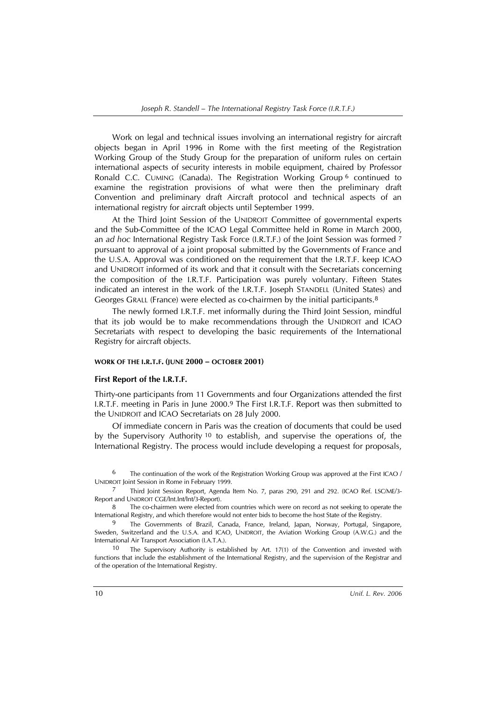Work on legal and technical issues involving an international registry for aircraft objects began in April 1996 in Rome with the first meeting of the Registration Working Group of the Study Group for the preparation of uniform rules on certain international aspects of security interests in mobile equipment, chaired by Professor Ronald C.C. CUMING (Canada). The Registration Working Group 6 continued to examine the registration provisions of what were then the preliminary draft Convention and preliminary draft Aircraft protocol and technical aspects of an international registry for aircraft objects until September 1999.

At the Third Joint Session of the UNIDROIT Committee of governmental experts and the Sub-Committee of the ICAO Legal Committee held in Rome in March 2000, an *ad hoc* International Registry Task Force (I.R.T.F.) of the Joint Session was formed 7 pursuant to approval of a joint proposal submitted by the Governments of France and the U.S.A. Approval was conditioned on the requirement that the I.R.T.F. keep ICAO and UNIDROIT informed of its work and that it consult with the Secretariats concerning the composition of the I.R.T.F. Participation was purely voluntary. Fifteen States indicated an interest in the work of the I.R.T.F. Joseph STANDELL (United States) and Georges GRALL (France) were elected as co-chairmen by the initial participants.8

The newly formed I.R.T.F. met informally during the Third Joint Session, mindful that its job would be to make recommendations through the UNIDROIT and ICAO Secretariats with respect to developing the basic requirements of the International Registry for aircraft objects.

#### **WORK OF THE I.R.T.F. (JUNE 2000 – OCTOBER 2001)**

#### **First Report of the I.R.T.F.**

Thirty-one participants from 11 Governments and four Organizations attended the first I.R.T.F. meeting in Paris in June 2000.9 The First I.R.T.F. Report was then submitted to the UNIDROIT and ICAO Secretariats on 28 July 2000.

Of immediate concern in Paris was the creation of documents that could be used by the Supervisory Authority 10 to establish, and supervise the operations of, the International Registry. The process would include developing a request for proposals,

<sup>6</sup> The continuation of the work of the Registration Working Group was approved at the First ICAO / UNIDROIT Joint Session in Rome in February 1999.

<sup>7</sup> Third Joint Session Report, Agenda Item No. 7, paras 290, 291 and 292. (ICAO Ref. LSC/ME/3- Report and UNIDROIT CGE/Int.Int/Int/3-Report).

<sup>8</sup> The co-chairmen were elected from countries which were on record as not seeking to operate the International Registry, and which therefore would not enter bids to become the host State of the Registry.

<sup>9</sup> The Governments of Brazil, Canada, France, Ireland, Japan, Norway, Portugal, Singapore, Sweden, Switzerland and the U.S.A. and ICAO, UNIDROIT, the Aviation Working Group (A.W.G.) and the International Air Transport Association (I.A.T.A.).

<sup>10</sup> The Supervisory Authority is established by Art. 17(1) of the Convention and invested with functions that include the establishment of the International Registry, and the supervision of the Registrar and of the operation of the International Registry.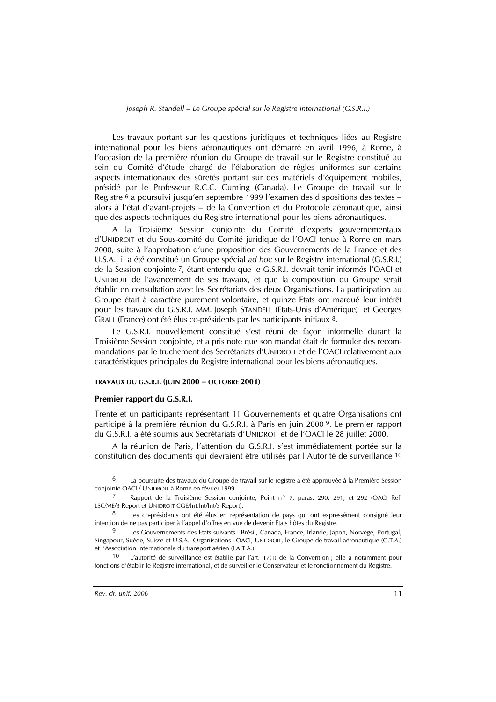Les travaux portant sur les questions juridiques et techniques liées au Registre international pour les biens aéronautiques ont démarré en avril 1996, à Rome, à l'occasion de la première réunion du Groupe de travail sur le Registre constitué au sein du Comité d'étude chargé de l'élaboration de règles uniformes sur certains aspects internationaux des sûretés portant sur des matériels d'équipement mobiles, présidé par le Professeur R.C.C. Cuming (Canada). Le Groupe de travail sur le Registre 6 a poursuivi jusqu'en septembre 1999 l'examen des dispositions des textes – alors à l'état d'avant-projets – de la Convention et du Protocole aéronautique, ainsi que des aspects techniques du Registre international pour les biens aéronautiques.

A la Troisième Session conjointe du Comité d'experts gouvernementaux d'UNIDROIT et du Sous-comité du Comité juridique de l'OACI tenue à Rome en mars 2000, suite à l'approbation d'une proposition des Gouvernements de la France et des U.S.A., il a été constitué un Groupe spécial *ad hoc* sur le Registre international (G.S.R.I.) de la Session conjointe 7, étant entendu que le G.S.R.I. devrait tenir informés l'OACI et UNIDROIT de l'avancement de ses travaux, et que la composition du Groupe serait établie en consultation avec les Secrétariats des deux Organisations. La participation au Groupe était à caractère purement volontaire, et quinze Etats ont marqué leur intérêt pour les travaux du G.S.R.I. MM. Joseph STANDELL (Etats-Unis d'Amérique) et Georges GRALL (France) ont été élus co-présidents par les participants initiaux 8.

Le G.S.R.I. nouvellement constitué s'est réuni de façon informelle durant la Troisième Session conjointe, et a pris note que son mandat était de formuler des recommandations par le truchement des Secrétariats d'UNIDROIT et de l'OACI relativement aux caractéristiques principales du Registre international pour les biens aéronautiques.

#### **TRAVAUX DU G.S.R.I. (JUIN 2000 – OCTOBRE 2001)**

#### **Premier rapport du G.S.R.I.**

Trente et un participants représentant 11 Gouvernements et quatre Organisations ont participé à la première réunion du G.S.R.I. à Paris en juin 2000 9. Le premier rapport du G.S.R.I. a été soumis aux Secrétariats d'UNIDROIT et de l'OACI le 28 juillet 2000.

A la réunion de Paris, l'attention du G.S.R.I. s'est immédiatement portée sur la constitution des documents qui devraient être utilisés par l'Autorité de surveillance 10

7 Rapport de la Troisième Session conjointe, Point n° 7, paras. 290, 291, et 292 (OACI Ref. LSC/ME/3-Report et UNIDROIT CGE/Int.Int/Int/3-Report).

8 Les co-présidents ont été élus en représentation de pays qui ont expressément consigné leur intention de ne pas participer à l'appel d'offres en vue de devenir Etats hôtes du Registre.

9 Les Gouvernements des Etats suivants : Brésil, Canada, France, Irlande, Japon, Norvège, Portugal, Singapour, Suède, Suisse et U.S.A.; Organisations : OACI, UNIDROIT, le Groupe de travail aéronautique (G.T.A.) et l'Association internationale du transport aérien (I.A.T.A.).

L'autorité de surveillance est établie par l'art. 17(1) de la Convention ; elle a notamment pour fonctions d'établir le Registre international, et de surveiller le Conservateur et le fonctionnement du Registre.

<sup>6</sup> La poursuite des travaux du Groupe de travail sur le registre a été approuvée à la Première Session conjointe OACI / UNIDROIT à Rome en février 1999.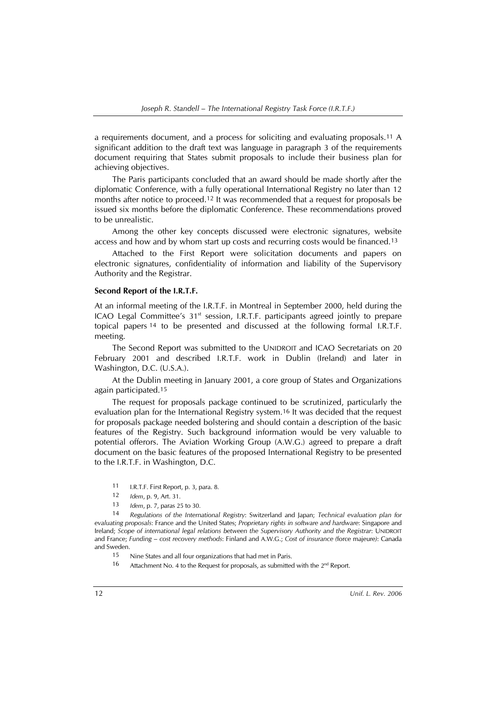a requirements document, and a process for soliciting and evaluating proposals.11 A significant addition to the draft text was language in paragraph 3 of the requirements document requiring that States submit proposals to include their business plan for achieving objectives.

The Paris participants concluded that an award should be made shortly after the diplomatic Conference, with a fully operational International Registry no later than 12 months after notice to proceed.12 It was recommended that a request for proposals be issued six months before the diplomatic Conference. These recommendations proved to be unrealistic.

Among the other key concepts discussed were electronic signatures, website access and how and by whom start up costs and recurring costs would be financed.<sup>13</sup>

Attached to the First Report were solicitation documents and papers on electronic signatures, confidentiality of information and liability of the Supervisory Authority and the Registrar.

#### **Second Report of the I.R.T.F.**

At an informal meeting of the I.R.T.F. in Montreal in September 2000, held during the ICAO Legal Committee's  $31<sup>st</sup>$  session, I.R.T.F. participants agreed jointly to prepare topical papers 14 to be presented and discussed at the following formal I.R.T.F. meeting.

The Second Report was submitted to the UNIDROIT and ICAO Secretariats on 20 February 2001 and described I.R.T.F. work in Dublin (Ireland) and later in Washington, D.C. (U.S.A.).

At the Dublin meeting in January 2001, a core group of States and Organizations again participated.15

The request for proposals package continued to be scrutinized, particularly the evaluation plan for the International Registry system.16 It was decided that the request for proposals package needed bolstering and should contain a description of the basic features of the Registry. Such background information would be very valuable to potential offerors. The Aviation Working Group (A.W.G.) agreed to prepare a draft document on the basic features of the proposed International Registry to be presented to the I.R.T.F. in Washington, D.C.

- 11 I.R.T.F. First Report, p. 3, para. 8.
- 12 *Idem*, p. 9, Art. 31.
- 13 *Idem*, p. 7, paras 25 to 30.

14 *Regulations of the International Registry*: Switzerland and Japan; *Technical evaluation plan for evaluating proposals*: France and the United States; *Proprietary rights in software and hardware*: Singapore and Ireland; *Scope of international legal relations between the Supervisory Authority and the Registrar*: UNIDROIT and France; *Funding – cost recovery methods*: Finland and A.W.G.; *Cost of insurance (*force majeure*)*: Canada and Sweden.

15 Nine States and all four organizations that had met in Paris.

16 Attachment No. 4 to the Request for proposals, as submitted with the  $2^{nd}$  Report.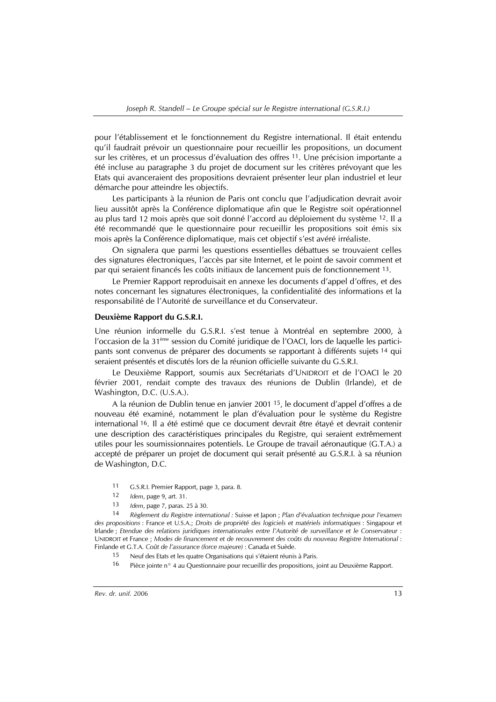pour l'établissement et le fonctionnement du Registre international. Il était entendu qu'il faudrait prévoir un questionnaire pour recueillir les propositions, un document sur les critères, et un processus d'évaluation des offres 11. Une précision importante a été incluse au paragraphe 3 du projet de document sur les critères prévoyant que les Etats qui avanceraient des propositions devraient présenter leur plan industriel et leur démarche pour atteindre les objectifs.

Les participants à la réunion de Paris ont conclu que l'adjudication devrait avoir lieu aussitôt après la Conférence diplomatique afin que le Registre soit opérationnel au plus tard 12 mois après que soit donné l'accord au déploiement du système 12. Il a été recommandé que le questionnaire pour recueillir les propositions soit émis six mois après la Conférence diplomatique, mais cet objectif s'est avéré irréaliste.

On signalera que parmi les questions essentielles débattues se trouvaient celles des signatures électroniques, l'accès par site Internet, et le point de savoir comment et par qui seraient financés les coûts initiaux de lancement puis de fonctionnement 13.

Le Premier Rapport reproduisait en annexe les documents d'appel d'offres, et des notes concernant les signatures électroniques, la confidentialité des informations et la responsabilité de l'Autorité de surveillance et du Conservateur.

#### **Deuxième Rapport du G.S.R.I.**

Une réunion informelle du G.S.R.I. s'est tenue à Montréal en septembre 2000, à l'occasion de la 31<sup>ème</sup> session du Comité juridique de l'OACI, lors de laquelle les participants sont convenus de préparer des documents se rapportant à différents sujets 14 qui seraient présentés et discutés lors de la réunion officielle suivante du G.S.R.I.

Le Deuxième Rapport, soumis aux Secrétariats d'UNIDROIT et de l'OACI le 20 février 2001, rendait compte des travaux des réunions de Dublin (Irlande), et de Washington, D.C. (U.S.A.).

A la réunion de Dublin tenue en janvier 2001 15, le document d'appel d'offres a de nouveau été examiné, notamment le plan d'évaluation pour le système du Registre international 16. Il a été estimé que ce document devrait être étayé et devrait contenir une description des caractéristiques principales du Registre, qui seraient extrêmement utiles pour les soumissionnaires potentiels. Le Groupe de travail aéronautique (G.T.A.) a accepté de préparer un projet de document qui serait présenté au G.S.R.I. à sa réunion de Washington, D.C.

- 11 G.S.R.I. Premier Rapport, page 3, para. 8.
- 12 *Idem*, page 9, art. 31.
- 13 *Idem*, page 7, paras. 25 à 30.

14 *Règlement du Registre international :* Suisse et Japon ; *Plan d'évaluation technique pour l'examen des propositions* : France et U.S.A.; *Droits de propriété des logiciels et matériels informatiques* : Singapour et Irlande ; *Etendue des relations juridiques internationales entre l'Autorité de surveillance et le Conservateur* : UNIDROIT et France ; *Modes de financement et de recouvrement des coûts du nouveau Registre International* : Finlande et G.T.A. *Coût de l'assurance (force majeure)* : Canada et Suède.

- 15 Neuf des Etats et les quatre Organisations qui s'étaient réunis à Paris.
- 16 Pièce jointe n° 4 au Questionnaire pour recueillir des propositions, joint au Deuxième Rapport.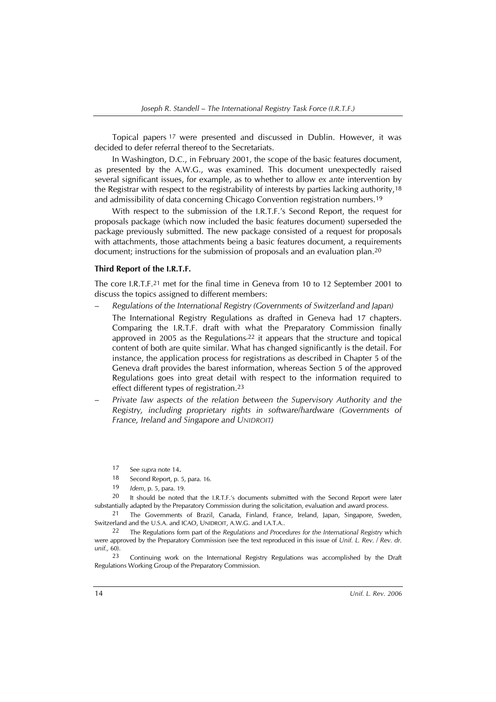Topical papers 17 were presented and discussed in Dublin. However, it was decided to defer referral thereof to the Secretariats.

In Washington, D.C., in February 2001, the scope of the basic features document, as presented by the A.W.G., was examined. This document unexpectedly raised several significant issues, for example, as to whether to allow *ex ante* intervention by the Registrar with respect to the registrability of interests by parties lacking authority,18 and admissibility of data concerning Chicago Convention registration numbers.19

With respect to the submission of the I.R.T.F.'s Second Report, the request for proposals package (which now included the basic features document) superseded the package previously submitted. The new package consisted of a request for proposals with attachments, those attachments being a basic features document, a requirements document; instructions for the submission of proposals and an evaluation plan.<sup>20</sup>

#### **Third Report of the I.R.T.F.**

The core I.R.T.F.21 met for the final time in Geneva from 10 to 12 September 2001 to discuss the topics assigned to different members:

- *Regulations of the International Registry (Governments of Switzerland and Japan)*
- The International Registry Regulations as drafted in Geneva had 17 chapters. Comparing the I.R.T.F. draft with what the Preparatory Commission finally approved in 2005 as the Regulations, $22$  it appears that the structure and topical content of both are quite similar. What has changed significantly is the detail. For instance, the application process for registrations as described in Chapter 5 of the Geneva draft provides the barest information, whereas Section 5 of the approved Regulations goes into great detail with respect to the information required to effect different types of registration.23
- *Private law aspects of the relation between the Supervisory Authority and the Registry, including proprietary rights in software/hardware (Governments of France, Ireland and Singapore and UNIDROIT)*

- 18 Second Report, p. 5, para. 16.<br>19 Idam n 5, para. 19
- 19 *Idem*, p. 5, para. 19.

It should be noted that the I.R.T.F.'s documents submitted with the Second Report were later substantially adapted by the Preparatory Commission during the solicitation, evaluation and award process.

21 The Governments of Brazil, Canada, Finland, France, Ireland, Japan, Singapore, Sweden, Switzerland and the U.S.A. and ICAO, UNIDROIT, A.W.G. and I.A.T.A..

22 The Regulations form part of the *Regulations and Procedures for the International Registry* which were approved by the Preparatory Commission (see the text reproduced in this issue of *Unif. L. Rev. / Rev. dr. unif.,* 60).

23 Continuing work on the International Registry Regulations was accomplished by the Draft Regulations Working Group of the Preparatory Commission.

<sup>17</sup> See *supra* note 14.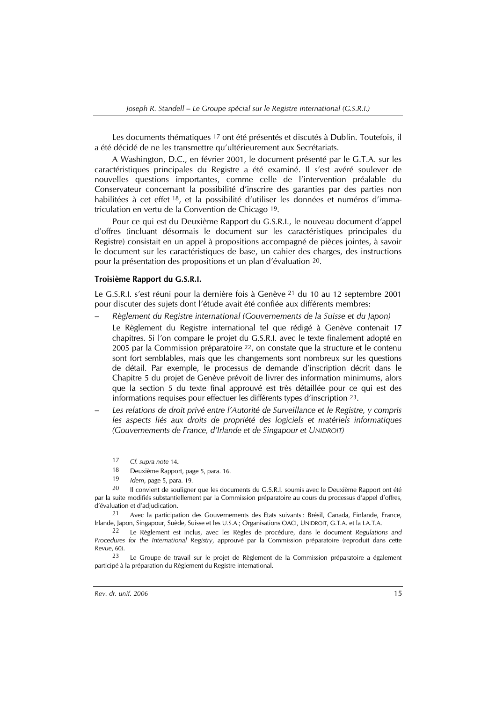Les documents thématiques <sup>17</sup> ont été présentés et discutés à Dublin. Toutefois, il a été décidé de ne les transmettre qu'ultérieurement aux Secrétariats.

A Washington, D.C., en février 2001, le document présenté par le G.T.A. sur les caractéristiques principales du Registre a été examiné. Il s'est avéré soulever de nouvelles questions importantes, comme celle de l'intervention préalable du Conservateur concernant la possibilité d'inscrire des garanties par des parties non habilitées à cet effet 18, et la possibilité d'utiliser les données et numéros d'immatriculation en vertu de la Convention de Chicago 19.

Pour ce qui est du Deuxième Rapport du G.S.R.I., le nouveau document d'appel d'offres (incluant désormais le document sur les caractéristiques principales du Registre) consistait en un appel à propositions accompagné de pièces jointes, à savoir le document sur les caractéristiques de base, un cahier des charges, des instructions pour la présentation des propositions et un plan d'évaluation 20.

#### **Troisième Rapport du G.S.R.I.**

Le G.S.R.I. s'est réuni pour la dernière fois à Genève 21 du 10 au 12 septembre 2001 pour discuter des sujets dont l'étude avait été confiée aux différents membres:

- *Règlement du Registre international (Gouvernements de la Suisse et du Japon)* 
	- Le Règlement du Registre international tel que rédigé à Genève contenait 17 chapitres. Si l'on compare le projet du G.S.R.I. avec le texte finalement adopté en 2005 par la Commission préparatoire 22, on constate que la structure et le contenu sont fort semblables, mais que les changements sont nombreux sur les questions de détail. Par exemple, le processus de demande d'inscription décrit dans le Chapitre 5 du projet de Genève prévoit de livrer des information minimums, alors que la section 5 du texte final approuvé est très détaillée pour ce qui est des informations requises pour effectuer les différents types d'inscription 23.
- *Les relations de droit privé entre l'Autorité de Surveillance et le Registre, y compris*  les aspects liés aux droits de propriété des logiciels et matériels informatiques *(Gouvernements de France, d'Irlande et de Singapour et UNIDROIT)* 
	- 17 *Cf. supra note* 14.
	- 18 Deuxième Rapport, page 5, para. 16.
	- 19 *Idem*, page 5, para. 19.

20 Il convient de souligner que les documents du G.S.R.I. soumis avec le Deuxième Rapport ont été par la suite modifiés substantiellement par la Commission préparatoire au cours du processus d'appel d'offres, d'évaluation et d'adjudication.

21 Avec la participation des Gouvernements des Etats suivants : Brésil, Canada, Finlande, France, Irlande, Japon, Singapour, Suède, Suisse et les U.S.A.; Organisations OACI, UNIDROIT, G.T.A. et la I.A.T.A.

22 Le Règlement est inclus, avec les Règles de procédure, dans le document *Regulations and Procedures for the International Registry*, approuvé par la Commission préparatoire (reproduit dans cette *Revue*, 60).

<sup>23</sup> Le Groupe de travail sur le projet de Règlement de la Commission préparatoire a également participé à la préparation du Règlement du Registre international.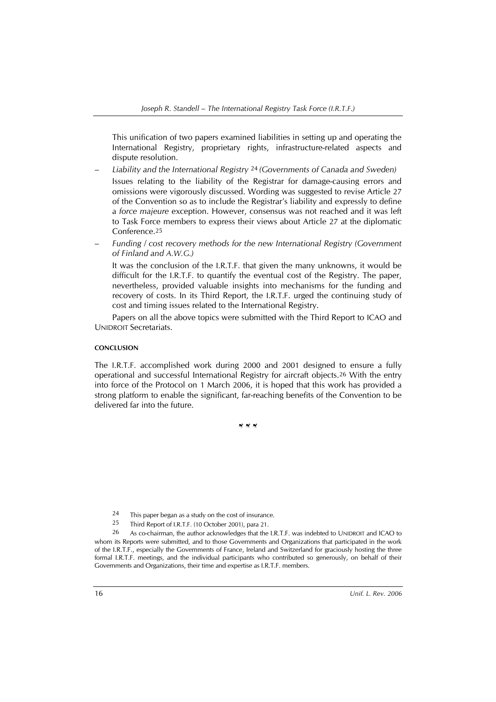This unification of two papers examined liabilities in setting up and operating the International Registry, proprietary rights, infrastructure-related aspects and dispute resolution.

- *Liability and the International Registry* 24 *(Governments of Canada and Sweden)*  Issues relating to the liability of the Registrar for damage-causing errors and omissions were vigorously discussed. Wording was suggested to revise Article 27 of the Convention so as to include the Registrar's liability and expressly to define a *force majeure* exception. However, consensus was not reached and it was left to Task Force members to express their views about Article 27 at the diplomatic Conference.25
- *Funding / cost recovery methods for the new International Registry (Government of Finland and A.W.G.)*

It was the conclusion of the I.R.T.F. that given the many unknowns, it would be difficult for the I.R.T.F. to quantify the eventual cost of the Registry. The paper, nevertheless, provided valuable insights into mechanisms for the funding and recovery of costs. In its Third Report, the I.R.T.F. urged the continuing study of cost and timing issues related to the International Registry.

Papers on all the above topics were submitted with the Third Report to ICAO and UNIDROIT Secretariats.

#### **CONCLUSION**

The I.R.T.F. accomplished work during 2000 and 2001 designed to ensure a fully operational and successful International Registry for aircraft objects.26 With the entry into force of the Protocol on 1 March 2006, it is hoped that this work has provided a strong platform to enable the significant, far-reaching benefits of the Convention to be delivered far into the future.

\* \* \*

25 Third Report of I.R.T.F. (10 October 2001), para 21.

26 As co-chairman, the author acknowledges that the I.R.T.F. was indebted to UNIDROIT and ICAO to whom its Reports were submitted, and to those Governments and Organizations that participated in the work of the I.R.T.F., especially the Governments of France, Ireland and Switzerland for graciously hosting the three formal I.R.T.F. meetings, and the individual participants who contributed so generously, on behalf of their Governments and Organizations, their time and expertise as I.R.T.F. members.

<sup>24</sup> This paper began as a study on the cost of insurance.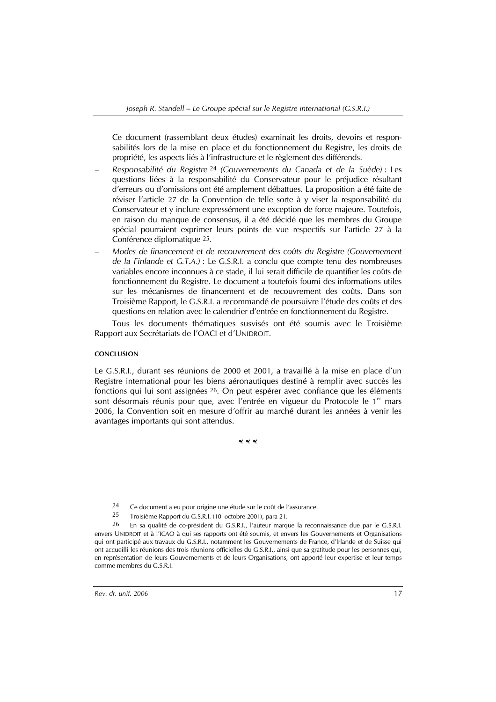Ce document (rassemblant deux études) examinait les droits, devoirs et responsabilités lors de la mise en place et du fonctionnement du Registre, les droits de propriété, les aspects liés à l'infrastructure et le règlement des différends.

- *Responsabilité du Registre* 24 *(Gouvernements du Canada et de la Suède)* : Les questions liées à la responsabilité du Conservateur pour le préjudice résultant d'erreurs ou d'omissions ont été amplement débattues. La proposition a été faite de réviser l'article 27 de la Convention de telle sorte à y viser la responsabilité du Conservateur et y inclure expressément une exception de force majeure. Toutefois, en raison du manque de consensus, il a été décidé que les membres du Groupe spécial pourraient exprimer leurs points de vue respectifs sur l'article 27 à la Conférence diplomatique 25.
- *Modes de financement et de recouvrement des coûts du Registre (Gouvernement de la Finlande et G.T.A.)* : Le G.S.R.I. a conclu que compte tenu des nombreuses variables encore inconnues à ce stade, il lui serait difficile de quantifier les coûts de fonctionnement du Registre. Le document a toutefois fourni des informations utiles sur les mécanismes de financement et de recouvrement des coûts. Dans son Troisième Rapport, le G.S.R.I. a recommandé de poursuivre l'étude des coûts et des questions en relation avec le calendrier d'entrée en fonctionnement du Registre.

Tous les documents thématiques susvisés ont été soumis avec le Troisième Rapport aux Secrétariats de l'OACI et d'UNIDROIT.

#### **CONCLUSION**

Le G.S.R.I., durant ses réunions de 2000 et 2001, a travaillé à la mise en place d'un Registre international pour les biens aéronautiques destiné à remplir avec succès les fonctions qui lui sont assignées 26. On peut espérer avec confiance que les éléments sont désormais réunis pour que, avec l'entrée en vigueur du Protocole le 1<sup>er</sup> mars 2006, la Convention soit en mesure d'offrir au marché durant les années à venir les avantages importants qui sont attendus.

.<br>ನ ನ ನ

25 Troisième Rapport du G.S.R.I. (10 octobre 2001), para 21.

26 En sa qualité de co-président du G.S.R.I., l'auteur marque la reconnaissance due par le G.S.R.I. envers UNIDROIT et à l'ICAO à qui ses rapports ont été soumis, et envers les Gouvernements et Organisations qui ont participé aux travaux du G.S.R.I., notamment les Gouvernements de France, d'Irlande et de Suisse qui ont accueilli les réunions des trois réunions officielles du G.S.R.I., ainsi que sa gratitude pour les personnes qui, en représentation de leurs Gouvernements et de leurs Organisations, ont apporté leur expertise et leur temps comme membres du G.S.R.I.

<sup>24</sup> Ce document a eu pour origine une étude sur le coût de l'assurance.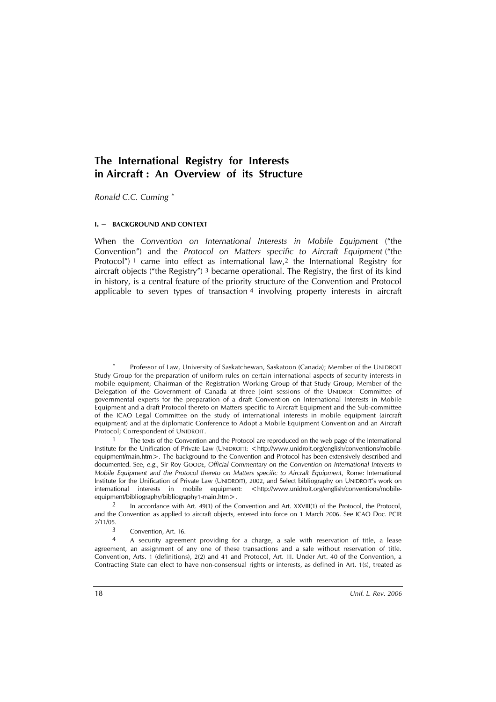# <span id="page-13-0"></span>**The International Registry for Interests in Aircraft : An Overview of its Structure**

*Ronald C.C. Cuming* \*

#### **I.** – **BACKGROUND AND CONTEXT**

When the *Convention on International Interests in Mobile Equipment* ("the Convention") and the *Protocol on Matters specific to Aircraft Equipment* ("the Protocol")<sup>1</sup> came into effect as international law,<sup>2</sup> the International Registry for aircraft objects ("the Registry") 3 became operational. The Registry, the first of its kind in history, is a central feature of the priority structure of the Convention and Protocol applicable to seven types of transaction 4 involving property interests in aircraft

1 The texts of the Convention and the Protocol are reproduced on the web page of the International Institute for the Unification of Private Law (UNIDROIT): <http://www.unidroit.org/english/conventions/mobileequipment/main.htm>. The background to the Convention and Protocol has been extensively described and documented. See, *e.g*., Sir Roy GOODE, *Official Commentary on the Convention on International Interests in Mobile Equipment and the Protocol thereto on Matters specific to Aircraft Equipment*, Rome: International Institute for the Unification of Private Law (UNIDROIT), 2002, and Select bibliography on UNIDROIT's work on international interests in mobile equipment: <http://www.unidroit.org/english/conventions/mobileequipment/bibliography/bibliography1-main.htm>.

2 In accordance with Art. 49(1) of the Convention and Art. XXVIII(1) of the Protocol, the Protocol, and the Convention as applied to aircraft objects, entered into force on 1 March 2006. See ICAO Doc. PCIR 2/11/05.

3 Convention, Art. 16.

4 A security agreement providing for a charge, a sale with reservation of title, a lease agreement, an assignment of any one of these transactions and a sale without reservation of title. Convention, Arts. 1 (definitions), 2(2) and 41 and Protocol, Art. III. Under Art. 40 of the Convention, a Contracting State can elect to have non-consensual rights or interests, as defined in Art. 1(s), treated as

Professor of Law, University of Saskatchewan, Saskatoon (Canada); Member of the UNIDROIT Study Group for the preparation of uniform rules on certain international aspects of security interests in mobile equipment; Chairman of the Registration Working Group of that Study Group; Member of the Delegation of the Government of Canada at three Joint sessions of the UNIDROIT Committee of governmental experts for the preparation of a draft Convention on International Interests in Mobile Equipment and a draft Protocol thereto on Matters specific to Aircraft Equipment and the Sub-committee of the ICAO Legal Committee on the study of international interests in mobile equipment (aircraft equipment) and at the diplomatic Conference to Adopt a Mobile Equipment Convention and an Aircraft Protocol; Correspondent of UNIDROIT.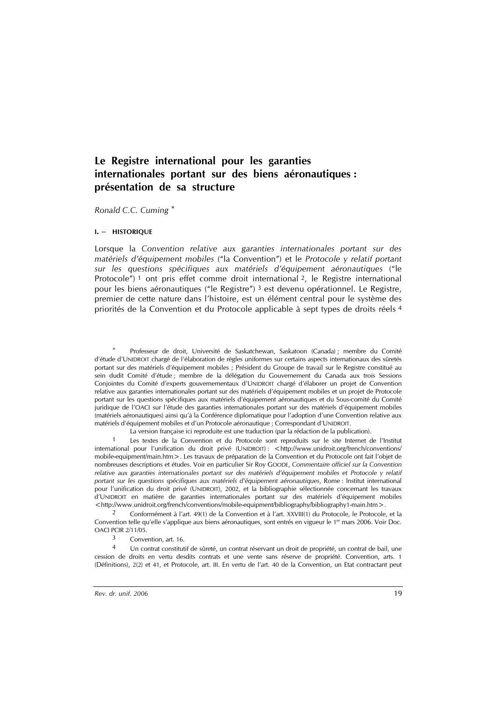# <span id="page-14-0"></span>**Le Registre international pour les garanties internationales portant sur des biens aéronautiques : présentation de sa structure**

*Ronald C.C. Cuming* \*

#### **I.** – **HISTORIQUE**

Lorsque la *Convention relative aux garanties internationales portant sur des matériels d'équipement mobiles* ("la Convention") et le *Protocole y relatif portant sur les questions spécifiques aux matériels d'équipement aéronautiques* ("le Protocole") 1 ont pris effet comme droit international 2, le Registre international pour les biens aéronautiques ("le Registre") 3 est devenu opérationnel. Le Registre, premier de cette nature dans l'histoire, est un élément central pour le système des priorités de la Convention et du Protocole applicable à sept types de droits réels 4

Professeur de droit, Université de Saskatchewan, Saskatoon (Canada) ; membre du Comité d'étude d'UNIDROIT chargé de l'élaboration de règles uniformes sur certains aspects internationaux des sûretés portant sur des matériels d'équipement mobiles ; Président du Groupe de travail sur le Registre constitué au sein dudit Comité d'étude ; membre de la délégation du Gouvernement du Canada aux trois Sessions Conjointes du Comité d'experts gouvernementaux d'UNIDROIT chargé d'élaborer un projet de Convention relative aux garanties internationales portant sur des matériels d'équipement mobiles et un projet de Protocole portant sur les questions spécifiques aux matériels d'équipement aéronautiques et du Sous-comité du Comité juridique de l'OACI sur l'étude des garanties internationales portant sur des matériels d'équipement mobiles (matériels aéronautiques) ainsi qu'à la Conférence diplomatique pour l'adoption d'une Convention relative aux matériels d'équipement mobiles et d'un Protocole aéronautique ; Correspondant d'UNIDROIT.

La version française ici reproduite est une traduction (par la rédaction de la publication).

1 Les textes de la Convention et du Protocole sont reproduits sur le site Internet de l'Institut international pour l'unification du droit privé (UNIDROIT) : < http://www.unidroit.org/french/conventions/ mobile-equipment/main.htm>. Les travaux de préparation de la Convention et du Protocole ont fait l'objet de nombreuses descriptions et études. Voir en particulier Sir Roy GOODE, *Commentaire officiel sur la Convention relative aux garanties internationales portant sur des matériels d'équipement mobiles et Protocole y relatif portant sur les questions spécifiques aux matériels d'équipement aéronautiques*, Rome : Institut international pour l'unification du droit privé (UNIDROIT), 2002, et la bibliographie sélectionnée concernant les travaux d'UNIDROIT en matière de garanties internationales portant sur des matériels d'équipement mobiles <http://www.unidroit.org/french/conventions/mobile-equipment/bibliography/bibliography1-main.htm>.

2 Conformément à l'art. 49(1) de la Convention et à l'art. XXVIII(1) du Protocole, le Protocole, et la Convention telle qu'elle s'applique aux biens aéronautiques, sont entrés en vigueur le 1<sup>er</sup> mars 2006. Voir Doc. OACI PCIR 2/11/05.

3 Convention, art. 16.

4 Un contrat constitutif de sûreté, un contrat réservant un droit de propriété, un contrat de bail, une cession de droits en vertu desdits contrats et une vente sans réserve de propriété. Convention, arts. 1 (Définitions), 2(2) et 41, et Protocole, art. III. En vertu de l'art. 40 de la Convention, un Etat contractant peut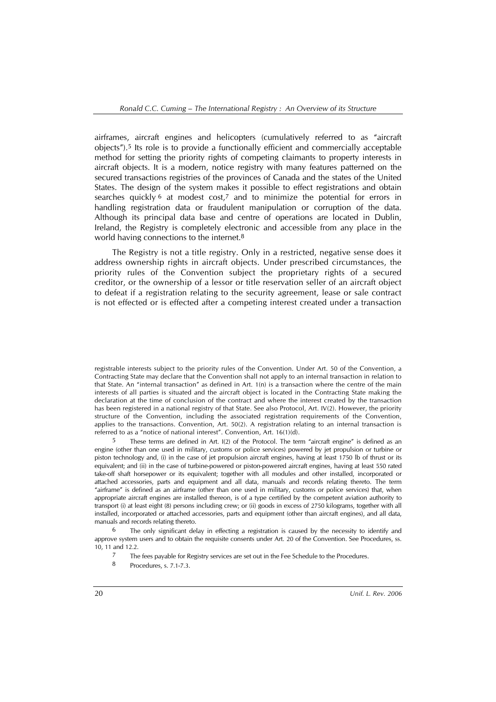airframes, aircraft engines and helicopters (cumulatively referred to as "aircraft objects").5 Its role is to provide a functionally efficient and commercially acceptable method for setting the priority rights of competing claimants to property interests in aircraft objects. It is a modern, notice registry with many features patterned on the secured transactions registries of the provinces of Canada and the states of the United States. The design of the system makes it possible to effect registrations and obtain searches quickly <sup>6</sup> at modest cost,<sup>7</sup> and to minimize the potential for errors in handling registration data or fraudulent manipulation or corruption of the data. Although its principal data base and centre of operations are located in Dublin, Ireland, the Registry is completely electronic and accessible from any place in the world having connections to the internet.8

The Registry is not a title registry. Only in a restricted, negative sense does it address ownership rights in aircraft objects. Under prescribed circumstances, the priority rules of the Convention subject the proprietary rights of a secured creditor, or the ownership of a lessor or title reservation seller of an aircraft object to defeat if a registration relating to the security agreement, lease or sale contract is not effected or is effected after a competing interest created under a transaction

 $5$  These terms are defined in Art. I(2) of the Protocol. The term "aircraft engine" is defined as an engine (other than one used in military, customs or police services) powered by jet propulsion or turbine or piston technology and, (i) in the case of jet propulsion aircraft engines, having at least 1750 lb of thrust or its equivalent; and (ii) in the case of turbine-powered or piston-powered aircraft engines, having at least 550 rated take-off shaft horsepower or its equivalent; together with all modules and other installed, incorporated or attached accessories, parts and equipment and all data, manuals and records relating thereto. The term "airframe" is defined as an airframe (other than one used in military, customs or police services) that, when appropriate aircraft engines are installed thereon, is of a type certified by the competent aviation authority to transport (i) at least eight (8) persons including crew; or (ii) goods in excess of 2750 kilograms, together with all installed, incorporated or attached accessories, parts and equipment (other than aircraft engines), and all data, manuals and records relating thereto.

6 The only significant delay in effecting a registration is caused by the necessity to identify and approve system users and to obtain the requisite consents under Art. 20 of the Convention. See Procedures, ss. 10, 11 and 12.2.

8 Procedures, s. 7.1-7.3.

registrable interests subject to the priority rules of the Convention. Under Art. 50 of the Convention, a Contracting State may declare that the Convention shall not apply to an internal transaction in relation to that State. An "internal transaction" as defined in Art. 1(n) is a transaction where the centre of the main interests of all parties is situated and the aircraft object is located in the Contracting State making the declaration at the time of conclusion of the contract and where the interest created by the transaction has been registered in a national registry of that State. See also Protocol, Art. IV(2). However, the priority structure of the Convention, including the associated registration requirements of the Convention, applies to the transactions. Convention, Art. 50(2). A registration relating to an internal transaction is referred to as a "notice of national interest". Convention, Art. 16(1)(d).

The fees payable for Registry services are set out in the Fee Schedule to the Procedures.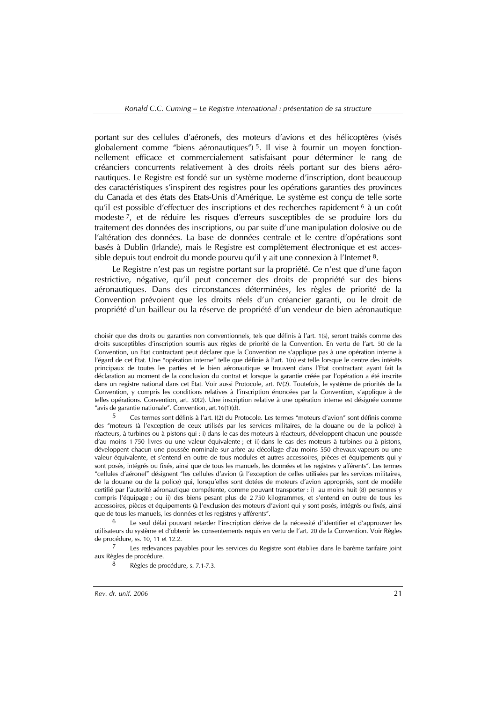portant sur des cellules d'aéronefs, des moteurs d'avions et des hélicoptères (visés globalement comme "biens aéronautiques") 5. Il vise à fournir un moyen fonctionnellement efficace et commercialement satisfaisant pour déterminer le rang de créanciers concurrents relativement à des droits réels portant sur des biens aéronautiques. Le Registre est fondé sur un système moderne d'inscription, dont beaucoup des caractéristiques s'inspirent des registres pour les opérations garanties des provinces du Canada et des états des Etats-Unis d'Amérique. Le système est conçu de telle sorte qu'il est possible d'effectuer des inscriptions et des recherches rapidement 6 à un coût modeste 7, et de réduire les risques d'erreurs susceptibles de se produire lors du traitement des données des inscriptions, ou par suite d'une manipulation dolosive ou de l'altération des données. La base de données centrale et le centre d'opérations sont basés à Dublin (Irlande), mais le Registre est complètement électronique et est accessible depuis tout endroit du monde pourvu qu'il y ait une connexion à l'Internet 8.

Le Registre n'est pas un registre portant sur la propriété. Ce n'est que d'une façon restrictive, négative, qu'il peut concerner des droits de propriété sur des biens aéronautiques. Dans des circonstances déterminées, les règles de priorité de la Convention prévoient que les droits réels d'un créancier garanti, ou le droit de propriété d'un bailleur ou la réserve de propriété d'un vendeur de bien aéronautique

5 Ces termes sont définis à l'art. I(2) du Protocole. Les termes "moteurs d'avion" sont définis comme des "moteurs (à l'exception de ceux utilisés par les services militaires, de la douane ou de la police) à réacteurs, à turbines ou à pistons qui : i) dans le cas des moteurs à réacteurs, développent chacun une poussée d'au moins 1 750 livres ou une valeur équivalente ; et ii) dans le cas des moteurs à turbines ou à pistons, développent chacun une poussée nominale sur arbre au décollage d'au moins 550 chevaux-vapeurs ou une valeur équivalente, et s'entend en outre de tous modules et autres accessoires, pièces et équipements qui y sont posés, intégrés ou fixés, ainsi que de tous les manuels, les données et les registres y afférents". Les termes "cellules d'aéronef" désignent "les cellules d'avion (à l'exception de celles utilisées par les services militaires, de la douane ou de la police) qui, lorsqu'elles sont dotées de moteurs d'avion appropriés, sont de modèle certifié par l'autorité aéronautique compétente, comme pouvant transporter : i) au moins huit (8) personnes y compris l'équipage ; ou ii) des biens pesant plus de 2 750 kilogrammes, et s'entend en outre de tous les accessoires, pièces et équipements (à l'exclusion des moteurs d'avion) qui y sont posés, intégrés ou fixés, ainsi que de tous les manuels, les données et les registres y afférents".

6 Le seul délai pouvant retarder l'inscription dérive de la nécessité d'identifier et d'approuver les utilisateurs du système et d'obtenir les consentements requis en vertu de l'art. 20 de la Convention. Voir Règles de procédure, ss. 10, 11 et 12.2.

7 Les redevances payables pour les services du Registre sont établies dans le barème tarifaire joint aux Règles de procédure.

8 Règles de procédure, s. 7.1-7.3.

choisir que des droits ou garanties non conventionnels, tels que définis à l'art. 1(s), seront traités comme des droits susceptibles d'inscription soumis aux règles de priorité de la Convention. En vertu de l'art. 50 de la Convention, un Etat contractant peut déclarer que la Convention ne s'applique pas à une opération interne à l'égard de cet Etat. Une "opération interne" telle que définie à l'art. 1(n) est telle lorsque le centre des intérêts principaux de toutes les parties et le bien aéronautique se trouvent dans l'Etat contractant ayant fait la déclaration au moment de la conclusion du contrat et lorsque la garantie créée par l'opération a été inscrite dans un registre national dans cet Etat. Voir aussi Protocole, art. IV(2). Toutefois, le système de priorités de la Convention, y compris les conditions relatives à l'inscription énoncées par la Convention, s'applique à de telles opérations. Convention, art. 50(2). Une inscription relative à une opération interne est désignée comme "avis de garantie nationale". Convention, art.16(1)(d).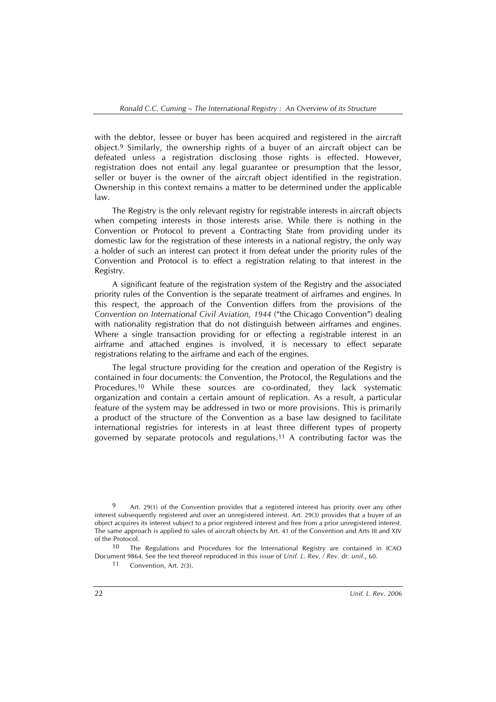with the debtor, lessee or buyer has been acquired and registered in the aircraft object.9 Similarly, the ownership rights of a buyer of an aircraft object can be defeated unless a registration disclosing those rights is effected. However, registration does not entail any legal guarantee or presumption that the lessor, seller or buyer is the owner of the aircraft object identified in the registration. Ownership in this context remains a matter to be determined under the applicable law.

The Registry is the only relevant registry for registrable interests in aircraft objects when competing interests in those interests arise. While there is nothing in the Convention or Protocol to prevent a Contracting State from providing under its domestic law for the registration of these interests in a national registry, the only way a holder of such an interest can protect it from defeat under the priority rules of the Convention and Protocol is to effect a registration relating to that interest in the Registry.

A significant feature of the registration system of the Registry and the associated priority rules of the Convention is the separate treatment of airframes and engines. In this respect, the approach of the Convention differs from the provisions of the *Convention on International Civil Aviation, 1944* ("the Chicago Convention") dealing with nationality registration that do not distinguish between airframes and engines. Where a single transaction providing for or effecting a registrable interest in an airframe and attached engines is involved, it is necessary to effect separate registrations relating to the airframe and each of the engines.

The legal structure providing for the creation and operation of the Registry is contained in four documents: the Convention, the Protocol, the Regulations and the Procedures.10 While these sources are co-ordinated, they lack systematic organization and contain a certain amount of replication. As a result, a particular feature of the system may be addressed in two or more provisions. This is primarily a product of the structure of the Convention as a base law designed to facilitate international registries for interests in at least three different types of property governed by separate protocols and regulations.11 A contributing factor was the

Art. 29(1) of the Convention provides that a registered interest has priority over any other interest subsequently registered and over an unregistered interest. Art. 29(3) provides that a buyer of an object acquires its interest subject to a prior registered interest and free from a prior unregistered interest. The same approach is applied to sales of aircraft objects by Art. 41 of the Convention and Arts III and XIV of the Protocol.

<sup>10</sup> The Regulations and Procedures for the International Registry are contained in ICAO Document 9864. See the text thereof reproduced in this issue of *Unif. L. Rev. / Rev. dr. unif*., 60.

<sup>11</sup> Convention, Art. 2(3).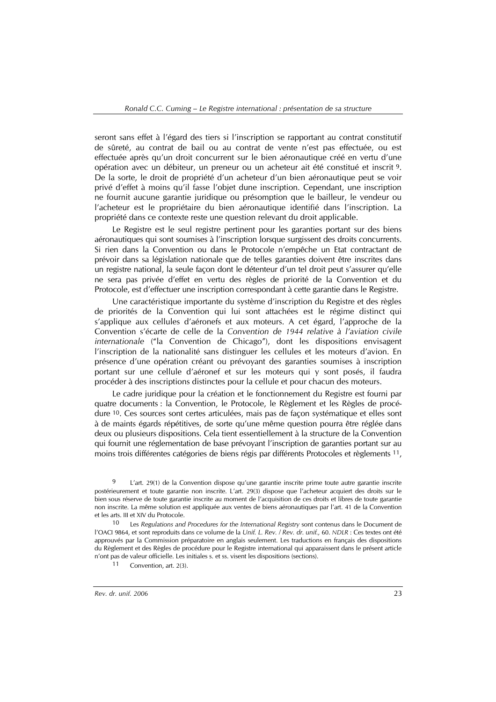seront sans effet à l'égard des tiers si l'inscription se rapportant au contrat constitutif de sûreté, au contrat de bail ou au contrat de vente n'est pas effectuée, ou est effectuée après qu'un droit concurrent sur le bien aéronautique créé en vertu d'une opération avec un débiteur, un preneur ou un acheteur ait été constitué et inscrit 9. De la sorte, le droit de propriété d'un acheteur d'un bien aéronautique peut se voir privé d'effet à moins qu'il fasse l'objet dune inscription. Cependant, une inscription ne fournit aucune garantie juridique ou présomption que le bailleur, le vendeur ou l'acheteur est le propriétaire du bien aéronautique identifié dans l'inscription. La propriété dans ce contexte reste une question relevant du droit applicable.

Le Registre est le seul registre pertinent pour les garanties portant sur des biens aéronautiques qui sont soumises à l'inscription lorsque surgissent des droits concurrents. Si rien dans la Convention ou dans le Protocole n'empêche un Etat contractant de prévoir dans sa législation nationale que de telles garanties doivent être inscrites dans un registre national, la seule façon dont le détenteur d'un tel droit peut s'assurer qu'elle ne sera pas privée d'effet en vertu des règles de priorité de la Convention et du Protocole, est d'effectuer une inscription correspondant à cette garantie dans le Registre.

Une caractéristique importante du système d'inscription du Registre et des règles de priorités de la Convention qui lui sont attachées est le régime distinct qui s'applique aux cellules d'aéronefs et aux moteurs. A cet égard, l'approche de la Convention s'écarte de celle de la *Convention de 1944 relative à l'aviation civile internationale* ("la Convention de Chicago"), dont les dispositions envisagent l'inscription de la nationalité sans distinguer les cellules et les moteurs d'avion. En présence d'une opération créant ou prévoyant des garanties soumises à inscription portant sur une cellule d'aéronef et sur les moteurs qui y sont posés, il faudra procéder à des inscriptions distinctes pour la cellule et pour chacun des moteurs.

Le cadre juridique pour la création et le fonctionnement du Registre est fourni par quatre documents : la Convention, le Protocole, le Règlement et les Règles de procédure 10. Ces sources sont certes articulées, mais pas de façon systématique et elles sont à de maints égards répétitives, de sorte qu'une même question pourra être réglée dans deux ou plusieurs dispositions. Cela tient essentiellement à la structure de la Convention qui fournit une réglementation de base prévoyant l'inscription de garanties portant sur au moins trois différentes catégories de biens régis par différents Protocoles et règlements 11,

11 Convention, art. 2(3).

L'art. 29(1) de la Convention dispose qu'une garantie inscrite prime toute autre garantie inscrite postérieurement et toute garantie non inscrite. L'art. 29(3) dispose que l'acheteur acquiert des droits sur le bien sous réserve de toute garantie inscrite au moment de l'acquisition de ces droits et libres de toute garantie non inscrite. La même solution est appliquée aux ventes de biens aéronautiques par l'art. 41 de la Convention et les arts. III et XIV du Protocole.

<sup>10</sup> Les *Regulations and Procedures for the International Registry* sont contenus dans le Document de l'OACI 9864, et sont reproduits dans ce volume de la *Unif. L. Rev. / Rev. dr. unif.,* 60. *NDLR* : Ces textes ont été approuvés par la Commission préparatoire en anglais seulement. Les traductions en français des dispositions du Règlement et des Règles de procédure pour le Registre international qui apparaissent dans le présent article n'ont pas de valeur officielle. Les initiales s. et ss. visent les dispositions (sections).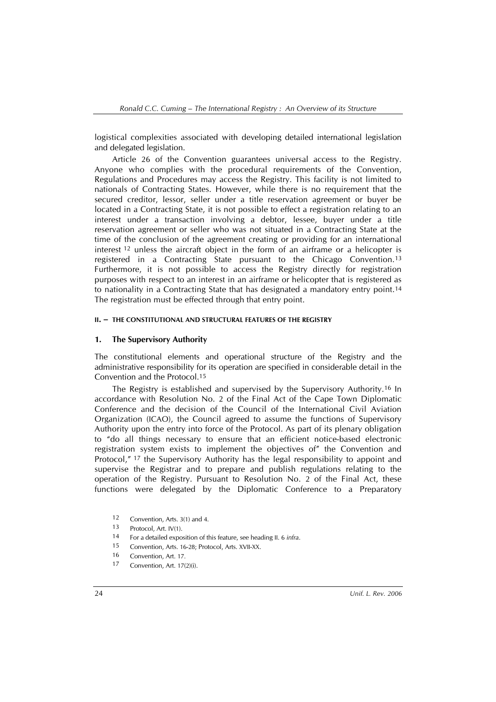logistical complexities associated with developing detailed international legislation and delegated legislation.

Article 26 of the Convention guarantees universal access to the Registry. Anyone who complies with the procedural requirements of the Convention, Regulations and Procedures may access the Registry. This facility is not limited to nationals of Contracting States. However, while there is no requirement that the secured creditor, lessor, seller under a title reservation agreement or buyer be located in a Contracting State, it is not possible to effect a registration relating to an interest under a transaction involving a debtor, lessee, buyer under a title reservation agreement or seller who was not situated in a Contracting State at the time of the conclusion of the agreement creating or providing for an international interest 12 unless the aircraft object in the form of an airframe or a helicopter is registered in a Contracting State pursuant to the Chicago Convention.13 Furthermore, it is not possible to access the Registry directly for registration purposes with respect to an interest in an airframe or helicopter that is registered as to nationality in a Contracting State that has designated a mandatory entry point.14 The registration must be effected through that entry point.

#### **II. – THE CONSTITUTIONAL AND STRUCTURAL FEATURES OF THE REGISTRY**

#### **1. The Supervisory Authority**

The constitutional elements and operational structure of the Registry and the administrative responsibility for its operation are specified in considerable detail in the Convention and the Protocol.15

The Registry is established and supervised by the Supervisory Authority.16 In accordance with Resolution No. 2 of the Final Act of the Cape Town Diplomatic Conference and the decision of the Council of the International Civil Aviation Organization (ICAO), the Council agreed to assume the functions of Supervisory Authority upon the entry into force of the Protocol. As part of its plenary obligation to "do all things necessary to ensure that an efficient notice-based electronic registration system exists to implement the objectives of" the Convention and Protocol," 17 the Supervisory Authority has the legal responsibility to appoint and supervise the Registrar and to prepare and publish regulations relating to the operation of the Registry. Pursuant to Resolution No. 2 of the Final Act, these functions were delegated by the Diplomatic Conference to a Preparatory

- 12 Convention, Arts. 3(1) and 4.<br> $\frac{13}{2}$  Protocol, Art,  $\frac{N(1)}{4}$
- 13 Protocol, Art. IV(1).
- 14 For a detailed exposition of this feature, see heading II. 6 *infra*.
- Convention, Arts. 16-28; Protocol, Arts. XVII-XX.
- 16 Convention, Art. 17.
- 17 Convention, Art. 17(2)(i).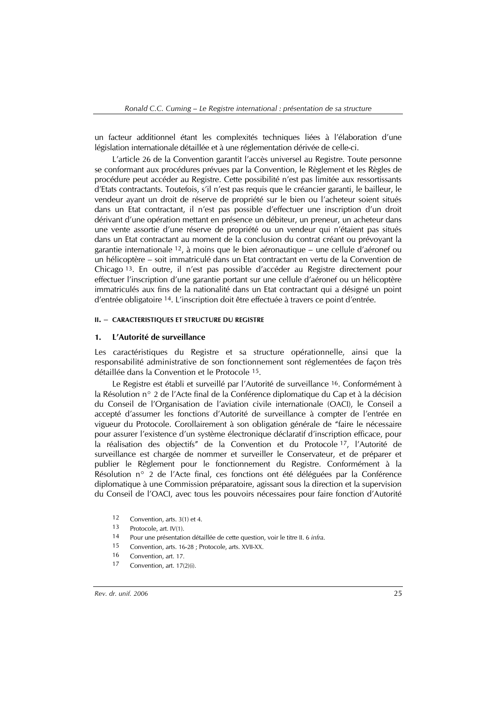un facteur additionnel étant les complexités techniques liées à l'élaboration d'une législation internationale détaillée et à une réglementation dérivée de celle-ci.

L'article 26 de la Convention garantit l'accès universel au Registre. Toute personne se conformant aux procédures prévues par la Convention, le Règlement et les Règles de procédure peut accéder au Registre. Cette possibilité n'est pas limitée aux ressortissants d'Etats contractants. Toutefois, s'il n'est pas requis que le créancier garanti, le bailleur, le vendeur ayant un droit de réserve de propriété sur le bien ou l'acheteur soient situés dans un Etat contractant, il n'est pas possible d'effectuer une inscription d'un droit dérivant d'une opération mettant en présence un débiteur, un preneur, un acheteur dans une vente assortie d'une réserve de propriété ou un vendeur qui n'étaient pas situés dans un Etat contractant au moment de la conclusion du contrat créant ou prévoyant la garantie internationale 12, à moins que le bien aéronautique – une cellule d'aéronef ou un hélicoptère – soit immatriculé dans un Etat contractant en vertu de la Convention de Chicago 13. En outre, il n'est pas possible d'accéder au Registre directement pour effectuer l'inscription d'une garantie portant sur une cellule d'aéronef ou un hélicoptère immatriculés aux fins de la nationalité dans un Etat contractant qui a désigné un point d'entrée obligatoire 14. L'inscription doit être effectuée à travers ce point d'entrée.

#### **II.** – **CARACTERISTIQUES ET STRUCTURE DU REGISTRE**

#### **1. L'Autorité de surveillance**

Les caractéristiques du Registre et sa structure opérationnelle, ainsi que la responsabilité administrative de son fonctionnement sont réglementées de façon très détaillée dans la Convention et le Protocole 15.

Le Registre est établi et surveillé par l'Autorité de surveillance 16. Conformément à la Résolution n° 2 de l'Acte final de la Conférence diplomatique du Cap et à la décision du Conseil de l'Organisation de l'aviation civile internationale (OACI), le Conseil a accepté d'assumer les fonctions d'Autorité de surveillance à compter de l'entrée en vigueur du Protocole. Corollairement à son obligation générale de "faire le nécessaire pour assurer l'existence d'un système électronique déclaratif d'inscription efficace, pour la réalisation des objectifs" de la Convention et du Protocole 17, l'Autorité de surveillance est chargée de nommer et surveiller le Conservateur, et de préparer et publier le Règlement pour le fonctionnement du Registre. Conformément à la Résolution n° 2 de l'Acte final, ces fonctions ont été déléguées par la Conférence diplomatique à une Commission préparatoire, agissant sous la direction et la supervision du Conseil de l'OACI, avec tous les pouvoirs nécessaires pour faire fonction d'Autorité

- 12 Convention, arts.  $3(1)$  et 4.
- 13 Protocole, art.  $IV(1)$ .<br>14 Desember 2016 protocoleti
- 14 Pour une présentation détaillée de cette question, voir le titre II. 6 *infra*.
- Convention, arts. 16-28 ; Protocole, arts. XVII-XX.
- 16 Convention, art. 17.
- 17 Convention, art.  $17(2)(i)$ .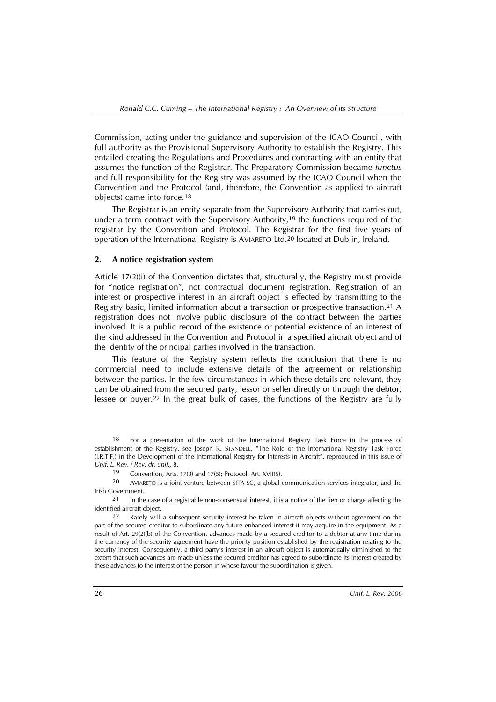Commission, acting under the guidance and supervision of the ICAO Council, with full authority as the Provisional Supervisory Authority to establish the Registry. This entailed creating the Regulations and Procedures and contracting with an entity that assumes the function of the Registrar. The Preparatory Commission became *functus* and full responsibility for the Registry was assumed by the ICAO Council when the Convention and the Protocol (and, therefore, the Convention as applied to aircraft objects) came into force.18

The Registrar is an entity separate from the Supervisory Authority that carries out, under a term contract with the Supervisory Authority,19 the functions required of the registrar by the Convention and Protocol. The Registrar for the first five years of operation of the International Registry is AVIARETO Ltd.20 located at Dublin, Ireland.

#### **2. A notice registration system**

Article 17(2)(i) of the Convention dictates that, structurally, the Registry must provide for "notice registration", not contractual document registration. Registration of an interest or prospective interest in an aircraft object is effected by transmitting to the Registry basic, limited information about a transaction or prospective transaction.21 A registration does not involve public disclosure of the contract between the parties involved. It is a public record of the existence or potential existence of an interest of the kind addressed in the Convention and Protocol in a specified aircraft object and of the identity of the principal parties involved in the transaction.

This feature of the Registry system reflects the conclusion that there is no commercial need to include extensive details of the agreement or relationship between the parties. In the few circumstances in which these details are relevant, they can be obtained from the secured party, lessor or seller directly or through the debtor, lessee or buyer.22 In the great bulk of cases, the functions of the Registry are fully

<sup>18</sup> For a presentation of the work of the International Registry Task Force in the process of establishment of the Registry, see Joseph R. STANDELL, "The Role of the International Registry Task Force (I.R.T.F.) in the Development of the International Registry for Interests in Aircraft", reproduced in this issue of *Unif. L. Rev. / Rev. dr. unif.,* 8.

<sup>19</sup> Convention, Arts. 17(3) and 17(5); Protocol, Art. XVII(5).

<sup>20</sup> AVIARETO is a joint venture between SITA SC, a global communication services integrator, and the Irish Government.

 $21$  In the case of a registrable non-consensual interest, it is a notice of the lien or charge affecting the identified aircraft object.

<sup>22</sup> Rarely will a subsequent security interest be taken in aircraft objects without agreement on the part of the secured creditor to subordinate any future enhanced interest it may acquire in the equipment. As a result of Art. 29(2)(b) of the Convention, advances made by a secured creditor to a debtor at any time during the currency of the security agreement have the priority position established by the registration relating to the security interest. Consequently, a third party's interest in an aircraft object is automatically diminished to the extent that such advances are made unless the secured creditor has agreed to subordinate its interest created by these advances to the interest of the person in whose favour the subordination is given.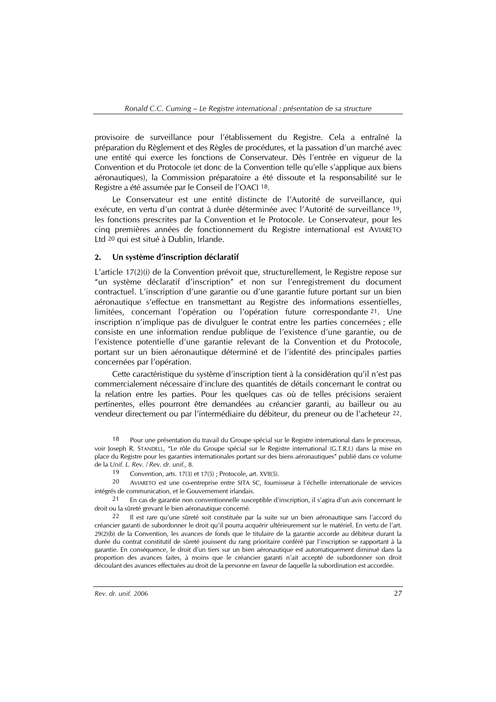provisoire de surveillance pour l'établissement du Registre. Cela a entraîné la préparation du Règlement et des Règles de procédures, et la passation d'un marché avec une entité qui exerce les fonctions de Conservateur. Dès l'entrée en vigueur de la Convention et du Protocole (et donc de la Convention telle qu'elle s'applique aux biens aéronautiques), la Commission préparatoire a été dissoute et la responsabilité sur le Registre a été assumée par le Conseil de l'OACI 18.

Le Conservateur est une entité distincte de l'Autorité de surveillance, qui exécute, en vertu d'un contrat à durée déterminée avec l'Autorité de surveillance 19, les fonctions prescrites par la Convention et le Protocole. Le Conservateur, pour les cinq premières années de fonctionnement du Registre international est AVIARETO Ltd 20 qui est situé à Dublin, Irlande.

#### **2. Un système d'inscription déclaratif**

L'article 17(2)(i) de la Convention prévoit que, structurellement, le Registre repose sur "un système déclaratif d'inscription" et non sur l'enregistrement du document contractuel. L'inscription d'une garantie ou d'une garantie future portant sur un bien aéronautique s'effectue en transmettant au Registre des informations essentielles, limitées, concernant l'opération ou l'opération future correspondante 21. Une inscription n'implique pas de divulguer le contrat entre les parties concernées ; elle consiste en une information rendue publique de l'existence d'une garantie, ou de l'existence potentielle d'une garantie relevant de la Convention et du Protocole, portant sur un bien aéronautique déterminé et de l'identité des principales parties concernées par l'opération.

Cette caractéristique du système d'inscription tient à la considération qu'il n'est pas commercialement nécessaire d'inclure des quantités de détails concernant le contrat ou la relation entre les parties. Pour les quelques cas où de telles précisions seraient pertinentes, elles pourront être demandées au créancier garanti, au bailleur ou au vendeur directement ou par l'intermédiaire du débiteur, du preneur ou de l'acheteur 22.

22 Il est rare qu'une sûreté soit constituée par la suite sur un bien aéronautique sans l'accord du créancier garanti de subordonner le droit qu'il pourra acquérir ultérieurement sur le matériel. En vertu de l'art. 29(2)(b) de la Convention, les avances de fonds que le titulaire de la garantie accorde au débiteur durant la durée du contrat constitutif de sûreté jouissent du rang prioritaire conféré par l'inscription se rapportant à la garantie. En conséquence, le droit d'un tiers sur un bien aéronautique est automatiquement diminué dans la proportion des avances faites, à moins que le créancier garanti n'ait accepté de subordonner son droit découlant des avances effectuées au droit de la personne en faveur de laquelle la subordination est accordée.

<sup>18</sup> Pour une présentation du travail du Groupe spécial sur le Registre international dans le processus, voir Joseph R. STANDELL, "Le rôle du Groupe spécial sur le Registre international (G.T.R.I.) dans la mise en place du Registre pour les garanties internationales portant sur des biens aéronautiques" publié dans ce volume de la *Unif. L. Rev. / Rev. dr. unif.,* 8.

<sup>19</sup> Convention, arts. 17(3) et 17(5) ; Protocole, art. XVII(5).

<sup>20</sup> AVIARETO est une co-entreprise entre SITA SC, fournisseur à l'échelle internationale de services intégrés de communication, et le Gouvernement irlandais.

<sup>21</sup> En cas de garantie non conventionnelle susceptible d'inscription, il s'agira d'un avis concernant le droit ou la sûreté grevant le bien aéronautique concerné.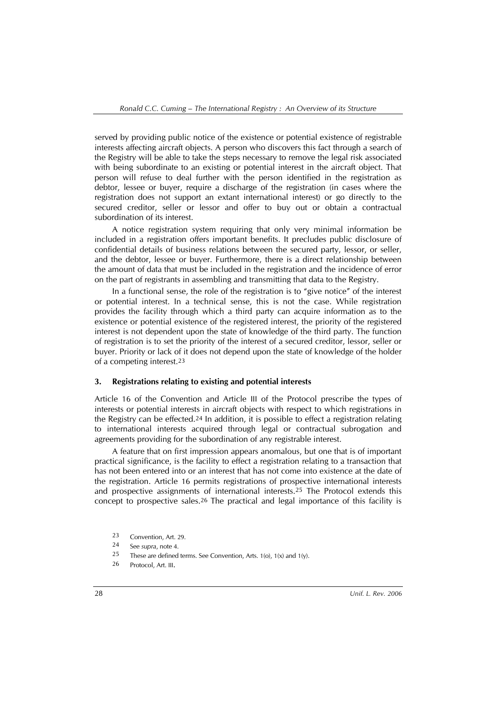served by providing public notice of the existence or potential existence of registrable interests affecting aircraft objects. A person who discovers this fact through a search of the Registry will be able to take the steps necessary to remove the legal risk associated with being subordinate to an existing or potential interest in the aircraft object. That person will refuse to deal further with the person identified in the registration as debtor, lessee or buyer, require a discharge of the registration (in cases where the registration does not support an extant international interest) or go directly to the secured creditor, seller or lessor and offer to buy out or obtain a contractual subordination of its interest.

A notice registration system requiring that only very minimal information be included in a registration offers important benefits. It precludes public disclosure of confidential details of business relations between the secured party, lessor, or seller, and the debtor, lessee or buyer. Furthermore, there is a direct relationship between the amount of data that must be included in the registration and the incidence of error on the part of registrants in assembling and transmitting that data to the Registry.

In a functional sense, the role of the registration is to "give notice" of the interest or potential interest. In a technical sense, this is not the case. While registration provides the facility through which a third party can acquire information as to the existence or potential existence of the registered interest, the priority of the registered interest is not dependent upon the state of knowledge of the third party. The function of registration is to set the priority of the interest of a secured creditor, lessor, seller or buyer. Priority or lack of it does not depend upon the state of knowledge of the holder of a competing interest.23

#### **3. Registrations relating to existing and potential interests**

Article 16 of the Convention and Article III of the Protocol prescribe the types of interests or potential interests in aircraft objects with respect to which registrations in the Registry can be effected.24 In addition, it is possible to effect a registration relating to international interests acquired through legal or contractual subrogation and agreements providing for the subordination of any registrable interest.

A feature that on first impression appears anomalous, but one that is of important practical significance, is the facility to effect a registration relating to a transaction that has not been entered into or an interest that has not come into existence at the date of the registration. Article 16 permits registrations of prospective international interests and prospective assignments of international interests.25 The Protocol extends this concept to prospective sales.26 The practical and legal importance of this facility is

- 23 Convention, Art. 29.
- 24 See *supra*, note 4.
- 25 These are defined terms. See Convention, Arts.  $1(0)$ ,  $1(x)$  and  $1(y)$ .
- 26 Protocol, Art. III.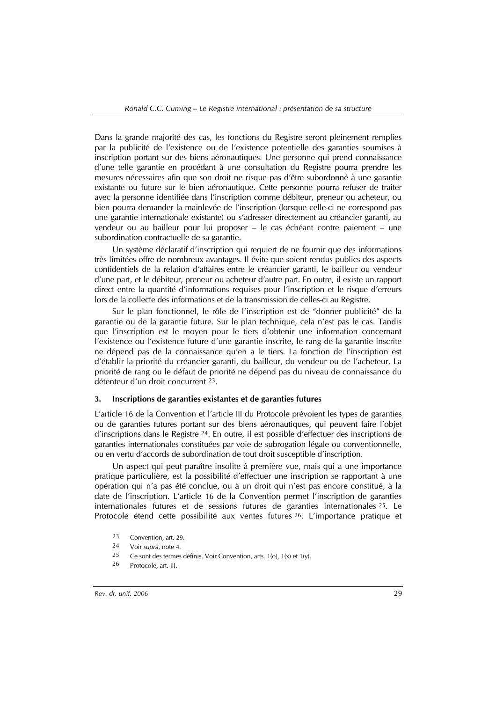Dans la grande majorité des cas, les fonctions du Registre seront pleinement remplies par la publicité de l'existence ou de l'existence potentielle des garanties soumises à inscription portant sur des biens aéronautiques. Une personne qui prend connaissance d'une telle garantie en procédant à une consultation du Registre pourra prendre les mesures nécessaires afin que son droit ne risque pas d'être subordonné à une garantie existante ou future sur le bien aéronautique. Cette personne pourra refuser de traiter avec la personne identifiée dans l'inscription comme débiteur, preneur ou acheteur, ou bien pourra demander la mainlevée de l'inscription (lorsque celle-ci ne correspond pas une garantie internationale existante) ou s'adresser directement au créancier garanti, au vendeur ou au bailleur pour lui proposer – le cas échéant contre paiement – une subordination contractuelle de sa garantie.

Un système déclaratif d'inscription qui requiert de ne fournir que des informations très limitées offre de nombreux avantages. Il évite que soient rendus publics des aspects confidentiels de la relation d'affaires entre le créancier garanti, le bailleur ou vendeur d'une part, et le débiteur, preneur ou acheteur d'autre part. En outre, il existe un rapport direct entre la quantité d'informations requises pour l'inscription et le risque d'erreurs lors de la collecte des informations et de la transmission de celles-ci au Registre.

Sur le plan fonctionnel, le rôle de l'inscription est de "donner publicité" de la garantie ou de la garantie future. Sur le plan technique, cela n'est pas le cas. Tandis que l'inscription est le moyen pour le tiers d'obtenir une information concernant l'existence ou l'existence future d'une garantie inscrite, le rang de la garantie inscrite ne dépend pas de la connaissance qu'en a le tiers. La fonction de l'inscription est d'établir la priorité du créancier garanti, du bailleur, du vendeur ou de l'acheteur. La priorité de rang ou le défaut de priorité ne dépend pas du niveau de connaissance du détenteur d'un droit concurrent 23.

#### **3. Inscriptions de garanties existantes et de garanties futures**

L'article 16 de la Convention et l'article III du Protocole prévoient les types de garanties ou de garanties futures portant sur des biens aéronautiques, qui peuvent faire l'objet d'inscriptions dans le Registre 24. En outre, il est possible d'effectuer des inscriptions de garanties internationales constituées par voie de subrogation légale ou conventionnelle, ou en vertu d'accords de subordination de tout droit susceptible d'inscription.

Un aspect qui peut paraître insolite à première vue, mais qui a une importance pratique particulière, est la possibilité d'effectuer une inscription se rapportant à une opération qui n'a pas été conclue, ou à un droit qui n'est pas encore constitué, à la date de l'inscription. L'article 16 de la Convention permet l'inscription de garanties internationales futures et de sessions futures de garanties internationales 25. Le Protocole étend cette possibilité aux ventes futures 26. L'importance pratique et

- 23 Convention, art. 29.
- 24 Voir *supra*, note 4.
- 25 Ce sont des termes définis. Voir Convention, arts. 1(o), 1(x) et 1(y).
- 26 Protocole, art. III.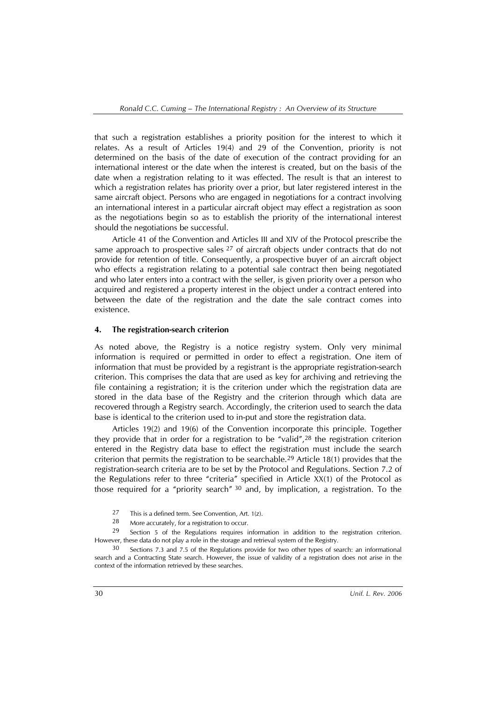that such a registration establishes a priority position for the interest to which it relates. As a result of Articles 19(4) and 29 of the Convention, priority is not determined on the basis of the date of execution of the contract providing for an international interest or the date when the interest is created, but on the basis of the date when a registration relating to it was effected. The result is that an interest to which a registration relates has priority over a prior, but later registered interest in the same aircraft object. Persons who are engaged in negotiations for a contract involving an international interest in a particular aircraft object may effect a registration as soon as the negotiations begin so as to establish the priority of the international interest should the negotiations be successful.

Article 41 of the Convention and Articles III and XIV of the Protocol prescribe the same approach to prospective sales 27 of aircraft objects under contracts that do not provide for retention of title. Consequently, a prospective buyer of an aircraft object who effects a registration relating to a potential sale contract then being negotiated and who later enters into a contract with the seller, is given priority over a person who acquired and registered a property interest in the object under a contract entered into between the date of the registration and the date the sale contract comes into existence.

#### **4. The registration-search criterion**

As noted above, the Registry is a notice registry system. Only very minimal information is required or permitted in order to effect a registration. One item of information that must be provided by a registrant is the appropriate registration-search criterion. This comprises the data that are used as key for archiving and retrieving the file containing a registration; it is the criterion under which the registration data are stored in the data base of the Registry and the criterion through which data are recovered through a Registry search. Accordingly, the criterion used to search the data base is identical to the criterion used to in-put and store the registration data.

Articles 19(2) and 19(6) of the Convention incorporate this principle. Together they provide that in order for a registration to be "valid",28 the registration criterion entered in the Registry data base to effect the registration must include the search criterion that permits the registration to be searchable.29 Article 18(1) provides that the registration-search criteria are to be set by the Protocol and Regulations. Section 7.2 of the Regulations refer to three "criteria" specified in Article XX(1) of the Protocol as those required for a "priority search" 30 and, by implication, a registration. To the

<sup>27</sup> This is a defined term. See Convention, Art. 1(z).

<sup>28</sup> More accurately, for a registration to occur.

<sup>29</sup> Section 5 of the Regulations requires information in addition to the registration criterion. However, these data do not play a role in the storage and retrieval system of the Registry.

<sup>30</sup> Sections 7.3 and 7.5 of the Regulations provide for two other types of search: an informational search and a Contracting State search. However, the issue of validity of a registration does not arise in the context of the information retrieved by these searches.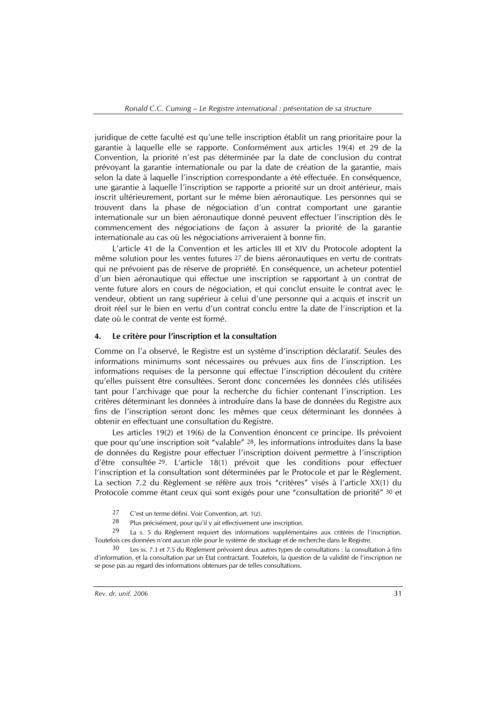juridique de cette faculté est qu'une telle inscription établit un rang prioritaire pour la garantie à laquelle elle se rapporte. Conformément aux articles 19(4) et 29 de la Convention, la priorité n'est pas déterminée par la date de conclusion du contrat prévoyant la garantie internationale ou par la date de création de la garantie, mais selon la date à laquelle l'inscription correspondante a été effectuée. En conséquence, une garantie à laquelle l'inscription se rapporte a priorité sur un droit antérieur, mais inscrit ultérieurement, portant sur le même bien aéronautique. Les personnes qui se trouvent dans la phase de négociation d'un contrat comportant une garantie internationale sur un bien aéronautique donné peuvent effectuer l'inscription dès le commencement des négociations de façon à assurer la priorité de la garantie internationale au cas où les négociations arriveraient à bonne fin.

L'article 41 de la Convention et les articles III et XIV du Protocole adoptent la même solution pour les ventes futures 27 de biens aéronautiques en vertu de contrats qui ne prévoient pas de réserve de propriété. En conséquence, un acheteur potentiel d'un bien aéronautique qui effectue une inscription se rapportant à un contrat de vente future alors en cours de négociation, et qui conclut ensuite le contrat avec le vendeur, obtient un rang supérieur à celui d'une personne qui a acquis et inscrit un droit réel sur le bien en vertu d'un contrat conclu entre la date de l'inscription et la date où le contrat de vente est formé.

#### **4. Le critère pour l'inscription et la consultation**

Comme on l'a observé, le Registre est un système d'inscription déclaratif. Seules des informations minimums sont nécessaires ou prévues aux fins de l'inscription. Les informations requises de la personne qui effectue l'inscription découlent du critère qu'elles puissent être consultées. Seront donc concernées les données clés utilisées tant pour l'archivage que pour la recherche du fichier contenant l'inscription. Les critères déterminant les données à introduire dans la base de données du Registre aux fins de l'inscription seront donc les mêmes que ceux déterminant les données à obtenir en effectuant une consultation du Registre.

Les articles 19(2) et 19(6) de la Convention énoncent ce principe. Ils prévoient que pour qu'une inscription soit "valable" 28, les informations introduites dans la base de données du Registre pour effectuer l'inscription doivent permettre à l'inscription d'être consultée 29. L'article 18(1) prévoit que les conditions pour effectuer l'inscription et la consultation sont déterminées par le Protocole et par le Règlement. La section 7.2 du Règlement se réfère aux trois "critères" visés à l'article XX(1) du Protocole comme étant ceux qui sont exigés pour une "consultation de priorité" 30 et

<sup>27</sup> C'est un terme défini. Voir Convention, art. 1(z).

 $28$  Plus précisément, pour qu'il y ait effectivement une inscription.

<sup>29</sup> La s. 5 du Règlement requiert des informations supplémentaires aux critères de l'inscription. Toutefois ces données n'ont aucun rôle pour le système de stockage et de recherche dans le Registre.

<sup>30</sup> Les ss. 7.3 et 7.5 du Règlement prévoient deux autres types de consultations : la consultation à fins d'information, et la consultation par un Etat contractant. Toutefois, la question de la validité de l'inscription ne se pose pas au regard des informations obtenues par de telles consultations.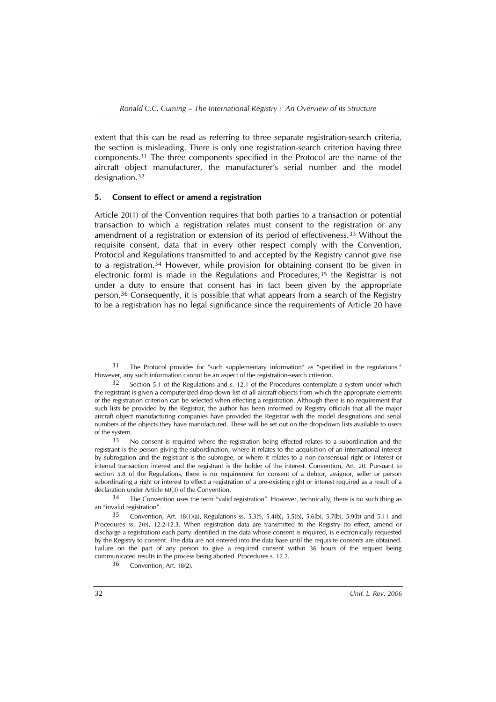extent that this can be read as referring to three separate registration-search criteria, the section is misleading. There is only one registration-search criterion having three components.31 The three components specified in the Protocol are the name of the aircraft object manufacturer, the manufacturer's serial number and the model designation.32

#### **5. Consent to effect or amend a registration**

Article 20(1) of the Convention requires that both parties to a transaction or potential transaction to which a registration relates must consent to the registration or any amendment of a registration or extension of its period of effectiveness.33 Without the requisite consent, data that in every other respect comply with the Convention, Protocol and Regulations transmitted to and accepted by the Registry cannot give rise to a registration.34 However, while provision for obtaining consent (to be given in electronic form) is made in the Regulations and Procedures,35 the Registrar is not under a duty to ensure that consent has in fact been given by the appropriate person.36 Consequently, it is possible that what appears from a search of the Registry to be a registration has no legal significance since the requirements of Article 20 have

 $33$  No consent is required where the registration being effected relates to a subordination and the registrant is the person giving the subordination, where it relates to the acquisition of an international interest by subrogation and the registrant is the subrogee, or where it relates to a non-consensual right or interest or internal transaction interest and the registrant is the holder of the interest. Convention, Art. 20. Pursuant to section 5.8 of the Regulations, there is no requirement for consent of a debtor, assignor, seller or person subordinating a right or interest to effect a registration of a pre-existing right or interest required as a result of a declaration under Article 60(3) of the Convention.

 $34$  The Convention uses the term "valid registration". However, technically, there is no such thing as an "invalid registration".

35 Convention, Art. 18(1)(a), Regulations ss. 5.3(f), 5.4(b), 5.5(b), 5.6(b), 5.7(b), 5.9(b) and 5.11 and Procedures ss. 2(e), 12.2-12.3. When registration data are transmitted to the Registry (to effect, amend or discharge a registration) each party identified in the data whose consent is required, is electronically requested by the Registry to consent. The data are not entered into the data base until the requisite consents are obtained. Failure on the part of any person to give a required consent within 36 hours of the request being communicated results in the process being aborted. Procedures s. 12.2.

36 Convention, Art. 18(2).

<sup>31</sup> The Protocol provides for "such supplementary information" as "specified in the regulations." However, any such information cannot be an aspect of the registration-search criterion.

<sup>32</sup> Section 5.1 of the Regulations and s. 12.1 of the Procedures contemplate a system under which the registrant is given a computerized drop-down list of all aircraft objects from which the appropriate elements of the registration criterion can be selected when effecting a registration. Although there is no requirement that such lists be provided by the Registrar, the author has been informed by Registry officials that all the major aircraft object manufacturing companies have provided the Registrar with the model designations and serial numbers of the objects they have manufactured. These will be set out on the drop-down lists available to users of the system.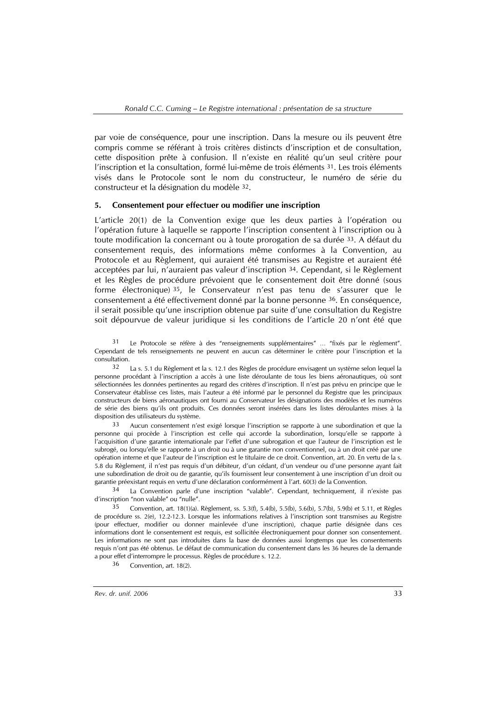par voie de conséquence, pour une inscription. Dans la mesure ou ils peuvent être compris comme se référant à trois critères distincts d'inscription et de consultation, cette disposition prête à confusion. Il n'existe en réalité qu'un seul critère pour l'inscription et la consultation, formé lui-même de trois éléments 31. Les trois éléments visés dans le Protocole sont le nom du constructeur, le numéro de série du constructeur et la désignation du modèle 32.

#### **5. Consentement pour effectuer ou modifier une inscription**

L'article 20(1) de la Convention exige que les deux parties à l'opération ou l'opération future à laquelle se rapporte l'inscription consentent à l'inscription ou à toute modification la concernant ou à toute prorogation de sa durée 33. A défaut du consentement requis, des informations même conformes à la Convention, au Protocole et au Règlement, qui auraient été transmises au Registre et auraient été acceptées par lui, n'auraient pas valeur d'inscription 34. Cependant, si le Règlement et les Règles de procédure prévoient que le consentement doit être donné (sous forme électronique) 35, le Conservateur n'est pas tenu de s'assurer que le consentement a été effectivement donné par la bonne personne 36. En conséquence, il serait possible qu'une inscription obtenue par suite d'une consultation du Registre soit dépourvue de valeur juridique si les conditions de l'article 20 n'ont été que

31 Le Protocole se réfère à des "renseignements supplémentaires" … "fixés par le règlement". Cependant de tels renseignements ne peuvent en aucun cas déterminer le critère pour l'inscription et la consultation.

32 La s. 5.1 du Règlement et la s. 12.1 des Règles de procédure envisagent un système selon lequel la personne procédant à l'inscription a accès à une liste déroulante de tous les biens aéronautiques, où sont sélectionnées les données pertinentes au regard des critères d'inscription. Il n'est pas prévu en principe que le Conservateur établisse ces listes, mais l'auteur a été informé par le personnel du Registre que les principaux constructeurs de biens aéronautiques ont fourni au Conservateur les désignations des modèles et les numéros de série des biens qu'ils ont produits. Ces données seront insérées dans les listes déroulantes mises à la disposition des utilisateurs du système.

33 Aucun consentement n'est exigé lorsque l'inscription se rapporte à une subordination et que la personne qui procède à l'inscription est celle qui accorde la subordination, lorsqu'elle se rapporte à l'acquisition d'une garantie internationale par l'effet d'une subrogation et que l'auteur de l'inscription est le subrogé, ou lorsqu'elle se rapporte à un droit ou à une garantie non conventionnel, ou à un droit créé par une opération interne et que l'auteur de l'inscription est le titulaire de ce droit. Convention, art. 20. En vertu de la s. 5.8 du Règlement, il n'est pas requis d'un débiteur, d'un cédant, d'un vendeur ou d'une personne ayant fait une subordination de droit ou de garantie, qu'ils fournissent leur consentement à une inscription d'un droit ou garantie préexistant requis en vertu d'une déclaration conformément à l'art. 60(3) de la Convention.

34 La Convention parle d'une inscription "valable". Cependant, techniquement, il n'existe pas d'inscription "non valable" ou "nulle".

35 Convention, art. 18(1)(a). Règlement, ss. 5.3(f), 5.4(b), 5.5(b), 5.6(b), 5.7(b), 5.9(b) et 5.11, et Règles de procédure ss. 2(e), 12.2-12.3. Lorsque les informations relatives à l'inscription sont transmises au Registre (pour effectuer, modifier ou donner mainlevée d'une inscription), chaque partie désignée dans ces informations dont le consentement est requis, est sollicitée électroniquement pour donner son consentement. Les informations ne sont pas introduites dans la base de données aussi longtemps que les consentements requis n'ont pas été obtenus. Le défaut de communication du consentement dans les 36 heures de la demande a pour effet d'interrompre le processus. Règles de procédure s. 12.2.

36 Convention, art. 18(2).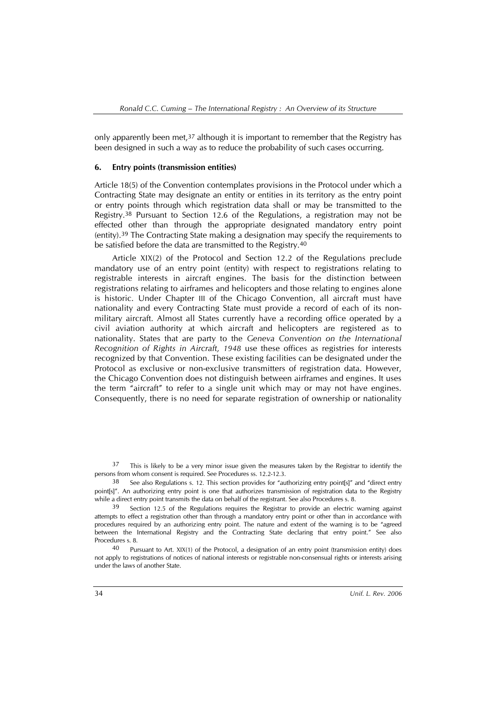only apparently been met,  $37$  although it is important to remember that the Registry has been designed in such a way as to reduce the probability of such cases occurring.

#### **6. Entry points (transmission entities)**

Article 18(5) of the Convention contemplates provisions in the Protocol under which a Contracting State may designate an entity or entities in its territory as the entry point or entry points through which registration data shall or may be transmitted to the Registry.38 Pursuant to Section 12.6 of the Regulations, a registration may not be effected other than through the appropriate designated mandatory entry point (entity).39 The Contracting State making a designation may specify the requirements to be satisfied before the data are transmitted to the Registry.40

Article XIX(2) of the Protocol and Section 12.2 of the Regulations preclude mandatory use of an entry point (entity) with respect to registrations relating to registrable interests in aircraft engines. The basis for the distinction between registrations relating to airframes and helicopters and those relating to engines alone is historic. Under Chapter III of the Chicago Convention, all aircraft must have nationality and every Contracting State must provide a record of each of its nonmilitary aircraft. Almost all States currently have a recording office operated by a civil aviation authority at which aircraft and helicopters are registered as to nationality. States that are party to the *Geneva Convention on the International Recognition of Rights in Aircraft, 1948* use these offices as registries for interests recognized by that Convention. These existing facilities can be designated under the Protocol as exclusive or non-exclusive transmitters of registration data. However, the Chicago Convention does not distinguish between airframes and engines. It uses the term "aircraft" to refer to a single unit which may or may not have engines. Consequently, there is no need for separate registration of ownership or nationality

 $37$  This is likely to be a very minor issue given the measures taken by the Registrar to identify the persons from whom consent is required. See Procedures ss. 12.2-12.3.

 $38$  See also Regulations s. 12. This section provides for "authorizing entry point sil" and "direct entry point[s]". An authorizing entry point is one that authorizes transmission of registration data to the Registry while a direct entry point transmits the data on behalf of the registrant. See also Procedures s. 8.

39 Section 12.5 of the Regulations requires the Registrar to provide an electric warning against attempts to effect a registration other than through a mandatory entry point or other than in accordance with procedures required by an authorizing entry point. The nature and extent of the warning is to be "agreed between the International Registry and the Contracting State declaring that entry point." See also Procedures s. 8.

40 Pursuant to Art. XIX(1) of the Protocol, a designation of an entry point (transmission entity) does not apply to registrations of notices of national interests or registrable non-consensual rights or interests arising under the laws of another State.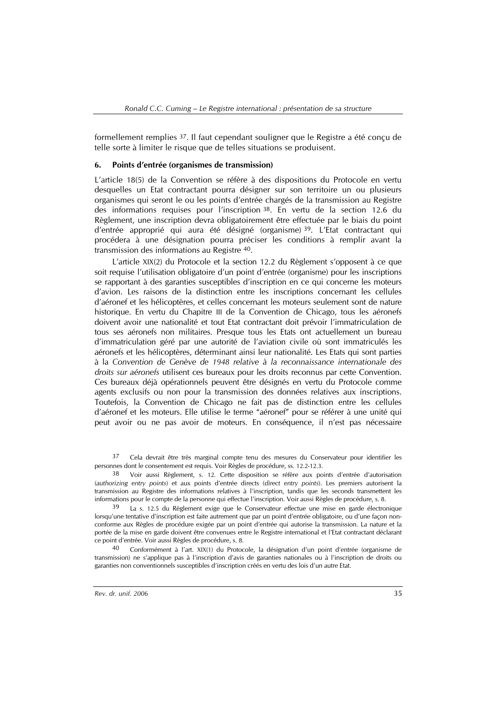formellement remplies 37. Il faut cependant souligner que le Registre a été conçu de telle sorte à limiter le risque que de telles situations se produisent.

#### **6. Points d'entrée (organismes de transmission)**

L'article 18(5) de la Convention se réfère à des dispositions du Protocole en vertu desquelles un Etat contractant pourra désigner sur son territoire un ou plusieurs organismes qui seront le ou les points d'entrée chargés de la transmission au Registre des informations requises pour l'inscription 38. En vertu de la section 12.6 du Règlement, une inscription devra obligatoirement être effectuée par le biais du point d'entrée approprié qui aura été désigné (organisme) 39. L'Etat contractant qui procédera à une désignation pourra préciser les conditions à remplir avant la transmission des informations au Registre 40.

L'article XIX(2) du Protocole et la section 12.2 du Règlement s'opposent à ce que soit requise l'utilisation obligatoire d'un point d'entrée (organisme) pour les inscriptions se rapportant à des garanties susceptibles d'inscription en ce qui concerne les moteurs d'avion. Les raisons de la distinction entre les inscriptions concernant les cellules d'aéronef et les hélicoptères, et celles concernant les moteurs seulement sont de nature historique. En vertu du Chapitre III de la Convention de Chicago, tous les aéronefs doivent avoir une nationalité et tout Etat contractant doit prévoir l'immatriculation de tous ses aéronefs non militaires. Presque tous les Etats ont actuellement un bureau d'immatriculation géré par une autorité de l'aviation civile où sont immatriculés les aéronefs et les hélicoptères, déterminant ainsi leur nationalité. Les Etats qui sont parties à la *Convention de Genève de 1948 relative à la reconnaissance internationale des droits sur aéronefs* utilisent ces bureaux pour les droits reconnus par cette Convention. Ces bureaux déjà opérationnels peuvent être désignés en vertu du Protocole comme agents exclusifs ou non pour la transmission des données relatives aux inscriptions. Toutefois, la Convention de Chicago ne fait pas de distinction entre les cellules d'aéronef et les moteurs. Elle utilise le terme "aéronef" pour se référer à une unité qui peut avoir ou ne pas avoir de moteurs. En conséquence, il n'est pas nécessaire

37 Cela devrait être très marginal compte tenu des mesures du Conservateur pour identifier les personnes dont le consentement est requis. Voir Règles de procédure, ss. 12.2-12.3.

40 Conformément à l'art. XIX(1) du Protocole, la désignation d'un point d'entrée (organisme de transmission) ne s'applique pas à l'inscription d'avis de garanties nationales ou à l'inscription de droits ou garanties non conventionnels susceptibles d'inscription créés en vertu des lois d'un autre Etat.

<sup>38</sup> Voir aussi Règlement, s. 12. Cette disposition se réfère aux points d'entrée d'autorisation (*authorizing entry points*) et aux points d'entrée directs (*direct entry points*). Les premiers autorisent la transmission au Registre des informations relatives à l'inscription, tandis que les seconds transmettent les informations pour le compte de la personne qui effectue l'inscription. Voir aussi Règles de procédure, s. 8.

<sup>39</sup> La s. 12.5 du Règlement exige que le Conservateur effectue une mise en garde électronique lorsqu'une tentative d'inscription est faite autrement que par un point d'entrée obligatoire, ou d'une façon nonconforme aux Règles de procédure exigée par un point d'entrée qui autorise la transmission. La nature et la portée de la mise en garde doivent être convenues entre le Registre international et l'Etat contractant déclarant ce point d'entrée. Voir aussi Règles de procédure, s. 8.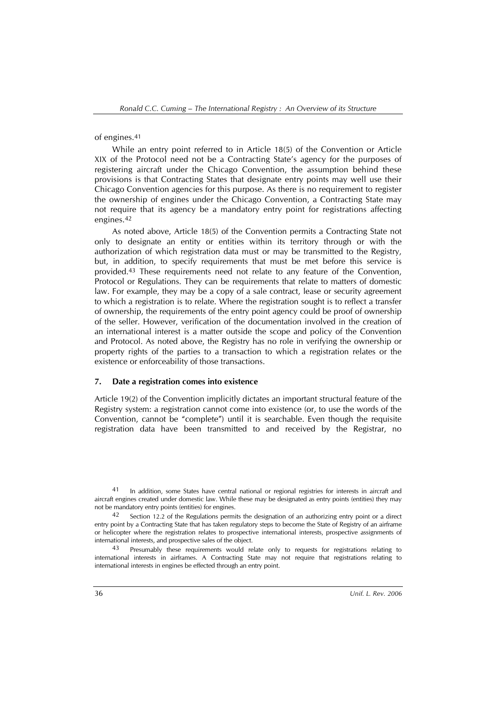#### of engines.41

While an entry point referred to in Article 18(5) of the Convention or Article XIX of the Protocol need not be a Contracting State's agency for the purposes of registering aircraft under the Chicago Convention, the assumption behind these provisions is that Contracting States that designate entry points may well use their Chicago Convention agencies for this purpose. As there is no requirement to register the ownership of engines under the Chicago Convention, a Contracting State may not require that its agency be a mandatory entry point for registrations affecting engines.42

As noted above, Article 18(5) of the Convention permits a Contracting State not only to designate an entity or entities within its territory through or with the authorization of which registration data must or may be transmitted to the Registry, but, in addition, to specify requirements that must be met before this service is provided.43 These requirements need not relate to any feature of the Convention, Protocol or Regulations. They can be requirements that relate to matters of domestic law. For example, they may be a copy of a sale contract, lease or security agreement to which a registration is to relate. Where the registration sought is to reflect a transfer of ownership, the requirements of the entry point agency could be proof of ownership of the seller. However, verification of the documentation involved in the creation of an international interest is a matter outside the scope and policy of the Convention and Protocol. As noted above, the Registry has no role in verifying the ownership or property rights of the parties to a transaction to which a registration relates or the existence or enforceability of those transactions.

#### **7. Date a registration comes into existence**

Article 19(2) of the Convention implicitly dictates an important structural feature of the Registry system: a registration cannot come into existence (or, to use the words of the Convention, cannot be "complete") until it is searchable. Even though the requisite registration data have been transmitted to and received by the Registrar, no

<sup>41</sup> In addition, some States have central national or regional registries for interests in aircraft and aircraft engines created under domestic law. While these may be designated as entry points (entities) they may not be mandatory entry points (entities) for engines.<br>42 Section 12.2 of the Regulations permit

Section 12.2 of the Regulations permits the designation of an authorizing entry point or a direct entry point by a Contracting State that has taken regulatory steps to become the State of Registry of an airframe or helicopter where the registration relates to prospective international interests, prospective assignments of international interests, and prospective sales of the object.

<sup>43</sup> Presumably these requirements would relate only to requests for registrations relating to international interests in airframes. A Contracting State may not require that registrations relating to international interests in engines be effected through an entry point.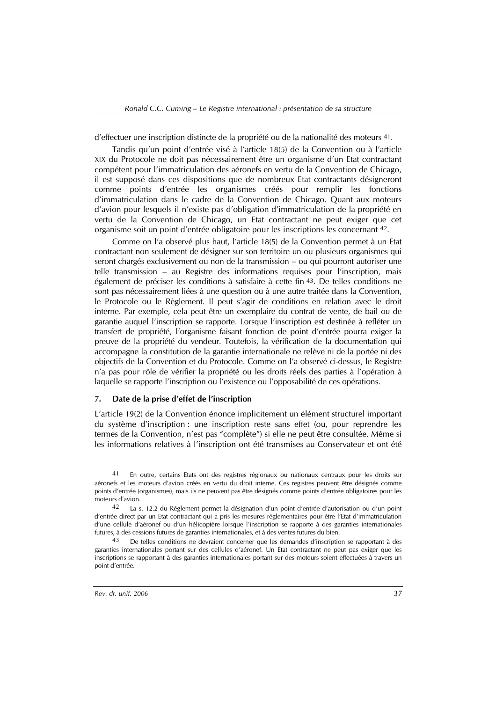d'effectuer une inscription distincte de la propriété ou de la nationalité des moteurs 41.

Tandis qu'un point d'entrée visé à l'article 18(5) de la Convention ou à l'article XIX du Protocole ne doit pas nécessairement être un organisme d'un Etat contractant compétent pour l'immatriculation des aéronefs en vertu de la Convention de Chicago, il est supposé dans ces dispositions que de nombreux Etat contractants désigneront comme points d'entrée les organismes créés pour remplir les fonctions d'immatriculation dans le cadre de la Convention de Chicago. Quant aux moteurs d'avion pour lesquels il n'existe pas d'obligation d'immatriculation de la propriété en vertu de la Convention de Chicago, un Etat contractant ne peut exiger que cet organisme soit un point d'entrée obligatoire pour les inscriptions les concernant 42.

Comme on l'a observé plus haut, l'article 18(5) de la Convention permet à un Etat contractant non seulement de désigner sur son territoire un ou plusieurs organismes qui seront chargés exclusivement ou non de la transmission – ou qui pourront autoriser une telle transmission – au Registre des informations requises pour l'inscription, mais également de préciser les conditions à satisfaire à cette fin 43. De telles conditions ne sont pas nécessairement liées à une question ou à une autre traitée dans la Convention, le Protocole ou le Règlement. Il peut s'agir de conditions en relation avec le droit interne. Par exemple, cela peut être un exemplaire du contrat de vente, de bail ou de garantie auquel l'inscription se rapporte. Lorsque l'inscription est destinée à refléter un transfert de propriété, l'organisme faisant fonction de point d'entrée pourra exiger la preuve de la propriété du vendeur. Toutefois, la vérification de la documentation qui accompagne la constitution de la garantie internationale ne relève ni de la portée ni des objectifs de la Convention et du Protocole. Comme on l'a observé ci-dessus, le Registre n'a pas pour rôle de vérifier la propriété ou les droits réels des parties à l'opération à laquelle se rapporte l'inscription ou l'existence ou l'opposabilité de ces opérations.

#### **7. Date de la prise d'effet de l'inscription**

L'article 19(2) de la Convention énonce implicitement un élément structurel important du système d'inscription : une inscription reste sans effet (ou, pour reprendre les termes de la Convention, n'est pas "complète") si elle ne peut être consultée. Même si les informations relatives à l'inscription ont été transmises au Conservateur et ont été

<sup>41</sup> En outre, certains Etats ont des registres régionaux ou nationaux centraux pour les droits sur aéronefs et les moteurs d'avion créés en vertu du droit interne. Ces registres peuvent être désignés comme points d'entrée (organismes), mais ils ne peuvent pas être désignés comme points d'entrée obligatoires pour les moteurs d'avion.

<sup>42</sup> La s. 12.2 du Règlement permet la désignation d'un point d'entrée d'autorisation ou d'un point d'entrée direct par un Etat contractant qui a pris les mesures réglementaires pour être l'Etat d'immatriculation d'une cellule d'aéronef ou d'un hélicoptère lorsque l'inscription se rapporte à des garanties internationales futures, à des cessions futures de garanties internationales, et à des ventes futures du bien.

<sup>43</sup> De telles conditions ne devraient concerner que les demandes d'inscription se rapportant à des garanties internationales portant sur des cellules d'aéronef. Un Etat contractant ne peut pas exiger que les inscriptions se rapportant à des garanties internationales portant sur des moteurs soient effectuées à travers un point d'entrée.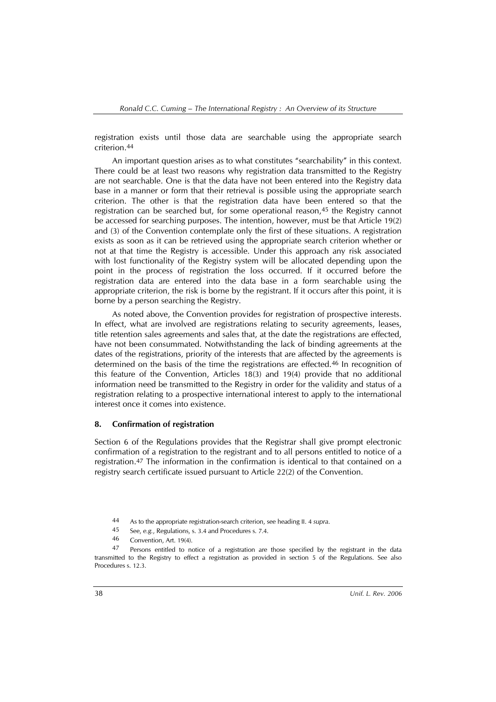registration exists until those data are searchable using the appropriate search criterion.44

An important question arises as to what constitutes "searchability" in this context. There could be at least two reasons why registration data transmitted to the Registry are not searchable. One is that the data have not been entered into the Registry data base in a manner or form that their retrieval is possible using the appropriate search criterion. The other is that the registration data have been entered so that the registration can be searched but, for some operational reason,45 the Registry cannot be accessed for searching purposes. The intention, however, must be that Article 19(2) and (3) of the Convention contemplate only the first of these situations. A registration exists as soon as it can be retrieved using the appropriate search criterion whether or not at that time the Registry is accessible. Under this approach any risk associated with lost functionality of the Registry system will be allocated depending upon the point in the process of registration the loss occurred. If it occurred before the registration data are entered into the data base in a form searchable using the appropriate criterion, the risk is borne by the registrant. If it occurs after this point, it is borne by a person searching the Registry.

As noted above, the Convention provides for registration of prospective interests. In effect, what are involved are registrations relating to security agreements, leases, title retention sales agreements and sales that, at the date the registrations are effected, have not been consummated. Notwithstanding the lack of binding agreements at the dates of the registrations, priority of the interests that are affected by the agreements is determined on the basis of the time the registrations are effected.46 In recognition of this feature of the Convention, Articles 18(3) and 19(4) provide that no additional information need be transmitted to the Registry in order for the validity and status of a registration relating to a prospective international interest to apply to the international interest once it comes into existence.

#### **8. Confirmation of registration**

Section 6 of the Regulations provides that the Registrar shall give prompt electronic confirmation of a registration to the registrant and to all persons entitled to notice of a registration.47 The information in the confirmation is identical to that contained on a registry search certificate issued pursuant to Article 22(2) of the Convention.

46 Convention, Art. 19(4).<br>47 Persons entitled to p

Persons entitled to notice of a registration are those specified by the registrant in the data transmitted to the Registry to effect a registration as provided in section 5 of the Regulations. See also Procedures s. 12.3.

<sup>44</sup> As to the appropriate registration-search criterion, see heading II. 4 *supra*.<br>45 See e.g. Regulations s. 3.4 and Procedures s. 7.4

<sup>45</sup> See, *e.g.*, Regulations, s. 3.4 and Procedures s. 7.4.<br>46 Convention Art 19(4)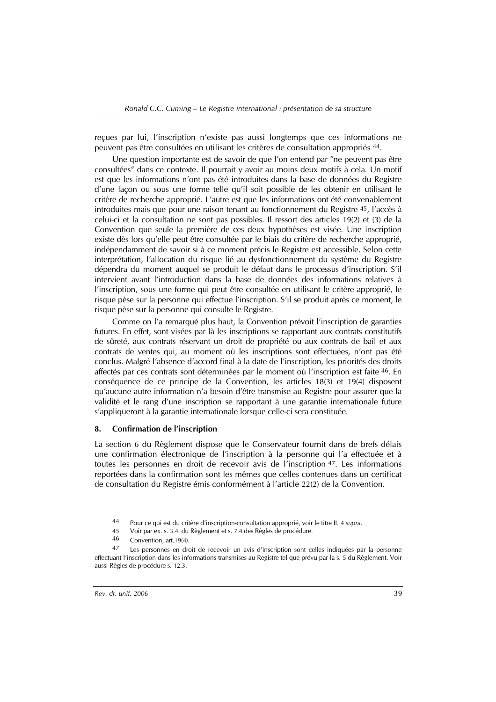reçues par lui, l'inscription n'existe pas aussi longtemps que ces informations ne peuvent pas être consultées en utilisant les critères de consultation appropriés 44.

Une question importante est de savoir de que l'on entend par "ne peuvent pas être consultées" dans ce contexte. Il pourrait y avoir au moins deux motifs à cela. Un motif est que les informations n'ont pas été introduites dans la base de données du Registre d'une façon ou sous une forme telle qu'il soit possible de les obtenir en utilisant le critère de recherche approprié. L'autre est que les informations ont été convenablement introduites mais que pour une raison tenant au fonctionnement du Registre 45, l'accès à celui-ci et la consultation ne sont pas possibles. Il ressort des articles 19(2) et (3) de la Convention que seule la première de ces deux hypothèses est visée. Une inscription existe dès lors qu'elle peut être consultée par le biais du critère de recherche approprié, indépendamment de savoir si à ce moment précis le Registre est accessible. Selon cette interprétation, l'allocation du risque lié au dysfonctionnement du système du Registre dépendra du moment auquel se produit le défaut dans le processus d'inscription. S'il intervient avant l'introduction dans la base de données des informations relatives à l'inscription, sous une forme qui peut être consultée en utilisant le critère approprié, le risque pèse sur la personne qui effectue l'inscription. S'il se produit après ce moment, le risque pèse sur la personne qui consulte le Registre.

Comme on l'a remarqué plus haut, la Convention prévoit l'inscription de garanties futures. En effet, sont visées par là les inscriptions se rapportant aux contrats constitutifs de sûreté, aux contrats réservant un droit de propriété ou aux contrats de bail et aux contrats de ventes qui, au moment où les inscriptions sont effectuées, n'ont pas été conclus. Malgré l'absence d'accord final à la date de l'inscription, les priorités des droits affectés par ces contrats sont déterminées par le moment où l'inscription est faite 46. En conséquence de ce principe de la Convention, les articles 18(3) et 19(4) disposent qu'aucune autre information n'a besoin d'être transmise au Registre pour assurer que la validité et le rang d'une inscription se rapportant à une garantie internationale future s'appliqueront à la garantie internationale lorsque celle-ci sera constituée.

#### **8. Confirmation de l'inscription**

La section 6 du Règlement dispose que le Conservateur fournit dans de brefs délais une confirmation électronique de l'inscription à la personne qui l'a effectuée et à toutes les personnes en droit de recevoir avis de l'inscription 47. Les informations reportées dans la confirmation sont les mêmes que celles contenues dans un certificat de consultation du Registre émis conformément à l'article 22(2) de la Convention.

44 Pour ce qui est du critère d'inscription-consultation approprié, voir le titre II. 4 *supra*.

- 45 Voir par ex. s. 3.4. du Règlement et s. 7.4 des Règles de procédure.
- 46 Convention, art. 19(4).<br>47 Les personnes en dre

Les personnes en droit de recevoir un avis d'inscription sont celles indiquées par la personne effectuant l'inscription dans les informations transmises au Registre tel que prévu par la s. 5 du Règlement. Voir aussi Règles de procédure s. 12.3.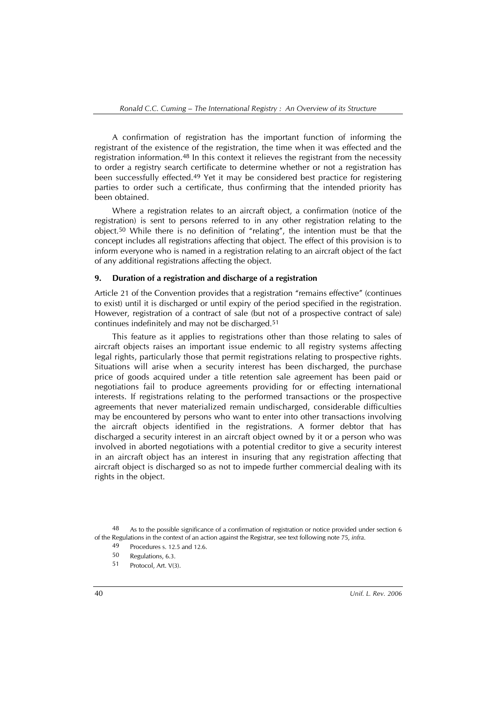A confirmation of registration has the important function of informing the registrant of the existence of the registration, the time when it was effected and the registration information.48 In this context it relieves the registrant from the necessity to order a registry search certificate to determine whether or not a registration has been successfully effected.49 Yet it may be considered best practice for registering parties to order such a certificate, thus confirming that the intended priority has been obtained.

Where a registration relates to an aircraft object, a confirmation (notice of the registration) is sent to persons referred to in any other registration relating to the object.50 While there is no definition of "relating", the intention must be that the concept includes all registrations affecting that object. The effect of this provision is to inform everyone who is named in a registration relating to an aircraft object of the fact of any additional registrations affecting the object.

### **9. Duration of a registration and discharge of a registration**

Article 21 of the Convention provides that a registration "remains effective" (continues to exist) until it is discharged or until expiry of the period specified in the registration. However, registration of a contract of sale (but not of a prospective contract of sale) continues indefinitely and may not be discharged.51

This feature as it applies to registrations other than those relating to sales of aircraft objects raises an important issue endemic to all registry systems affecting legal rights, particularly those that permit registrations relating to prospective rights. Situations will arise when a security interest has been discharged, the purchase price of goods acquired under a title retention sale agreement has been paid or negotiations fail to produce agreements providing for or effecting international interests. If registrations relating to the performed transactions or the prospective agreements that never materialized remain undischarged, considerable difficulties may be encountered by persons who want to enter into other transactions involving the aircraft objects identified in the registrations. A former debtor that has discharged a security interest in an aircraft object owned by it or a person who was involved in aborted negotiations with a potential creditor to give a security interest in an aircraft object has an interest in insuring that any registration affecting that aircraft object is discharged so as not to impede further commercial dealing with its rights in the object.

<sup>48</sup> As to the possible significance of a confirmation of registration or notice provided under section 6 of the Regulations in the context of an action against the Registrar, see text following note 75, *infra*.

Procedures s. 12.5 and 12.6.

<sup>50</sup> Regulations, 6.3.

<sup>51</sup> Protocol, Art. V(3).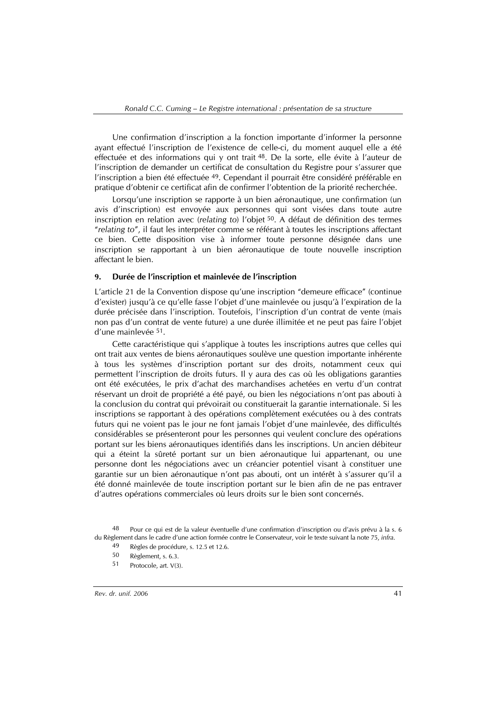Une confirmation d'inscription a la fonction importante d'informer la personne ayant effectué l'inscription de l'existence de celle-ci, du moment auquel elle a été effectuée et des informations qui y ont trait 48. De la sorte, elle évite à l'auteur de l'inscription de demander un certificat de consultation du Registre pour s'assurer que l'inscription a bien été effectuée <sup>49</sup>. Cependant il pourrait être considéré préférable en pratique d'obtenir ce certificat afin de confirmer l'obtention de la priorité recherchée.

Lorsqu'une inscription se rapporte à un bien aéronautique, une confirmation (un avis d'inscription) est envoyée aux personnes qui sont visées dans toute autre inscription en relation avec (*relating to*) l'objet 50. A défaut de définition des termes "*relating to*", il faut les interpréter comme se référant à toutes les inscriptions affectant ce bien. Cette disposition vise à informer toute personne désignée dans une inscription se rapportant à un bien aéronautique de toute nouvelle inscription affectant le bien.

# **9. Durée de l'inscription et mainlevée de l'inscription**

L'article 21 de la Convention dispose qu'une inscription "demeure efficace" (continue d'exister) jusqu'à ce qu'elle fasse l'objet d'une mainlevée ou jusqu'à l'expiration de la durée précisée dans l'inscription. Toutefois, l'inscription d'un contrat de vente (mais non pas d'un contrat de vente future) a une durée illimitée et ne peut pas faire l'objet d'une mainlevée 51.

Cette caractéristique qui s'applique à toutes les inscriptions autres que celles qui ont trait aux ventes de biens aéronautiques soulève une question importante inhérente à tous les systèmes d'inscription portant sur des droits, notamment ceux qui permettent l'inscription de droits futurs. Il y aura des cas où les obligations garanties ont été exécutées, le prix d'achat des marchandises achetées en vertu d'un contrat réservant un droit de propriété a été payé, ou bien les négociations n'ont pas abouti à la conclusion du contrat qui prévoirait ou constituerait la garantie internationale. Si les inscriptions se rapportant à des opérations complètement exécutées ou à des contrats futurs qui ne voient pas le jour ne font jamais l'objet d'une mainlevée, des difficultés considérables se présenteront pour les personnes qui veulent conclure des opérations portant sur les biens aéronautiques identifiés dans les inscriptions. Un ancien débiteur qui a éteint la sûreté portant sur un bien aéronautique lui appartenant, ou une personne dont les négociations avec un créancier potentiel visant à constituer une garantie sur un bien aéronautique n'ont pas abouti, ont un intérêt à s'assurer qu'il a été donné mainlevée de toute inscription portant sur le bien afin de ne pas entraver d'autres opérations commerciales où leurs droits sur le bien sont concernés.

<sup>48</sup> Pour ce qui est de la valeur éventuelle d'une confirmation d'inscription ou d'avis prévu à la s. 6 du Règlement dans le cadre d'une action formée contre le Conservateur, voir le texte suivant la note 75, *infra*.

<sup>49</sup> Règles de procédure, s. 12.5 et 12.6.

<sup>50</sup> Règlement, s. 6.3.

<sup>51</sup> Protocole, art. V(3).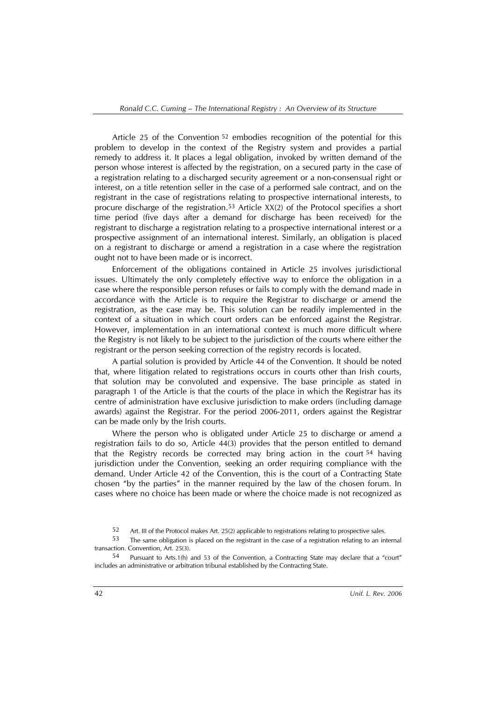Article 25 of the Convention 52 embodies recognition of the potential for this problem to develop in the context of the Registry system and provides a partial remedy to address it. It places a legal obligation, invoked by written demand of the person whose interest is affected by the registration, on a secured party in the case of a registration relating to a discharged security agreement or a non-consensual right or interest, on a title retention seller in the case of a performed sale contract, and on the registrant in the case of registrations relating to prospective international interests, to procure discharge of the registration.53 Article XX(2) of the Protocol specifies a short time period (five days after a demand for discharge has been received) for the registrant to discharge a registration relating to a prospective international interest or a prospective assignment of an international interest. Similarly, an obligation is placed on a registrant to discharge or amend a registration in a case where the registration ought not to have been made or is incorrect.

Enforcement of the obligations contained in Article 25 involves jurisdictional issues. Ultimately the only completely effective way to enforce the obligation in a case where the responsible person refuses or fails to comply with the demand made in accordance with the Article is to require the Registrar to discharge or amend the registration, as the case may be. This solution can be readily implemented in the context of a situation in which court orders can be enforced against the Registrar. However, implementation in an international context is much more difficult where the Registry is not likely to be subject to the jurisdiction of the courts where either the registrant or the person seeking correction of the registry records is located.

A partial solution is provided by Article 44 of the Convention. It should be noted that, where litigation related to registrations occurs in courts other than Irish courts, that solution may be convoluted and expensive. The base principle as stated in paragraph 1 of the Article is that the courts of the place in which the Registrar has its centre of administration have exclusive jurisdiction to make orders (including damage awards) against the Registrar. For the period 2006-2011, orders against the Registrar can be made only by the Irish courts.

Where the person who is obligated under Article 25 to discharge or amend a registration fails to do so, Article 44(3) provides that the person entitled to demand that the Registry records be corrected may bring action in the court 54 having jurisdiction under the Convention, seeking an order requiring compliance with the demand. Under Article 42 of the Convention, this is the court of a Contracting State chosen "by the parties" in the manner required by the law of the chosen forum. In cases where no choice has been made or where the choice made is not recognized as

<sup>52</sup> Art. III of the Protocol makes Art. 25(2) applicable to registrations relating to prospective sales.

<sup>53</sup> The same obligation is placed on the registrant in the case of a registration relating to an internal transaction. Convention, Art. 25(3).

<sup>54</sup> Pursuant to Arts.1(h) and 53 of the Convention, a Contracting State may declare that a "court" includes an administrative or arbitration tribunal established by the Contracting State.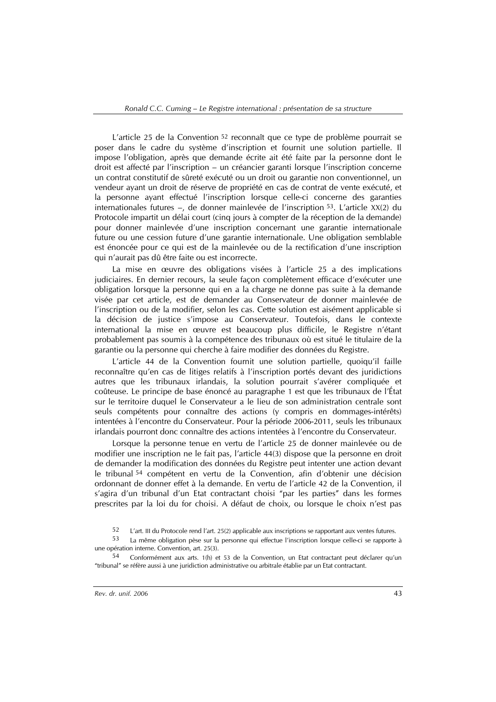L'article 25 de la Convention 52 reconnaît que ce type de problème pourrait se poser dans le cadre du système d'inscription et fournit une solution partielle. Il impose l'obligation, après que demande écrite ait été faite par la personne dont le droit est affecté par l'inscription – un créancier garanti lorsque l'inscription concerne un contrat constitutif de sûreté exécuté ou un droit ou garantie non conventionnel, un vendeur ayant un droit de réserve de propriété en cas de contrat de vente exécuté, et la personne ayant effectué l'inscription lorsque celle-ci concerne des garanties internationales futures –, de donner mainlevée de l'inscription 53. L'article XX(2) du Protocole impartit un délai court (cinq jours à compter de la réception de la demande) pour donner mainlevée d'une inscription concernant une garantie internationale future ou une cession future d'une garantie internationale. Une obligation semblable est énoncée pour ce qui est de la mainlevée ou de la rectification d'une inscription qui n'aurait pas dû être faite ou est incorrecte.

La mise en œuvre des obligations visées à l'article 25 a des implications judiciaires. En dernier recours, la seule façon complètement efficace d'exécuter une obligation lorsque la personne qui en a la charge ne donne pas suite à la demande visée par cet article, est de demander au Conservateur de donner mainlevée de l'inscription ou de la modifier, selon les cas. Cette solution est aisément applicable si la décision de justice s'impose au Conservateur. Toutefois, dans le contexte international la mise en œuvre est beaucoup plus difficile, le Registre n'étant probablement pas soumis à la compétence des tribunaux où est situé le titulaire de la garantie ou la personne qui cherche à faire modifier des données du Registre.

L'article 44 de la Convention fournit une solution partielle, quoiqu'il faille reconnaître qu'en cas de litiges relatifs à l'inscription portés devant des juridictions autres que les tribunaux irlandais, la solution pourrait s'avérer compliquée et coûteuse. Le principe de base énoncé au paragraphe 1 est que les tribunaux de l'État sur le territoire duquel le Conservateur a le lieu de son administration centrale sont seuls compétents pour connaître des actions (y compris en dommages-intérêts) intentées à l'encontre du Conservateur. Pour la période 2006-2011, seuls les tribunaux irlandais pourront donc connaître des actions intentées à l'encontre du Conservateur.

Lorsque la personne tenue en vertu de l'article 25 de donner mainlevée ou de modifier une inscription ne le fait pas, l'article 44(3) dispose que la personne en droit de demander la modification des données du Registre peut intenter une action devant le tribunal 54 compétent en vertu de la Convention, afin d'obtenir une décision ordonnant de donner effet à la demande. En vertu de l'article 42 de la Convention, il s'agira d'un tribunal d'un Etat contractant choisi "par les parties" dans les formes prescrites par la loi du for choisi. A défaut de choix, ou lorsque le choix n'est pas

<sup>52</sup> L'art. III du Protocole rend l'art. 25(2) applicable aux inscriptions se rapportant aux ventes futures.<br>53 La même obligation pèce sur la personne qui effectue l'inscription lorsque celle-ci se rapporte

La même obligation pèse sur la personne qui effectue l'inscription lorsque celle-ci se rapporte à une opération interne. Convention, art. 25(3).

<sup>54</sup> Conformément aux arts. 1(h) et 53 de la Convention, un Etat contractant peut déclarer qu'un "tribunal" se réfère aussi à une juridiction administrative ou arbitrale établie par un Etat contractant.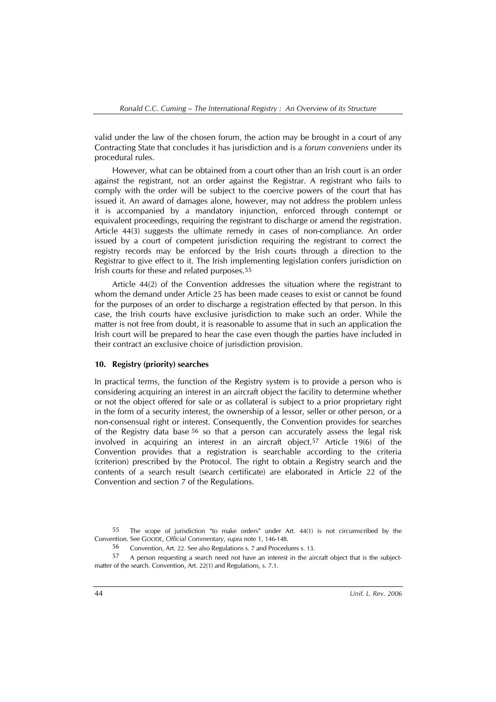valid under the law of the chosen forum, the action may be brought in a court of any Contracting State that concludes it has jurisdiction and is a *forum conveniens* under its procedural rules.

However, what can be obtained from a court other than an Irish court is an order against the registrant, not an order against the Registrar. A registrant who fails to comply with the order will be subject to the coercive powers of the court that has issued it. An award of damages alone, however, may not address the problem unless it is accompanied by a mandatory injunction, enforced through contempt or equivalent proceedings, requiring the registrant to discharge or amend the registration. Article 44(3) suggests the ultimate remedy in cases of non-compliance. An order issued by a court of competent jurisdiction requiring the registrant to correct the registry records may be enforced by the Irish courts through a direction to the Registrar to give effect to it. The Irish implementing legislation confers jurisdiction on Irish courts for these and related purposes.55

Article 44(2) of the Convention addresses the situation where the registrant to whom the demand under Article 25 has been made ceases to exist or cannot be found for the purposes of an order to discharge a registration effected by that person. In this case, the Irish courts have exclusive jurisdiction to make such an order. While the matter is not free from doubt, it is reasonable to assume that in such an application the Irish court will be prepared to hear the case even though the parties have included in their contract an exclusive choice of jurisdiction provision.

## **10. Registry (priority) searches**

In practical terms, the function of the Registry system is to provide a person who is considering acquiring an interest in an aircraft object the facility to determine whether or not the object offered for sale or as collateral is subject to a prior proprietary right in the form of a security interest, the ownership of a lessor, seller or other person, or a non-consensual right or interest. Consequently, the Convention provides for searches of the Registry data base 56 so that a person can accurately assess the legal risk involved in acquiring an interest in an aircraft object.57 Article 19(6) of the Convention provides that a registration is searchable according to the criteria (criterion) prescribed by the Protocol. The right to obtain a Registry search and the contents of a search result (search certificate) are elaborated in Article 22 of the Convention and section 7 of the Regulations.

57 A person requesting a search need not have an interest in the aircraft object that is the subjectmatter of the search. Convention, Art. 22(1) and Regulations, s. 7.1.

<sup>55</sup> The scope of jurisdiction "to make orders" under Art. 44(1) is not circumscribed by the Convention. See GOODE, *Official Commentary*, *supra* note 1, 146-148.

<sup>56</sup> Convention, Art. 22. See also Regulations s. 7 and Procedures s. 13.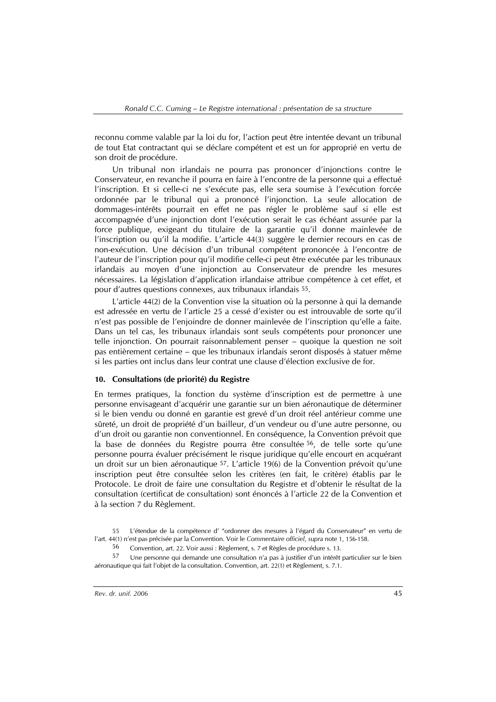reconnu comme valable par la loi du for, l'action peut être intentée devant un tribunal de tout Etat contractant qui se déclare compétent et est un for approprié en vertu de son droit de procédure.

Un tribunal non irlandais ne pourra pas prononcer d'injonctions contre le Conservateur, en revanche il pourra en faire à l'encontre de la personne qui a effectué l'inscription. Et si celle-ci ne s'exécute pas, elle sera soumise à l'exécution forcée ordonnée par le tribunal qui a prononcé l'injonction. La seule allocation de dommages-intérêts pourrait en effet ne pas régler le problème sauf si elle est accompagnée d'une injonction dont l'exécution serait le cas échéant assurée par la force publique, exigeant du titulaire de la garantie qu'il donne mainlevée de l'inscription ou qu'il la modifie. L'article 44(3) suggère le dernier recours en cas de non-exécution. Une décision d'un tribunal compétent prononcée à l'encontre de l'auteur de l'inscription pour qu'il modifie celle-ci peut être exécutée par les tribunaux irlandais au moyen d'une injonction au Conservateur de prendre les mesures nécessaires. La législation d'application irlandaise attribue compétence à cet effet, et pour d'autres questions connexes, aux tribunaux irlandais 55.

L'article 44(2) de la Convention vise la situation où la personne à qui la demande est adressée en vertu de l'article 25 a cessé d'exister ou est introuvable de sorte qu'il n'est pas possible de l'enjoindre de donner mainlevée de l'inscription qu'elle a faite. Dans un tel cas, les tribunaux irlandais sont seuls compétents pour prononcer une telle injonction. On pourrait raisonnablement penser – quoique la question ne soit pas entièrement certaine – que les tribunaux irlandais seront disposés à statuer même si les parties ont inclus dans leur contrat une clause d'élection exclusive de for.

# **10. Consultations (de priorité) du Registre**

En termes pratiques, la fonction du système d'inscription est de permettre à une personne envisageant d'acquérir une garantie sur un bien aéronautique de déterminer si le bien vendu ou donné en garantie est grevé d'un droit réel antérieur comme une sûreté, un droit de propriété d'un bailleur, d'un vendeur ou d'une autre personne, ou d'un droit ou garantie non conventionnel. En conséquence, la Convention prévoit que la base de données du Registre pourra être consultée 56, de telle sorte qu'une personne pourra évaluer précisément le risque juridique qu'elle encourt en acquérant un droit sur un bien aéronautique 57. L'article 19(6) de la Convention prévoit qu'une inscription peut être consultée selon les critères (en fait, le critère) établis par le Protocole. Le droit de faire une consultation du Registre et d'obtenir le résultat de la consultation (certificat de consultation) sont énoncés à l'article 22 de la Convention et à la section 7 du Règlement.

<sup>55</sup> L'étendue de la compétence d' "ordonner des mesures à l'égard du Conservateur" en vertu de l'art. 44(1) n'est pas précisée par la Convention. Voir le *Commentaire officiel*, *supra* note 1, 156-158.

<sup>56</sup> Convention, art. 22. Voir aussi : Règlement, s. 7 et Règles de procédure s. 13.

<sup>57</sup> Une personne qui demande une consultation n'a pas à justifier d'un intérêt particulier sur le bien aéronautique qui fait l'objet de la consultation. Convention, art. 22(1) et Règlement, s. 7.1.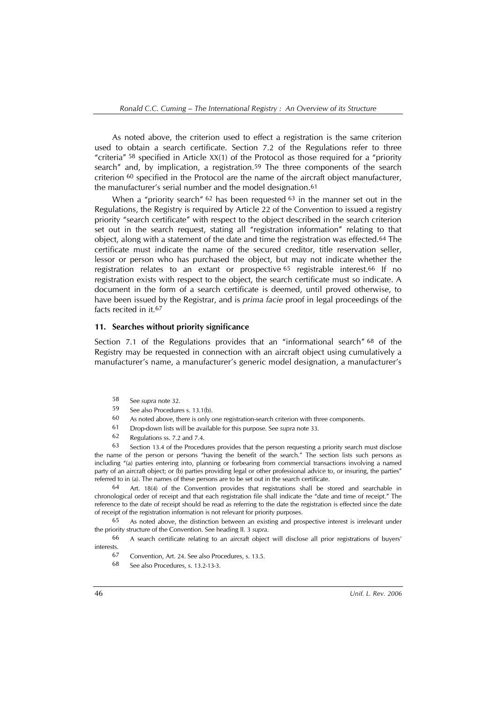As noted above, the criterion used to effect a registration is the same criterion used to obtain a search certificate. Section 7.2 of the Regulations refer to three "criteria" 58 specified in Article XX(1) of the Protocol as those required for a "priority search" and, by implication, a registration.59 The three components of the search criterion 60 specified in the Protocol are the name of the aircraft object manufacturer, the manufacturer's serial number and the model designation.61

When a "priority search" <sup>62</sup> has been requested <sup>63</sup> in the manner set out in the Regulations, the Registry is required by Article 22 of the Convention to issued a registry priority "search certificate" with respect to the object described in the search criterion set out in the search request, stating all "registration information" relating to that object, along with a statement of the date and time the registration was effected.64 The certificate must indicate the name of the secured creditor, title reservation seller, lessor or person who has purchased the object, but may not indicate whether the registration relates to an extant or prospective 65 registrable interest.66 If no registration exists with respect to the object, the search certificate must so indicate. A document in the form of a search certificate is deemed, until proved otherwise, to have been issued by the Registrar, and is *prima facie* proof in legal proceedings of the facts recited in it.67

### **11. Searches without priority significance**

Section 7.1 of the Regulations provides that an "informational search" 68 of the Registry may be requested in connection with an aircraft object using cumulatively a manufacturer's name, a manufacturer's generic model designation, a manufacturer's

- 58 See *supra* note 32.
- 59 See also Procedures s. 13.1(b).
- 60 As noted above, there is only one registration-search criterion with three components.
- 61 Drop-down lists will be available for this purpose. See *supra* note 33.
- Regulations ss. 7.2 and 7.4.

63 Section 13.4 of the Procedures provides that the person requesting a priority search must disclose the name of the person or persons "having the benefit of the search." The section lists such persons as including "(a) parties entering into, planning or forbearing from commercial transactions involving a named party of an aircraft object; or (b) parties providing legal or other professional advice to, or insuring, the parties" referred to in (a). The names of these persons are to be set out in the search certificate.

64 Art. 18(4) of the Convention provides that registrations shall be stored and searchable in chronological order of receipt and that each registration file shall indicate the "date and time of receipt." The reference to the date of receipt should be read as referring to the date the registration is effected since the date of receipt of the registration information is not relevant for priority purposes.

65 As noted above, the distinction between an existing and prospective interest is irrelevant under the priority structure of the Convention. See heading II. 3 *supra*.

66 A search certificate relating to an aircraft object will disclose all prior registrations of buyers' interests.

- 67 Convention, Art. 24. See also Procedures, s. 13.5.
- 68 See also Procedures, s. 13.2-13-3.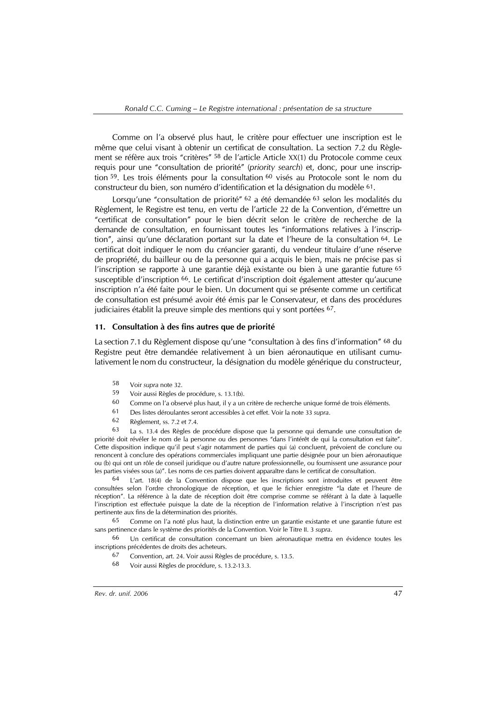Comme on l'a observé plus haut, le critère pour effectuer une inscription est le même que celui visant à obtenir un certificat de consultation. La section 7.2 du Règlement se réfère aux trois "critères" 58 de l'article Article XX(1) du Protocole comme ceux requis pour une "consultation de priorité" (*priority search*) et, donc, pour une inscription 59. Les trois éléments pour la consultation 60 visés au Protocole sont le nom du constructeur du bien, son numéro d'identification et la désignation du modèle 61.

Lorsqu'une "consultation de priorité" 62 a été demandée 63 selon les modalités du Règlement, le Registre est tenu, en vertu de l'article 22 de la Convention, d'émettre un "certificat de consultation" pour le bien décrit selon le critère de recherche de la demande de consultation, en fournissant toutes les "informations relatives à l'inscription", ainsi qu'une déclaration portant sur la date et l'heure de la consultation 64. Le certificat doit indiquer le nom du créancier garanti, du vendeur titulaire d'une réserve de propriété, du bailleur ou de la personne qui a acquis le bien, mais ne précise pas si l'inscription se rapporte à une garantie déjà existante ou bien à une garantie future 65 susceptible d'inscription 66. Le certificat d'inscription doit également attester qu'aucune inscription n'a été faite pour le bien. Un document qui se présente comme un certificat de consultation est présumé avoir été émis par le Conservateur, et dans des procédures judiciaires établit la preuve simple des mentions qui y sont portées 67.

## **11. Consultation à des fins autres que de priorité**

La section 7.1 du Règlement dispose qu'une "consultation à des fins d'information" 68 du Registre peut être demandée relativement à un bien aéronautique en utilisant cumulativement le nom du constructeur, la désignation du modèle générique du constructeur,

- 58 Voir *supra* note 32.
- 59 Voir aussi Règles de procédure, s. 13.1(b).
- 60 Comme on l'a observé plus haut, il y a un critère de recherche unique formé de trois éléments.
- 61 Des listes déroulantes seront accessibles à cet effet. Voir la note 33 *supra*.
- 62 Règlement, ss. 7.2 et 7.4.

63 La s. 13.4 des Règles de procédure dispose que la personne qui demande une consultation de priorité doit révéler le nom de la personne ou des personnes "dans l'intérêt de qui la consultation est faite". Cette disposition indique qu'il peut s'agir notamment de parties qui (a) concluent, prévoient de conclure ou renoncent à conclure des opérations commerciales impliquant une partie désignée pour un bien aéronautique ou (b) qui ont un rôle de conseil juridique ou d'autre nature professionnelle, ou fournissent une assurance pour les parties visées sous (a)". Les noms de ces parties doivent apparaître dans le certificat de consultation.

64 L'art. 18(4) de la Convention dispose que les inscriptions sont introduites et peuvent être consultées selon l'ordre chronologique de réception, et que le fichier enregistre "la date et l'heure de réception". La référence à la date de réception doit être comprise comme se référant à la date à laquelle l'inscription est effectuée puisque la date de la réception de l'information relative à l'inscription n'est pas pertinente aux fins de la détermination des priorités.

65 Comme on l'a noté plus haut, la distinction entre un garantie existante et une garantie future est sans pertinence dans le système des priorités de la Convention. Voir le Titre II. 3 *supra*.

66 Un certificat de consultation concernant un bien aéronautique mettra en évidence toutes les inscriptions précédentes de droits des acheteurs.<br>67 Convention art 24 Voir aussi Pècl

- Convention, art. 24. Voir aussi Règles de procédure, s. 13.5.
- 68 Voir aussi Règles de procédure, s. 13.2-13.3.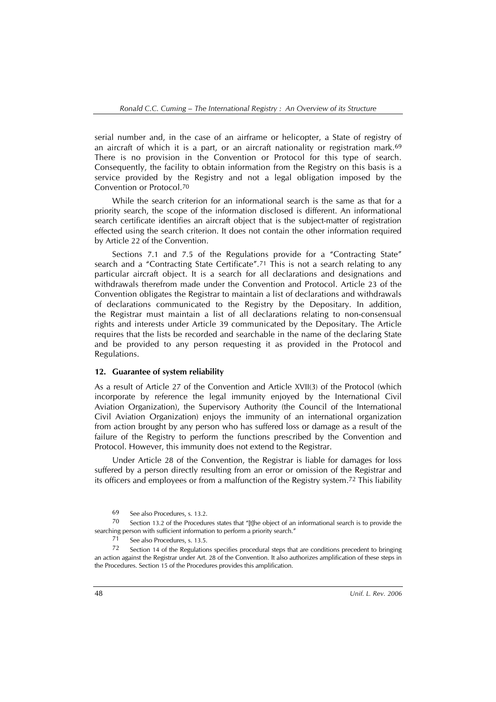serial number and, in the case of an airframe or helicopter, a State of registry of an aircraft of which it is a part, or an aircraft nationality or registration mark.69 There is no provision in the Convention or Protocol for this type of search. Consequently, the facility to obtain information from the Registry on this basis is a service provided by the Registry and not a legal obligation imposed by the Convention or Protocol.70

While the search criterion for an informational search is the same as that for a priority search, the scope of the information disclosed is different. An informational search certificate identifies an aircraft object that is the subject-matter of registration effected using the search criterion. It does not contain the other information required by Article 22 of the Convention.

Sections 7.1 and 7.5 of the Regulations provide for a "Contracting State" search and a "Contracting State Certificate".71 This is not a search relating to any particular aircraft object. It is a search for all declarations and designations and withdrawals therefrom made under the Convention and Protocol. Article 23 of the Convention obligates the Registrar to maintain a list of declarations and withdrawals of declarations communicated to the Registry by the Depositary. In addition, the Registrar must maintain a list of all declarations relating to non-consensual rights and interests under Article 39 communicated by the Depositary. The Article requires that the lists be recorded and searchable in the name of the declaring State and be provided to any person requesting it as provided in the Protocol and Regulations.

# **12. Guarantee of system reliability**

As a result of Article 27 of the Convention and Article XVII(3) of the Protocol (which incorporate by reference the legal immunity enjoyed by the International Civil Aviation Organization), the Supervisory Authority (the Council of the International Civil Aviation Organization) enjoys the immunity of an international organization from action brought by any person who has suffered loss or damage as a result of the failure of the Registry to perform the functions prescribed by the Convention and Protocol. However, this immunity does not extend to the Registrar.

Under Article 28 of the Convention, the Registrar is liable for damages for loss suffered by a person directly resulting from an error or omission of the Registrar and its officers and employees or from a malfunction of the Registry system.72 This liability

71 See also Procedures, s. 13.5.<br>72 Section 14 of the Regulation

<sup>69</sup> See also Procedures, s. 13.2.

<sup>70</sup> Section 13.2 of the Procedures states that "[t]he object of an informational search is to provide the searching person with sufficient information to perform a priority search."

Section 14 of the Regulations specifies procedural steps that are conditions precedent to bringing an action against the Registrar under Art. 28 of the Convention. It also authorizes amplification of these steps in the Procedures. Section 15 of the Procedures provides this amplification.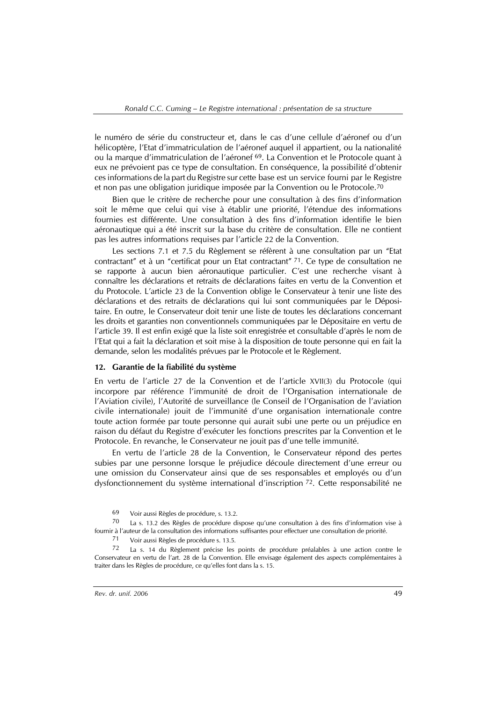le numéro de série du constructeur et, dans le cas d'une cellule d'aéronef ou d'un hélicoptère, l'Etat d'immatriculation de l'aéronef auquel il appartient, ou la nationalité ou la marque d'immatriculation de l'aéronef 69. La Convention et le Protocole quant à eux ne prévoient pas ce type de consultation. En conséquence, la possibilité d'obtenir ces informations de la part du Registre sur cette base est un service fourni par le Registre et non pas une obligation juridique imposée par la Convention ou le Protocole.70

Bien que le critère de recherche pour une consultation à des fins d'information soit le même que celui qui vise à établir une priorité, l'étendue des informations fournies est différente. Une consultation à des fins d'information identifie le bien aéronautique qui a été inscrit sur la base du critère de consultation. Elle ne contient pas les autres informations requises par l'article 22 de la Convention.

Les sections 7.1 et 7.5 du Règlement se réfèrent à une consultation par un "Etat contractant" et à un "certificat pour un Etat contractant" 71. Ce type de consultation ne se rapporte à aucun bien aéronautique particulier. C'est une recherche visant à connaître les déclarations et retraits de déclarations faites en vertu de la Convention et du Protocole. L'article 23 de la Convention oblige le Conservateur à tenir une liste des déclarations et des retraits de déclarations qui lui sont communiquées par le Dépositaire. En outre, le Conservateur doit tenir une liste de toutes les déclarations concernant les droits et garanties non conventionnels communiquées par le Dépositaire en vertu de l'article 39. Il est enfin exigé que la liste soit enregistrée et consultable d'après le nom de l'Etat qui a fait la déclaration et soit mise à la disposition de toute personne qui en fait la demande, selon les modalités prévues par le Protocole et le Règlement.

## **12. Garantie de la fiabilité du système**

En vertu de l'article 27 de la Convention et de l'article XVII(3) du Protocole (qui incorpore par référence l'immunité de droit de l'Organisation internationale de l'Aviation civile), l'Autorité de surveillance (le Conseil de l'Organisation de l'aviation civile internationale) jouit de l'immunité d'une organisation internationale contre toute action formée par toute personne qui aurait subi une perte ou un préjudice en raison du défaut du Registre d'exécuter les fonctions prescrites par la Convention et le Protocole. En revanche, le Conservateur ne jouit pas d'une telle immunité.

En vertu de l'article 28 de la Convention, le Conservateur répond des pertes subies par une personne lorsque le préjudice découle directement d'une erreur ou une omission du Conservateur ainsi que de ses responsables et employés ou d'un dysfonctionnement du système international d'inscription 72. Cette responsabilité ne

<sup>69</sup> Voir aussi Règles de procédure, s. 13.2.

<sup>70</sup> La s. 13.2 des Règles de procédure dispose qu'une consultation à des fins d'information vise à fournir à l'auteur de la consultation des informations suffisantes pour effectuer une consultation de priorité.

<sup>71</sup> Voir aussi Règles de procédure s. 13.5.

<sup>72</sup> La s. 14 du Règlement précise les points de procédure préalables à une action contre le Conservateur en vertu de l'art. 28 de la Convention. Elle envisage également des aspects complémentaires à traiter dans les Règles de procédure, ce qu'elles font dans la s. 15.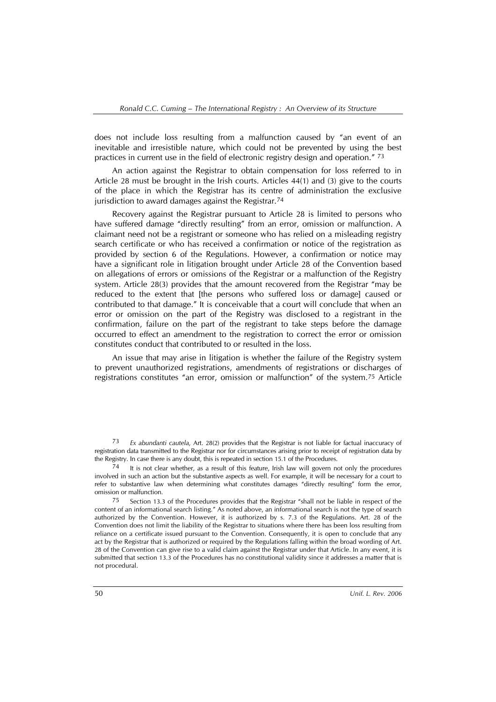does not include loss resulting from a malfunction caused by "an event of an inevitable and irresistible nature, which could not be prevented by using the best practices in current use in the field of electronic registry design and operation." 73

An action against the Registrar to obtain compensation for loss referred to in Article 28 must be brought in the Irish courts. Articles 44(1) and (3) give to the courts of the place in which the Registrar has its centre of administration the exclusive jurisdiction to award damages against the Registrar.74

Recovery against the Registrar pursuant to Article 28 is limited to persons who have suffered damage "directly resulting" from an error, omission or malfunction. A claimant need not be a registrant or someone who has relied on a misleading registry search certificate or who has received a confirmation or notice of the registration as provided by section 6 of the Regulations. However, a confirmation or notice may have a significant role in litigation brought under Article 28 of the Convention based on allegations of errors or omissions of the Registrar or a malfunction of the Registry system. Article 28(3) provides that the amount recovered from the Registrar "may be reduced to the extent that [the persons who suffered loss or damage] caused or contributed to that damage." It is conceivable that a court will conclude that when an error or omission on the part of the Registry was disclosed to a registrant in the confirmation, failure on the part of the registrant to take steps before the damage occurred to effect an amendment to the registration to correct the error or omission constitutes conduct that contributed to or resulted in the loss.

An issue that may arise in litigation is whether the failure of the Registry system to prevent unauthorized registrations, amendments of registrations or discharges of registrations constitutes "an error, omission or malfunction" of the system.75 Article

73 *Ex abundanti cautela,* Art. 28(2) provides that the Registrar is not liable for factual inaccuracy of registration data transmitted to the Registrar nor for circumstances arising prior to receipt of registration data by the Registry. In case there is any doubt, this is repeated in section 15.1 of the Procedures.

75 Section 13.3 of the Procedures provides that the Registrar "shall not be liable in respect of the content of an informational search listing." As noted above, an informational search is not the type of search authorized by the Convention. However, it is authorized by s. 7.3 of the Regulations. Art. 28 of the Convention does not limit the liability of the Registrar to situations where there has been loss resulting from reliance on a certificate issued pursuant to the Convention. Consequently, it is open to conclude that any act by the Registrar that is authorized or required by the Regulations falling within the broad wording of Art. 28 of the Convention can give rise to a valid claim against the Registrar under that Article. In any event, it is submitted that section 13.3 of the Procedures has no constitutional validity since it addresses a matter that is not procedural.

 $74$  It is not clear whether, as a result of this feature, Irish law will govern not only the procedures involved in such an action but the substantive aspects as well. For example, it will be necessary for a court to refer to substantive law when determining what constitutes damages "directly resulting" form the error, omission or malfunction.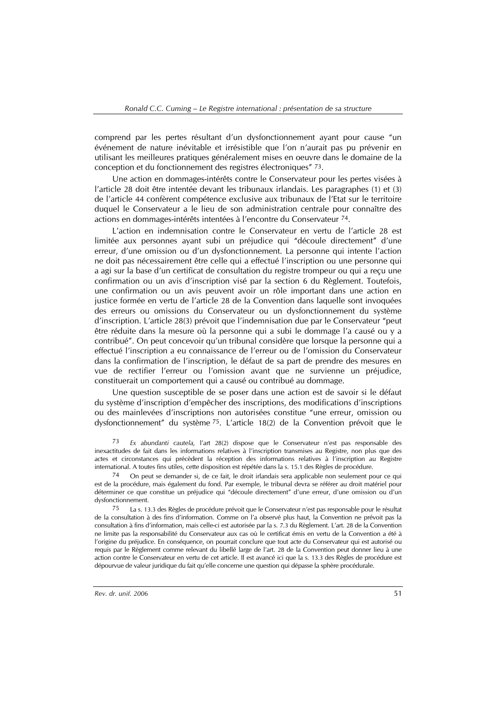comprend par les pertes résultant d'un dysfonctionnement ayant pour cause "un événement de nature inévitable et irrésistible que l'on n'aurait pas pu prévenir en utilisant les meilleures pratiques généralement mises en oeuvre dans le domaine de la conception et du fonctionnement des registres électroniques" 73.

Une action en dommages-intérêts contre le Conservateur pour les pertes visées à l'article 28 doit être intentée devant les tribunaux irlandais. Les paragraphes (1) et (3) de l'article 44 confèrent compétence exclusive aux tribunaux de l'Etat sur le territoire duquel le Conservateur a le lieu de son administration centrale pour connaître des actions en dommages-intérêts intentées à l'encontre du Conservateur 74.

L'action en indemnisation contre le Conservateur en vertu de l'article 28 est limitée aux personnes ayant subi un préjudice qui "découle directement" d'une erreur, d'une omission ou d'un dysfonctionnement. La personne qui intente l'action ne doit pas nécessairement être celle qui a effectué l'inscription ou une personne qui a agi sur la base d'un certificat de consultation du registre trompeur ou qui a reçu une confirmation ou un avis d'inscription visé par la section 6 du Règlement. Toutefois, une confirmation ou un avis peuvent avoir un rôle important dans une action en justice formée en vertu de l'article 28 de la Convention dans laquelle sont invoquées des erreurs ou omissions du Conservateur ou un dysfonctionnement du système d'inscription. L'article 28(3) prévoit que l'indemnisation due par le Conservateur "peut être réduite dans la mesure où la personne qui a subi le dommage l'a causé ou y a contribué". On peut concevoir qu'un tribunal considère que lorsque la personne qui a effectué l'inscription a eu connaissance de l'erreur ou de l'omission du Conservateur dans la confirmation de l'inscription, le défaut de sa part de prendre des mesures en vue de rectifier l'erreur ou l'omission avant que ne survienne un préjudice, constituerait un comportement qui a causé ou contribué au dommage.

Une question susceptible de se poser dans une action est de savoir si le défaut du système d'inscription d'empêcher des inscriptions, des modifications d'inscriptions ou des mainlevées d'inscriptions non autorisées constitue "une erreur, omission ou dysfonctionnement" du système 75. L'article 18(2) de la Convention prévoit que le

73 *Ex abundanti cautela,* l'art 28(2) dispose que le Conservateur n'est pas responsable des inexactitudes de fait dans les informations relatives à l'inscription transmises au Registre, non plus que des actes et circonstances qui précèdent la réception des informations relatives à l'inscription au Registre international. A toutes fins utiles, cette disposition est répétée dans la s. 15.1 des Règles de procédure.

74 On peut se demander si, de ce fait, le droit irlandais sera applicable non seulement pour ce qui est de la procédure, mais également du fond. Par exemple, le tribunal devra se référer au droit matériel pour déterminer ce que constitue un préjudice qui "découle directement" d'une erreur, d'une omission ou d'un dysfonctionnement.<br>  $\frac{75}{12.6 \times 10^{-1}}$ 

La s. 13.3 des Règles de procédure prévoit que le Conservateur n'est pas responsable pour le résultat de la consultation à des fins d'information. Comme on l'a observé plus haut, la Convention ne prévoit pas la consultation à fins d'information, mais celle-ci est autorisée par la s. 7.3 du Règlement. L'art. 28 de la Convention ne limite pas la responsabilité du Conservateur aux cas où le certificat émis en vertu de la Convention a été à l'origine du préjudice. En conséquence, on pourrait conclure que tout acte du Conservateur qui est autorisé ou requis par le Règlement comme relevant du libellé large de l'art. 28 de la Convention peut donner lieu à une action contre le Conservateur en vertu de cet article. Il est avancé ici que la s. 13.3 des Règles de procédure est dépourvue de valeur juridique du fait qu'elle concerne une question qui dépasse la sphère procédurale.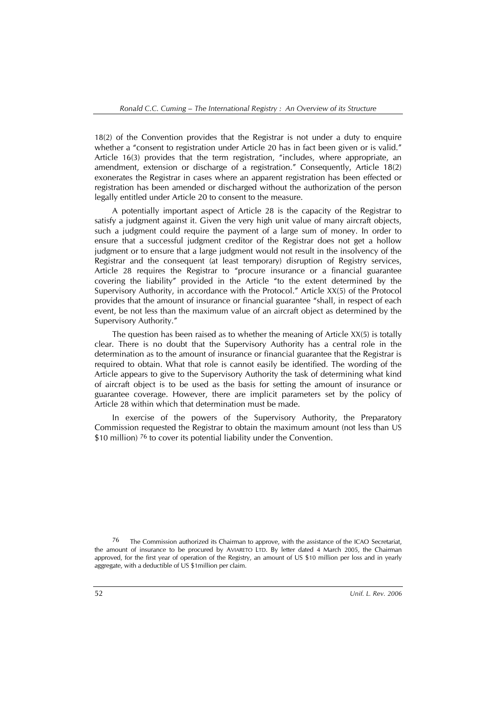18(2) of the Convention provides that the Registrar is not under a duty to enquire whether a "consent to registration under Article 20 has in fact been given or is valid." Article 16(3) provides that the term registration, "includes, where appropriate, an amendment, extension or discharge of a registration." Consequently, Article 18(2) exonerates the Registrar in cases where an apparent registration has been effected or registration has been amended or discharged without the authorization of the person legally entitled under Article 20 to consent to the measure.

A potentially important aspect of Article 28 is the capacity of the Registrar to satisfy a judgment against it. Given the very high unit value of many aircraft objects, such a judgment could require the payment of a large sum of money. In order to ensure that a successful judgment creditor of the Registrar does not get a hollow judgment or to ensure that a large judgment would not result in the insolvency of the Registrar and the consequent (at least temporary) disruption of Registry services, Article 28 requires the Registrar to "procure insurance or a financial guarantee covering the liability" provided in the Article "to the extent determined by the Supervisory Authority, in accordance with the Protocol." Article XX(5) of the Protocol provides that the amount of insurance or financial guarantee "shall, in respect of each event, be not less than the maximum value of an aircraft object as determined by the Supervisory Authority."

The question has been raised as to whether the meaning of Article XX(5) is totally clear. There is no doubt that the Supervisory Authority has a central role in the determination as to the amount of insurance or financial guarantee that the Registrar is required to obtain. What that role is cannot easily be identified. The wording of the Article appears to give to the Supervisory Authority the task of determining what kind of aircraft object is to be used as the basis for setting the amount of insurance or guarantee coverage. However, there are implicit parameters set by the policy of Article 28 within which that determination must be made.

In exercise of the powers of the Supervisory Authority, the Preparatory Commission requested the Registrar to obtain the maximum amount (not less than US \$10 million) <sup>76</sup> to cover its potential liability under the Convention.

76 The Commission authorized its Chairman to approve, with the assistance of the ICAO Secretariat, the amount of insurance to be procured by AVIARETO LTD. By letter dated 4 March 2005, the Chairman approved, for the first year of operation of the Registry, an amount of US \$10 million per loss and in yearly aggregate, with a deductible of US \$1million per claim.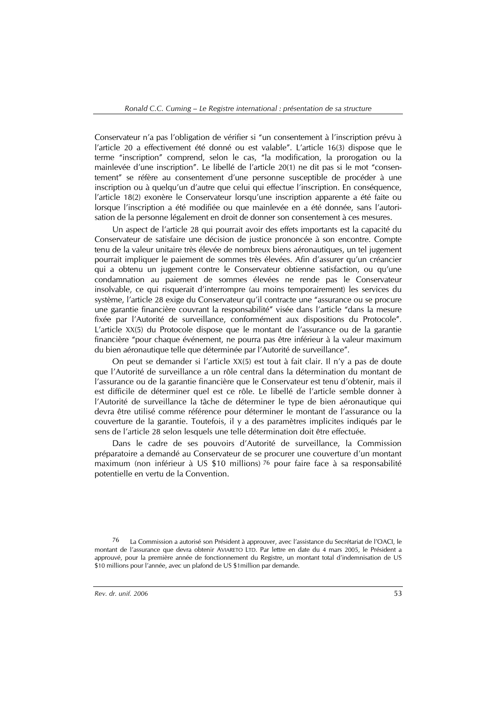Conservateur n'a pas l'obligation de vérifier si "un consentement à l'inscription prévu à l'article 20 a effectivement été donné ou est valable". L'article 16(3) dispose que le terme "inscription" comprend, selon le cas, "la modification, la prorogation ou la mainlevée d'une inscription". Le libellé de l'article 20(1) ne dit pas si le mot "consentement" se réfère au consentement d'une personne susceptible de procéder à une inscription ou à quelqu'un d'autre que celui qui effectue l'inscription. En conséquence, l'article 18(2) exonère le Conservateur lorsqu'une inscription apparente a été faite ou lorsque l'inscription a été modifiée ou que mainlevée en a été donnée, sans l'autorisation de la personne légalement en droit de donner son consentement à ces mesures.

Un aspect de l'article 28 qui pourrait avoir des effets importants est la capacité du Conservateur de satisfaire une décision de justice prononcée à son encontre. Compte tenu de la valeur unitaire très élevée de nombreux biens aéronautiques, un tel jugement pourrait impliquer le paiement de sommes très élevées. Afin d'assurer qu'un créancier qui a obtenu un jugement contre le Conservateur obtienne satisfaction, ou qu'une condamnation au paiement de sommes élevées ne rende pas le Conservateur insolvable, ce qui risquerait d'interrompre (au moins temporairement) les services du système, l'article 28 exige du Conservateur qu'il contracte une "assurance ou se procure une garantie financière couvrant la responsabilité" visée dans l'article "dans la mesure fixée par l'Autorité de surveillance, conformément aux dispositions du Protocole". L'article XX(5) du Protocole dispose que le montant de l'assurance ou de la garantie financière "pour chaque événement, ne pourra pas être inférieur à la valeur maximum du bien aéronautique telle que déterminée par l'Autorité de surveillance".

On peut se demander si l'article XX(5) est tout à fait clair. Il n'y a pas de doute que l'Autorité de surveillance a un rôle central dans la détermination du montant de l'assurance ou de la garantie financière que le Conservateur est tenu d'obtenir, mais il est difficile de déterminer quel est ce rôle. Le libellé de l'article semble donner à l'Autorité de surveillance la tâche de déterminer le type de bien aéronautique qui devra être utilisé comme référence pour déterminer le montant de l'assurance ou la couverture de la garantie. Toutefois, il y a des paramètres implicites indiqués par le sens de l'article 28 selon lesquels une telle détermination doit être effectuée.

Dans le cadre de ses pouvoirs d'Autorité de surveillance, la Commission préparatoire a demandé au Conservateur de se procurer une couverture d'un montant maximum (non inférieur à US \$10 millions) 76 pour faire face à sa responsabilité potentielle en vertu de la Convention.

76 La Commission a autorisé son Président à approuver, avec l'assistance du Secrétariat de l'OACI, le montant de l'assurance que devra obtenir AVIARETO LTD. Par lettre en date du 4 mars 2005, le Président a approuvé, pour la première année de fonctionnement du Registre, un montant total d'indemnisation de US \$10 millions pour l'année, avec un plafond de US \$1million par demande.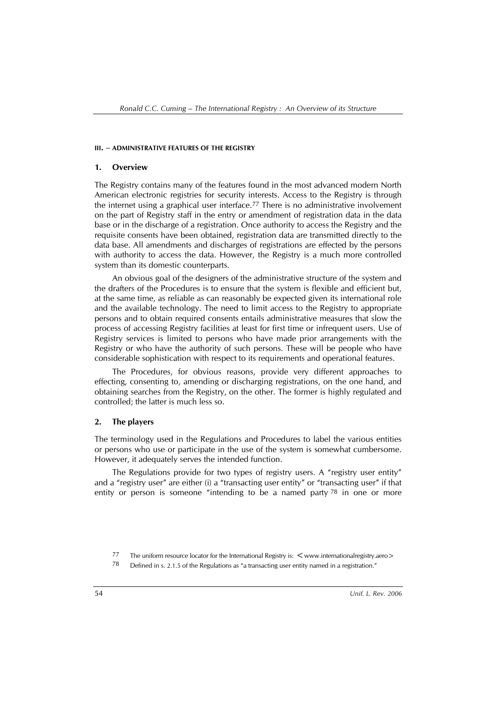#### **III.** – **ADMINISTRATIVE FEATURES OF THE REGISTRY**

### **1. Overview**

The Registry contains many of the features found in the most advanced modern North American electronic registries for security interests. Access to the Registry is through the internet using a graphical user interface.77 There is no administrative involvement on the part of Registry staff in the entry or amendment of registration data in the data base or in the discharge of a registration. Once authority to access the Registry and the requisite consents have been obtained, registration data are transmitted directly to the data base. All amendments and discharges of registrations are effected by the persons with authority to access the data. However, the Registry is a much more controlled system than its domestic counterparts.

An obvious goal of the designers of the administrative structure of the system and the drafters of the Procedures is to ensure that the system is flexible and efficient but, at the same time, as reliable as can reasonably be expected given its international role and the available technology. The need to limit access to the Registry to appropriate persons and to obtain required consents entails administrative measures that slow the process of accessing Registry facilities at least for first time or infrequent users. Use of Registry services is limited to persons who have made prior arrangements with the Registry or who have the authority of such persons. These will be people who have considerable sophistication with respect to its requirements and operational features.

The Procedures, for obvious reasons, provide very different approaches to effecting, consenting to, amending or discharging registrations, on the one hand, and obtaining searches from the Registry, on the other. The former is highly regulated and controlled; the latter is much less so.

#### **2. The players**

The terminology used in the Regulations and Procedures to label the various entities or persons who use or participate in the use of the system is somewhat cumbersome. However, it adequately serves the intended function.

The Regulations provide for two types of registry users. A "registry user entity" and a "registry user" are either (i) a "transacting user entity" or "transacting user" if that entity or person is someone "intending to be a named party 78 in one or more

<sup>77</sup> The uniform resource locator for the International Registry is:  $\leq$  www.internationalregistry.aero>

<sup>78</sup> Defined in s. 2.1.5 of the Regulations as "a transacting user entity named in a registration."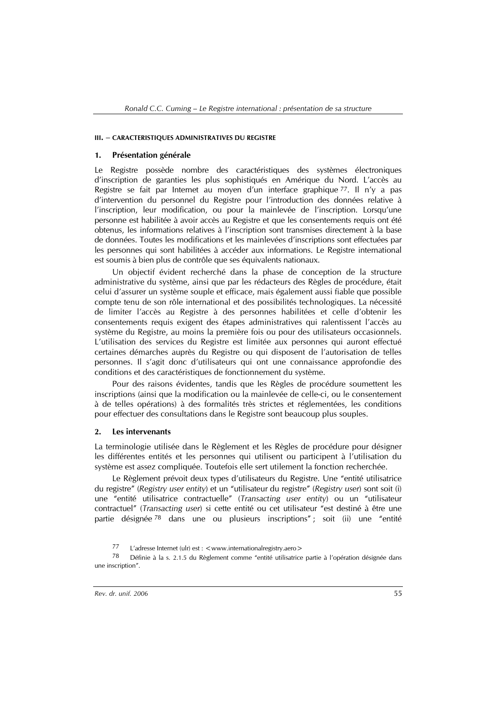#### **III.** – **CARACTERISTIQUES ADMINISTRATIVES DU REGISTRE**

# **1. Présentation générale**

Le Registre possède nombre des caractéristiques des systèmes électroniques d'inscription de garanties les plus sophistiqués en Amérique du Nord. L'accès au Registre se fait par Internet au moyen d'un interface graphique 77. Il n'y a pas d'intervention du personnel du Registre pour l'introduction des données relative à l'inscription, leur modification, ou pour la mainlevée de l'inscription. Lorsqu'une personne est habilitée à avoir accès au Registre et que les consentements requis ont été obtenus, les informations relatives à l'inscription sont transmises directement à la base de données. Toutes les modifications et les mainlevées d'inscriptions sont effectuées par les personnes qui sont habilitées à accéder aux informations. Le Registre international est soumis à bien plus de contrôle que ses équivalents nationaux.

Un objectif évident recherché dans la phase de conception de la structure administrative du système, ainsi que par les rédacteurs des Règles de procédure, était celui d'assurer un système souple et efficace, mais également aussi fiable que possible compte tenu de son rôle international et des possibilités technologiques. La nécessité de limiter l'accès au Registre à des personnes habilitées et celle d'obtenir les consentements requis exigent des étapes administratives qui ralentissent l'accès au système du Registre, au moins la première fois ou pour des utilisateurs occasionnels. L'utilisation des services du Registre est limitée aux personnes qui auront effectué certaines démarches auprès du Registre ou qui disposent de l'autorisation de telles personnes. Il s'agit donc d'utilisateurs qui ont une connaissance approfondie des conditions et des caractéristiques de fonctionnement du système.

Pour des raisons évidentes, tandis que les Règles de procédure soumettent les inscriptions (ainsi que la modification ou la mainlevée de celle-ci, ou le consentement à de telles opérations) à des formalités très strictes et réglementées, les conditions pour effectuer des consultations dans le Registre sont beaucoup plus souples.

#### **2. Les intervenants**

La terminologie utilisée dans le Règlement et les Règles de procédure pour désigner les différentes entités et les personnes qui utilisent ou participent à l'utilisation du système est assez compliquée. Toutefois elle sert utilement la fonction recherchée.

Le Règlement prévoit deux types d'utilisateurs du Registre. Une "entité utilisatrice du registre" (*Registry user entity*) et un "utilisateur du registre" (*Registry user*) sont soit (i) une "entité utilisatrice contractuelle" (*Transacting user entity*) ou un "utilisateur contractuel" (*Transacting user*) si cette entité ou cet utilisateur "est destiné à être une partie désignée<sup>78</sup> dans une ou plusieurs inscriptions"; soit (ii) une "entité

78 Définie à la s. 2.1.5 du Règlement comme "entité utilisatrice partie à l'opération désignée dans une inscription".

<sup>77</sup> L'adresse Internet (ulr) est :  $\lt$ www.internationalregistry.aero $\gt$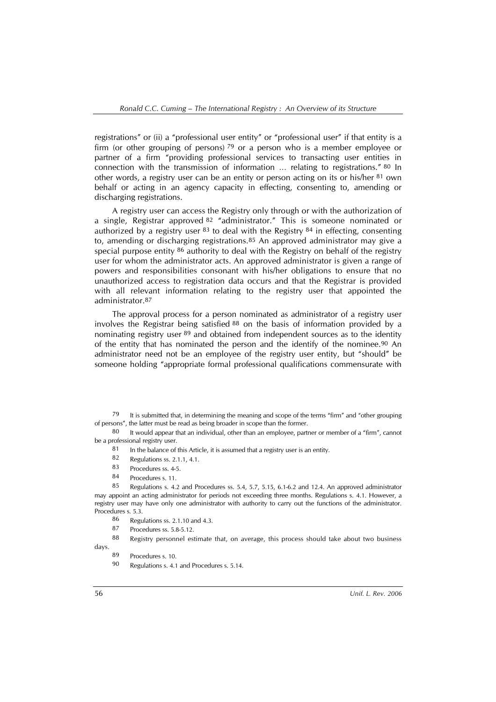registrations" or (ii) a "professional user entity" or "professional user" if that entity is a firm (or other grouping of persons) 79 or a person who is a member employee or partner of a firm "providing professional services to transacting user entities in connection with the transmission of information … relating to registrations." 80 In other words, a registry user can be an entity or person acting on its or his/her 81 own behalf or acting in an agency capacity in effecting, consenting to, amending or discharging registrations.

A registry user can access the Registry only through or with the authorization of a single, Registrar approved  $82$  "administrator." This is someone nominated or authorized by a registry user  $83$  to deal with the Registry  $84$  in effecting, consenting to, amending or discharging registrations.<sup>85</sup> An approved administrator may give a special purpose entity 86 authority to deal with the Registry on behalf of the registry user for whom the administrator acts. An approved administrator is given a range of powers and responsibilities consonant with his/her obligations to ensure that no unauthorized access to registration data occurs and that the Registrar is provided with all relevant information relating to the registry user that appointed the administrator.87

The approval process for a person nominated as administrator of a registry user involves the Registrar being satisfied 88 on the basis of information provided by a nominating registry user 89 and obtained from independent sources as to the identity of the entity that has nominated the person and the identify of the nominee.90 An administrator need not be an employee of the registry user entity, but "should" be someone holding "appropriate formal professional qualifications commensurate with

 $79$  It is submitted that, in determining the meaning and scope of the terms "firm" and "other grouping of persons", the latter must be read as being broader in scope than the former.

80 It would appear that an individual, other than an employee, partner or member of a "firm", cannot be a professional registry user.

- 81 In the balance of this Article, it is assumed that a registry user is an entity.
- 82 Regulations ss. 2.1.1, 4.1.
- 83 Procedures ss. 4-5.
- 84 Procedures s. 11.

85 Regulations s. 4.2 and Procedures ss. 5.4, 5.7, 5.15, 6.1-6.2 and 12.4. An approved administrator may appoint an acting administrator for periods not exceeding three months. Regulations s. 4.1. However, a registry user may have only one administrator with authority to carry out the functions of the administrator. Procedures s. 5.3.

- 86 Regulations ss. 2.1.10 and 4.3.
- 87 Procedures ss. 5.8-5.12.

Procedures s. 10.

88 Registry personnel estimate that, on average, this process should take about two business

days.

90 Regulations s. 4.1 and Procedures s. 5.14.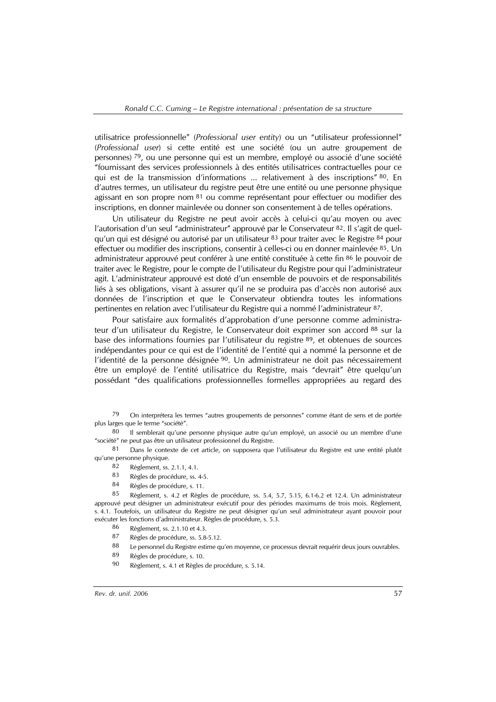utilisatrice professionnelle" (*Professional user entity*) ou un "utilisateur professionnel" (*Professional user*) si cette entité est une société (ou un autre groupement de personnes) 79, ou une personne qui est un membre, employé ou associé d'une société "fournissant des services professionnels à des entités utilisatrices contractuelles pour ce qui est de la transmission d'informations ... relativement à des inscriptions" 80. En d'autres termes, un utilisateur du registre peut être une entité ou une personne physique agissant en son propre nom 81 ou comme représentant pour effectuer ou modifier des inscriptions, en donner mainlevée ou donner son consentement à de telles opérations.

Un utilisateur du Registre ne peut avoir accès à celui-ci qu'au moyen ou avec l'autorisation d'un seul "administrateur" approuvé par le Conservateur 82. Il s'agit de quelqu'un qui est désigné ou autorisé par un utilisateur 83 pour traiter avec le Registre 84 pour effectuer ou modifier des inscriptions, consentir à celles-ci ou en donner mainlevée 85. Un administrateur approuvé peut conférer à une entité constituée à cette fin 86 le pouvoir de traiter avec le Registre, pour le compte de l'utilisateur du Registre pour qui l'administrateur agit. L'administrateur approuvé est doté d'un ensemble de pouvoirs et de responsabilités liés à ses obligations, visant à assurer qu'il ne se produira pas d'accès non autorisé aux données de l'inscription et que le Conservateur obtiendra toutes les informations pertinentes en relation avec l'utilisateur du Registre qui a nommé l'administrateur 87.

Pour satisfaire aux formalités d'approbation d'une personne comme administrateur d'un utilisateur du Registre, le Conservateur doit exprimer son accord 88 sur la base des informations fournies par l'utilisateur du registre 89, et obtenues de sources indépendantes pour ce qui est de l'identité de l'entité qui a nommé la personne et de l'identité de la personne désignée 90. Un administrateur ne doit pas nécessairement être un employé de l'entité utilisatrice du Registre, mais "devrait" être quelqu'un possédant "des qualifications professionnelles formelles appropriées au regard des

80 Il semblerait qu'une personne physique autre qu'un employé, un associé ou un membre d'une "société" ne peut pas être un utilisateur professionnel du Registre.

81 Dans le contexte de cet article, on supposera que l'utilisateur du Registre est une entité plutôt qu'une personne physique.

- 82 Règlement, ss. 2.1.1, 4.1.
- 83 Règles de procédure, ss. 4-5.
- 84 Règles de procédure, s. 11.

85 Règlement, s. 4.2 et Règles de procédure, ss. 5.4, 5.7, 5.15, 6.1-6.2 et 12.4. Un administrateur approuvé peut désigner un administrateur exécutif pour des périodes maximums de trois mois. Règlement, s. 4.1. Toutefois, un utilisateur du Registre ne peut désigner qu'un seul administrateur ayant pouvoir pour exécuter les fonctions d'administrateur. Règles de procédure, s. 5.3.<br>86 Dèclement et 0,1,10 et 4.2.

- 86 Règlement, ss. 2.1.10 et 4.3.<br>87 Pèries de presédure et 5.8
- 87 Règles de procédure, ss. 5.8-5.12.<br>88 Le personnel du Bogistre estime su
- Le personnel du Registre estime qu'en moyenne, ce processus devrait requérir deux jours ouvrables.
- 89 Règles de procédure, s. 10.
- 90 Règlement, s. 4.1 et Règles de procédure, s. 5.14.

<sup>79</sup> On interprétera les termes "autres groupements de personnes" comme étant de sens et de portée plus larges que le terme "société".

*Rev. dr. unif. 2006* 57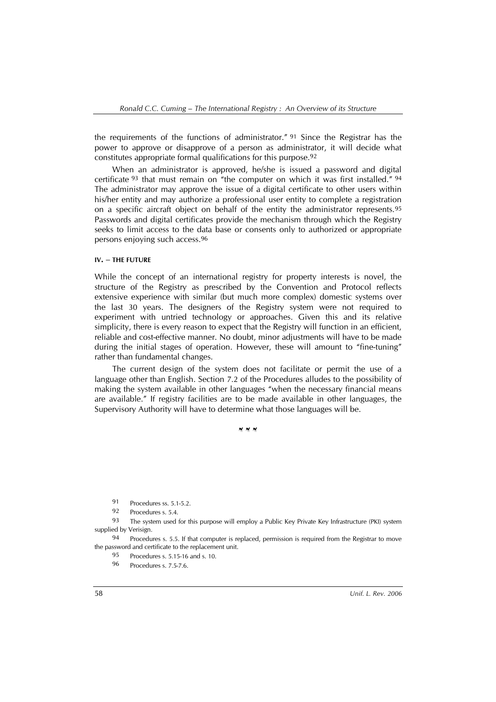the requirements of the functions of administrator." 91 Since the Registrar has the power to approve or disapprove of a person as administrator, it will decide what constitutes appropriate formal qualifications for this purpose.92

When an administrator is approved, he/she is issued a password and digital certificate 93 that must remain on "the computer on which it was first installed." 94 The administrator may approve the issue of a digital certificate to other users within his/her entity and may authorize a professional user entity to complete a registration on a specific aircraft object on behalf of the entity the administrator represents.95 Passwords and digital certificates provide the mechanism through which the Registry seeks to limit access to the data base or consents only to authorized or appropriate persons enjoying such access.96

# **IV.** – **THE FUTURE**

While the concept of an international registry for property interests is novel, the structure of the Registry as prescribed by the Convention and Protocol reflects extensive experience with similar (but much more complex) domestic systems over the last 30 years. The designers of the Registry system were not required to experiment with untried technology or approaches. Given this and its relative simplicity, there is every reason to expect that the Registry will function in an efficient, reliable and cost-effective manner. No doubt, minor adjustments will have to be made during the initial stages of operation. However, these will amount to "fine-tuning" rather than fundamental changes.

The current design of the system does not facilitate or permit the use of a language other than English. Section 7.2 of the Procedures alludes to the possibility of making the system available in other languages "when the necessary financial means are available." If registry facilities are to be made available in other languages, the Supervisory Authority will have to determine what those languages will be.

<u>ನ ನ ನ</u>

93 The system used for this purpose will employ a Public Key Private Key Infrastructure (PKI) system supplied by Verisign.

94 Procedures s. 5.5. If that computer is replaced, permission is required from the Registrar to move the password and certificate to the replacement unit.<br>
<sup>95</sup> Precedures 6, 5.15, 16, and 6, 19

96 Procedures s. 7.5-7.6.

<sup>91</sup> Procedures ss. 5.1-5.2.

<sup>92</sup> Procedures s. 5.4.

Procedures s. 5.15-16 and s. 10.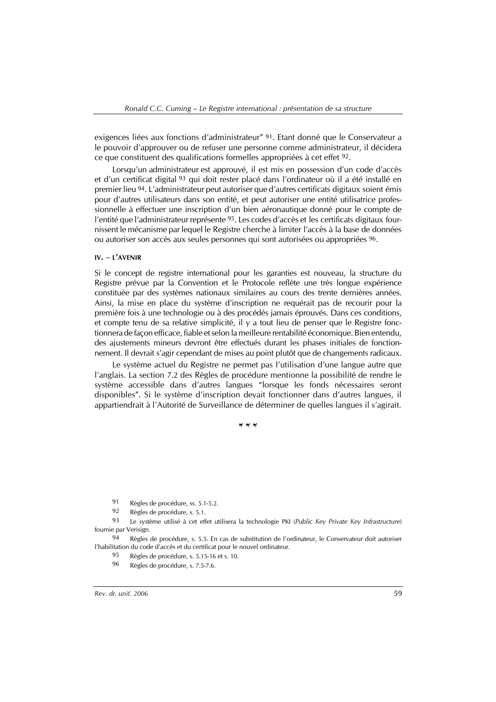exigences liées aux fonctions d'administrateur" 91. Etant donné que le Conservateur a le pouvoir d'approuver ou de refuser une personne comme administrateur, il décidera ce que constituent des qualifications formelles appropriées à cet effet 92.

Lorsqu'un administrateur est approuvé, il est mis en possession d'un code d'accès et d'un certificat digital 93 qui doit rester placé dans l'ordinateur où il a été installé en premier lieu 94. L'administrateur peut autoriser que d'autres certificats digitaux soient émis pour d'autres utilisateurs dans son entité, et peut autoriser une entité utilisatrice professionnelle à effectuer une inscription d'un bien aéronautique donné pour le compte de l'entité que l'administrateur représente 95. Les codes d'accès et les certificats digitaux fournissent le mécanisme par lequel le Registre cherche à limiter l'accès à la base de données ou autoriser son accès aux seules personnes qui sont autorisées ou appropriées 96.

## **IV.** – **L'AVENIR**

Si le concept de registre international pour les garanties est nouveau, la structure du Registre prévue par la Convention et le Protocole reflète une très longue expérience constituée par des systèmes nationaux similaires au cours des trente dernières années. Ainsi, la mise en place du système d'inscription ne requérait pas de recourir pour la première fois à une technologie ou à des procédés jamais éprouvés. Dans ces conditions, et compte tenu de sa relative simplicité, il y a tout lieu de penser que le Registre fonctionnera de façon efficace, fiable et selon la meilleure rentabilité économique. Bien entendu, des ajustements mineurs devront être effectués durant les phases initiales de fonctionnement. Il devrait s'agir cependant de mises au point plutôt que de changements radicaux.

Le système actuel du Registre ne permet pas l'utilisation d'une langue autre que l'anglais. La section 7.2 des Règles de procédure mentionne la possibilité de rendre le système accessible dans d'autres langues "lorsque les fonds nécessaires seront disponibles". Si le système d'inscription devait fonctionner dans d'autres langues, il appartiendrait à l'Autorité de Surveillance de déterminer de quelles langues il s'agirait.

 $M$  $M$  $R$ 

93 Le système utilisé à cet effet utilisera la technologie PKI (*Public Key Private Key Infrastructure*) fournie par Verisign.

94 Règles de procédure, s. 5.5. En cas de substitution de l'ordinateur, le Conservateur doit autoriser l'habilitation du code d'accès et du certificat pour le nouvel ordinateur.<br>95 Règles de procédure  $s$  5.15-16 et s. 10

Règles de procédure, s. 5.15-16 et s. 10.

96 Règles de procédure, s. 7.5-7.6.

<sup>91</sup> Règles de procédure, ss. 5.1-5.2.

<sup>92</sup> Règles de procédure, s. 5.1.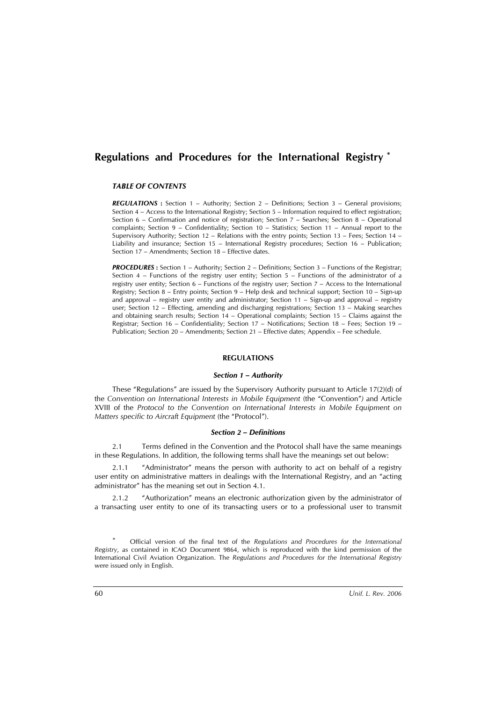# **Regulations and Procedures for the International Registry \***

# *TABLE OF CONTENTS*

*REGULATIONS* **:** Section 1 – Authority; Section 2 – Definitions; Section 3 – General provisions; Section 4 – Access to the International Registry; Section 5 – Information required to effect registration; Section 6 – Confirmation and notice of registration; Section 7 – Searches; Section 8 – Operational complaints; Section 9 – Confidentiality; Section 10 – Statistics; Section 11 – Annual report to the Supervisory Authority; Section 12 – Relations with the entry points; Section 13 – Fees; Section 14 – Liability and insurance; Section 15 – International Registry procedures; Section 16 – Publication; Section 17 – Amendments; Section 18 – Effective dates.

**PROCEDURES** : Section 1 – Authority; Section 2 – Definitions; Section 3 – Functions of the Registrar; Section 4 – Functions of the registry user entity; Section 5 – Functions of the administrator of a registry user entity; Section  $6 -$  Functions of the registry user; Section  $7 -$  Access to the International Registry; Section 8 – Entry points; Section 9 – Help desk and technical support; Section 10 – Sign-up and approval – registry user entity and administrator; Section 11 – Sign-up and approval – registry user; Section 12 – Effecting, amending and discharging registrations; Section 13 – Making searches and obtaining search results; Section 14 – Operational complaints; Section 15 – Claims against the Registrar; Section 16 – Confidentiality; Section 17 – Notifications; Section 18 – Fees; Section 19 – Publication; Section 20 – Amendments; Section 21 – Effective dates; Appendix – Fee schedule.

#### **REGULATIONS**

#### *Section 1 – Authority*

These "Regulations" are issued by the Supervisory Authority pursuant to Article 17(2)(d) of the *Convention on International Interests in Mobile Equipment* (the "Convention"*)* and Article XVIII of the *Protocol to the Convention on International Interests in Mobile Equipment on Matters specific to Aircraft Equipment* (the "Protocol").

#### *Section 2 – Definitions*

2.1 Terms defined in the Convention and the Protocol shall have the same meanings in these Regulations. In addition, the following terms shall have the meanings set out below:

2.1.1 "Administrator" means the person with authority to act on behalf of a registry user entity on administrative matters in dealings with the International Registry, and an "acting administrator" has the meaning set out in Section 4.1.

2.1.2 "Authorization" means an electronic authorization given by the administrator of a transacting user entity to one of its transacting users or to a professional user to transmit

\* Official version of the final text of the *Regulations and Procedures for the International Registry*, as contained in ICAO Document 9864, which is reproduced with the kind permission of the International Civil Aviation Organization. The *Regulations and Procedures for the International Registry* were issued only in English.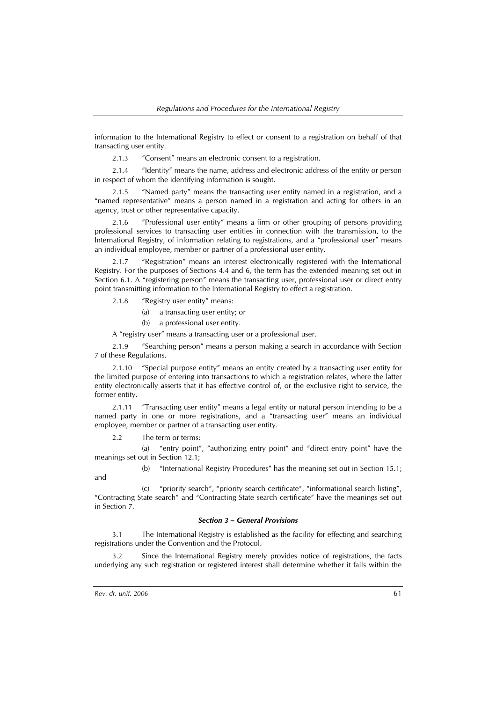information to the International Registry to effect or consent to a registration on behalf of that transacting user entity.

2.1.3 "Consent" means an electronic consent to a registration.

2.1.4 "Identity" means the name, address and electronic address of the entity or person in respect of whom the identifying information is sought.

2.1.5 "Named party" means the transacting user entity named in a registration, and a "named representative" means a person named in a registration and acting for others in an agency, trust or other representative capacity.

2.1.6 "Professional user entity" means a firm or other grouping of persons providing professional services to transacting user entities in connection with the transmission, to the International Registry, of information relating to registrations, and a "professional user" means an individual employee, member or partner of a professional user entity.

2.1.7 "Registration" means an interest electronically registered with the International Registry. For the purposes of Sections 4.4 and 6, the term has the extended meaning set out in Section 6.1. A "registering person" means the transacting user, professional user or direct entry point transmitting information to the International Registry to effect a registration.

2.1.8 "Registry user entity" means:

(a) a transacting user entity; or

(b) a professional user entity.

A "registry user" means a transacting user or a professional user.

2.1.9 "Searching person" means a person making a search in accordance with Section 7 of these Regulations.

2.1.10 "Special purpose entity" means an entity created by a transacting user entity for the limited purpose of entering into transactions to which a registration relates, where the latter entity electronically asserts that it has effective control of, or the exclusive right to service, the former entity.

2.1.11 "Transacting user entity" means a legal entity or natural person intending to be a named party in one or more registrations, and a "transacting user" means an individual employee, member or partner of a transacting user entity.

2.2 The term or terms:

 (a) "entry point", "authorizing entry point" and "direct entry point" have the meanings set out in Section 12.1;

 (b) "International Registry Procedures" has the meaning set out in Section 15.1; and

 (c) "priority search", "priority search certificate", "informational search listing", "Contracting State search" and "Contracting State search certificate" have the meanings set out in Section 7.

#### *Section 3 – General Provisions*

3.1 The International Registry is established as the facility for effecting and searching registrations under the Convention and the Protocol.

3.2 Since the International Registry merely provides notice of registrations, the facts underlying any such registration or registered interest shall determine whether it falls within the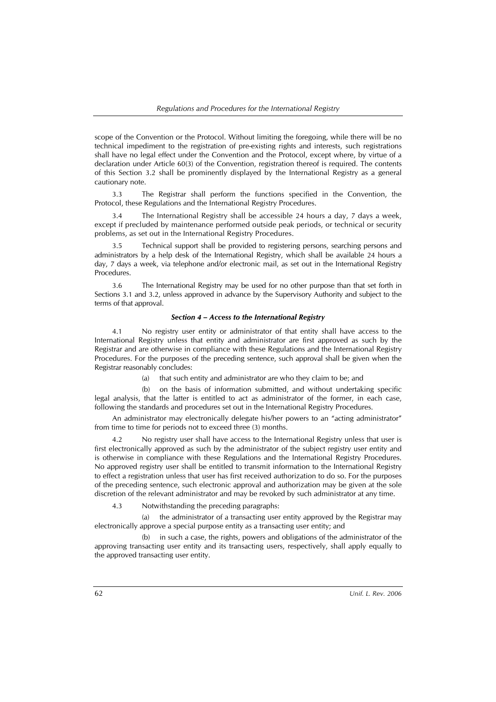scope of the Convention or the Protocol. Without limiting the foregoing, while there will be no technical impediment to the registration of pre-existing rights and interests, such registrations shall have no legal effect under the Convention and the Protocol, except where, by virtue of a declaration under Article 60(3) of the Convention, registration thereof is required. The contents of this Section 3.2 shall be prominently displayed by the International Registry as a general cautionary note.

3.3 The Registrar shall perform the functions specified in the Convention, the Protocol, these Regulations and the International Registry Procedures.

3.4 The International Registry shall be accessible 24 hours a day, 7 days a week, except if precluded by maintenance performed outside peak periods, or technical or security problems, as set out in the International Registry Procedures.

3.5 Technical support shall be provided to registering persons, searching persons and administrators by a help desk of the International Registry, which shall be available 24 hours a day, 7 days a week, via telephone and/or electronic mail, as set out in the International Registry Procedures.

3.6 The International Registry may be used for no other purpose than that set forth in Sections 3.1 and 3.2, unless approved in advance by the Supervisory Authority and subject to the terms of that approval.

## *Section 4 – Access to the International Registry*

4.1 No registry user entity or administrator of that entity shall have access to the International Registry unless that entity and administrator are first approved as such by the Registrar and are otherwise in compliance with these Regulations and the International Registry Procedures. For the purposes of the preceding sentence, such approval shall be given when the Registrar reasonably concludes:

(a) that such entity and administrator are who they claim to be; and

 (b) on the basis of information submitted, and without undertaking specific legal analysis, that the latter is entitled to act as administrator of the former, in each case, following the standards and procedures set out in the International Registry Procedures.

An administrator may electronically delegate his/her powers to an "acting administrator" from time to time for periods not to exceed three (3) months.

4.2 No registry user shall have access to the International Registry unless that user is first electronically approved as such by the administrator of the subject registry user entity and is otherwise in compliance with these Regulations and the International Registry Procedures. No approved registry user shall be entitled to transmit information to the International Registry to effect a registration unless that user has first received authorization to do so. For the purposes of the preceding sentence, such electronic approval and authorization may be given at the sole discretion of the relevant administrator and may be revoked by such administrator at any time.

4.3 Notwithstanding the preceding paragraphs:

 (a) the administrator of a transacting user entity approved by the Registrar may electronically approve a special purpose entity as a transacting user entity; and

 (b) in such a case, the rights, powers and obligations of the administrator of the approving transacting user entity and its transacting users, respectively, shall apply equally to the approved transacting user entity.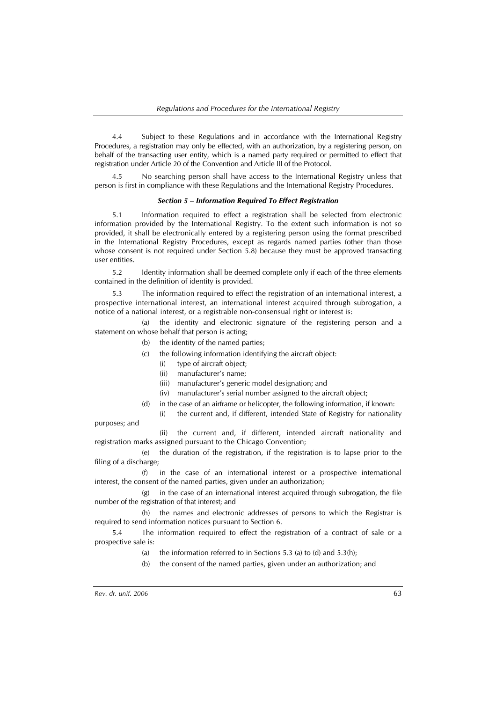4.4 Subject to these Regulations and in accordance with the International Registry Procedures, a registration may only be effected, with an authorization, by a registering person, on behalf of the transacting user entity, which is a named party required or permitted to effect that registration under Article 20 of the Convention and Article III of the Protocol.

4.5 No searching person shall have access to the International Registry unless that person is first in compliance with these Regulations and the International Registry Procedures.

#### *Section 5 – Information Required To Effect Registration*

5.1 Information required to effect a registration shall be selected from electronic information provided by the International Registry. To the extent such information is not so provided, it shall be electronically entered by a registering person using the format prescribed in the International Registry Procedures, except as regards named parties (other than those whose consent is not required under Section 5.8) because they must be approved transacting user entities.

5.2 Identity information shall be deemed complete only if each of the three elements contained in the definition of identity is provided.

5.3 The information required to effect the registration of an international interest, a prospective international interest, an international interest acquired through subrogation, a notice of a national interest, or a registrable non-consensual right or interest is:

 (a) the identity and electronic signature of the registering person and a statement on whose behalf that person is acting;

- (b) the identity of the named parties;
- (c) the following information identifying the aircraft object:
	- (i) type of aircraft object;
	- (ii) manufacturer's name;
	- (iii) manufacturer's generic model designation; and
	- (iv) manufacturer's serial number assigned to the aircraft object;
- (d) in the case of an airframe or helicopter, the following information, if known:
	- (i) the current and, if different, intended State of Registry for nationality

purposes; and

 (ii) the current and, if different, intended aircraft nationality and registration marks assigned pursuant to the Chicago Convention;

 (e) the duration of the registration, if the registration is to lapse prior to the filing of a discharge;

 (f) in the case of an international interest or a prospective international interest, the consent of the named parties, given under an authorization;

 (g) in the case of an international interest acquired through subrogation, the file number of the registration of that interest; and

 (h) the names and electronic addresses of persons to which the Registrar is required to send information notices pursuant to Section 6.

5.4 The information required to effect the registration of a contract of sale or a prospective sale is:

- (a) the information referred to in Sections  $5.3$  (a) to (d) and  $5.3$ (h);
- (b) the consent of the named parties, given under an authorization; and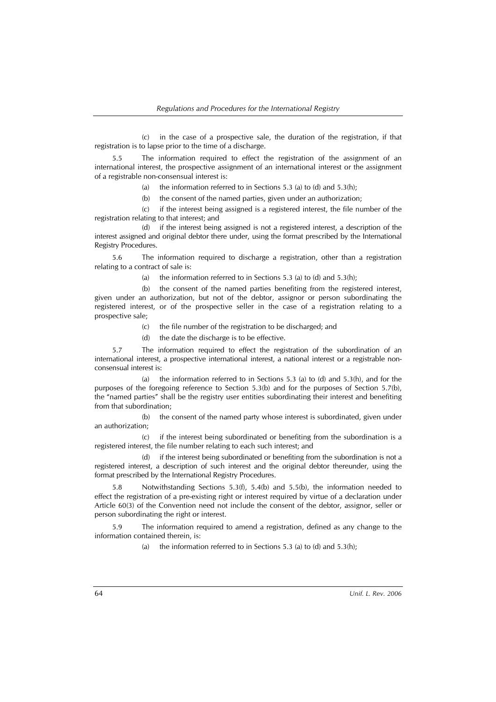(c) in the case of a prospective sale, the duration of the registration, if that registration is to lapse prior to the time of a discharge.

5.5 The information required to effect the registration of the assignment of an international interest, the prospective assignment of an international interest or the assignment of a registrable non-consensual interest is:

(a) the information referred to in Sections 5.3 (a) to (d) and  $5.3(h)$ ;

(b) the consent of the named parties, given under an authorization;

 (c) if the interest being assigned is a registered interest, the file number of the registration relating to that interest; and

 (d) if the interest being assigned is not a registered interest, a description of the interest assigned and original debtor there under, using the format prescribed by the International Registry Procedures.

5.6 The information required to discharge a registration, other than a registration relating to a contract of sale is:

(a) the information referred to in Sections 5.3 (a) to (d) and  $5.3(h)$ ;

 (b) the consent of the named parties benefiting from the registered interest, given under an authorization, but not of the debtor, assignor or person subordinating the registered interest, or of the prospective seller in the case of a registration relating to a prospective sale;

- (c) the file number of the registration to be discharged; and
- (d) the date the discharge is to be effective.

5.7 The information required to effect the registration of the subordination of an international interest, a prospective international interest, a national interest or a registrable nonconsensual interest is:

 (a) the information referred to in Sections 5.3 (a) to (d) and 5.3(h), and for the purposes of the foregoing reference to Section 5.3(b) and for the purposes of Section 5.7(b), the "named parties" shall be the registry user entities subordinating their interest and benefiting from that subordination;

 (b) the consent of the named party whose interest is subordinated, given under an authorization;

 (c) if the interest being subordinated or benefiting from the subordination is a registered interest, the file number relating to each such interest; and

 (d) if the interest being subordinated or benefiting from the subordination is not a registered interest, a description of such interest and the original debtor thereunder, using the format prescribed by the International Registry Procedures.

5.8 Notwithstanding Sections 5.3(f), 5.4(b) and 5.5(b), the information needed to effect the registration of a pre-existing right or interest required by virtue of a declaration under Article 60(3) of the Convention need not include the consent of the debtor, assignor, seller or person subordinating the right or interest.

5.9 The information required to amend a registration, defined as any change to the information contained therein, is:

(a) the information referred to in Sections  $5.3$  (a) to (d) and  $5.3$ (h);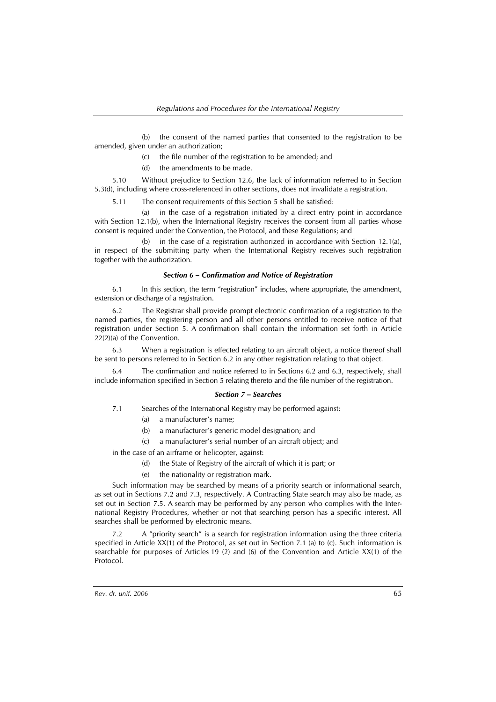(b) the consent of the named parties that consented to the registration to be amended, given under an authorization;

- (c) the file number of the registration to be amended; and
- (d) the amendments to be made.

5.10 Without prejudice to Section 12.6, the lack of information referred to in Section 5.3(d), including where cross-referenced in other sections, does not invalidate a registration.

5.11 The consent requirements of this Section 5 shall be satisfied:

 (a) in the case of a registration initiated by a direct entry point in accordance with Section 12.1(b), when the International Registry receives the consent from all parties whose consent is required under the Convention, the Protocol, and these Regulations; and

 (b) in the case of a registration authorized in accordance with Section 12.1(a), in respect of the submitting party when the International Registry receives such registration together with the authorization.

#### *Section 6 – Confirmation and Notice of Registration*

6.1 In this section, the term "registration" includes, where appropriate, the amendment, extension or discharge of a registration.

6.2 The Registrar shall provide prompt electronic confirmation of a registration to the named parties, the registering person and all other persons entitled to receive notice of that registration under Section 5. A confirmation shall contain the information set forth in Article 22(2)(a) of the Convention.

6.3 When a registration is effected relating to an aircraft object, a notice thereof shall be sent to persons referred to in Section 6.2 in any other registration relating to that object.

6.4 The confirmation and notice referred to in Sections 6.2 and 6.3, respectively, shall include information specified in Section 5 relating thereto and the file number of the registration.

#### *Section 7 – Searches*

- 7.1 Searches of the International Registry may be performed against:
	- (a) a manufacturer's name;
	- (b) a manufacturer's generic model designation; and
	- (c) a manufacturer's serial number of an aircraft object; and

in the case of an airframe or helicopter, against:

- (d) the State of Registry of the aircraft of which it is part; or
- (e) the nationality or registration mark.

Such information may be searched by means of a priority search or informational search, as set out in Sections 7.2 and 7.3, respectively. A Contracting State search may also be made, as set out in Section 7.5. A search may be performed by any person who complies with the International Registry Procedures, whether or not that searching person has a specific interest. All searches shall be performed by electronic means.

7.2 A "priority search" is a search for registration information using the three criteria specified in Article XX(1) of the Protocol, as set out in Section 7.1 (a) to (c). Such information is searchable for purposes of Articles 19 (2) and (6) of the Convention and Article XX(1) of the Protocol.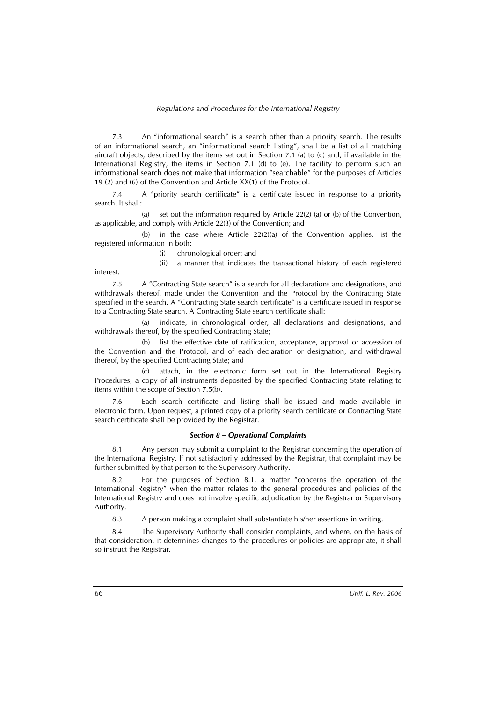7.3 An "informational search" is a search other than a priority search. The results of an informational search, an "informational search listing", shall be a list of all matching aircraft objects, described by the items set out in Section 7.1 (a) to (c) and, if available in the International Registry, the items in Section 7.1 (d) to (e). The facility to perform such an informational search does not make that information "searchable" for the purposes of Articles 19 (2) and (6) of the Convention and Article XX(1) of the Protocol.

7.4 A "priority search certificate" is a certificate issued in response to a priority search. It shall:

 (a) set out the information required by Article 22(2) (a) or (b) of the Convention, as applicable, and comply with Article 22(3) of the Convention; and

 (b) in the case where Article 22(2)(a) of the Convention applies, list the registered information in both:

(i) chronological order; and

(ii) a manner that indicates the transactional history of each registered

7.5 A "Contracting State search" is a search for all declarations and designations, and withdrawals thereof, made under the Convention and the Protocol by the Contracting State specified in the search. A "Contracting State search certificate" is a certificate issued in response to a Contracting State search. A Contracting State search certificate shall:

 (a) indicate, in chronological order, all declarations and designations, and withdrawals thereof, by the specified Contracting State;

 (b) list the effective date of ratification, acceptance, approval or accession of the Convention and the Protocol, and of each declaration or designation, and withdrawal thereof, by the specified Contracting State; and

 (c) attach, in the electronic form set out in the International Registry Procedures, a copy of all instruments deposited by the specified Contracting State relating to items within the scope of Section 7.5(b).

7.6 Each search certificate and listing shall be issued and made available in electronic form. Upon request, a printed copy of a priority search certificate or Contracting State search certificate shall be provided by the Registrar.

#### *Section 8 – Operational Complaints*

8.1 Any person may submit a complaint to the Registrar concerning the operation of the International Registry. If not satisfactorily addressed by the Registrar, that complaint may be further submitted by that person to the Supervisory Authority.

8.2 For the purposes of Section 8.1, a matter "concerns the operation of the International Registry" when the matter relates to the general procedures and policies of the International Registry and does not involve specific adjudication by the Registrar or Supervisory Authority.

8.3 A person making a complaint shall substantiate his/her assertions in writing.

8.4 The Supervisory Authority shall consider complaints, and where, on the basis of that consideration, it determines changes to the procedures or policies are appropriate, it shall so instruct the Registrar.

interest.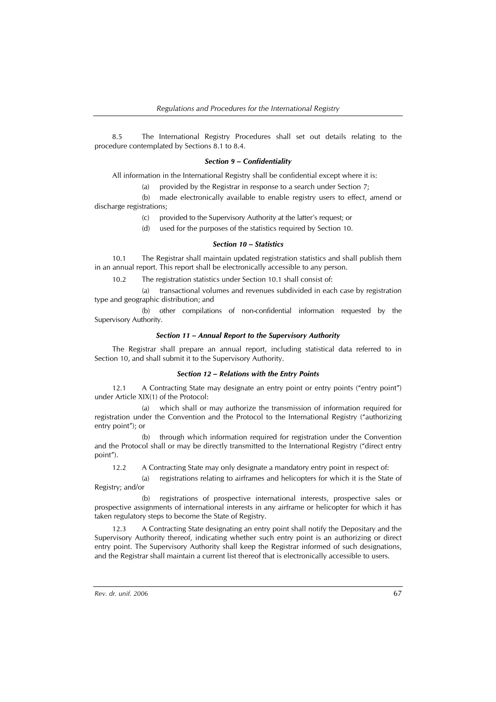8.5 The International Registry Procedures shall set out details relating to the procedure contemplated by Sections 8.1 to 8.4.

#### *Section 9 – Confidentiality*

All information in the International Registry shall be confidential except where it is:

(a) provided by the Registrar in response to a search under Section 7;

 (b) made electronically available to enable registry users to effect, amend or discharge registrations;

(c) provided to the Supervisory Authority at the latter's request; or

(d) used for the purposes of the statistics required by Section 10.

### *Section 10 – Statistics*

10.1 The Registrar shall maintain updated registration statistics and shall publish them in an annual report. This report shall be electronically accessible to any person.

10.2 The registration statistics under Section 10.1 shall consist of:

 (a) transactional volumes and revenues subdivided in each case by registration type and geographic distribution; and

 (b) other compilations of non-confidential information requested by the Supervisory Authority.

#### *Section 11 – Annual Report to the Supervisory Authority*

The Registrar shall prepare an annual report, including statistical data referred to in Section 10, and shall submit it to the Supervisory Authority.

#### *Section 12 – Relations with the Entry Points*

12.1 A Contracting State may designate an entry point or entry points ("entry point") under Article XIX(1) of the Protocol:

 (a) which shall or may authorize the transmission of information required for registration under the Convention and the Protocol to the International Registry ("authorizing entry point"); or

 (b) through which information required for registration under the Convention and the Protocol shall or may be directly transmitted to the International Registry ("direct entry point").

12.2 A Contracting State may only designate a mandatory entry point in respect of:

 (a) registrations relating to airframes and helicopters for which it is the State of Registry; and/or

 (b) registrations of prospective international interests, prospective sales or prospective assignments of international interests in any airframe or helicopter for which it has taken regulatory steps to become the State of Registry.

12.3 A Contracting State designating an entry point shall notify the Depositary and the Supervisory Authority thereof, indicating whether such entry point is an authorizing or direct entry point. The Supervisory Authority shall keep the Registrar informed of such designations, and the Registrar shall maintain a current list thereof that is electronically accessible to users.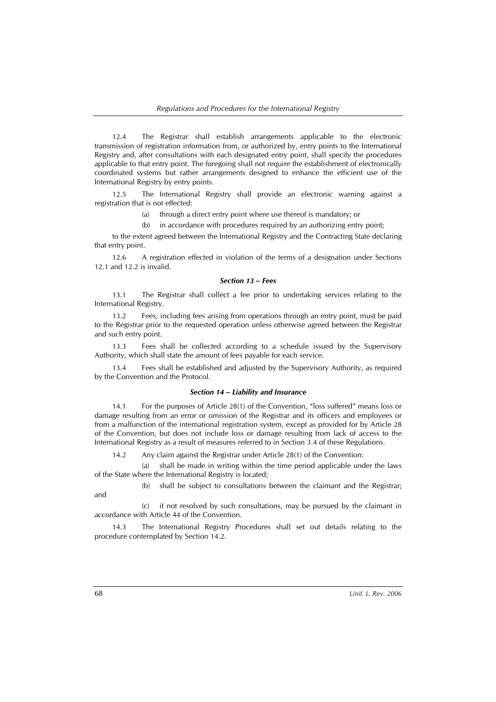12.4 The Registrar shall establish arrangements applicable to the electronic transmission of registration information from, or authorized by, entry points to the International Registry and, after consultations with each designated entry point, shall specify the procedures applicable to that entry point. The foregoing shall not require the establishment of electronically coordinated systems but rather arrangements designed to enhance the efficient use of the International Registry by entry points.

12.5 The International Registry shall provide an electronic warning against a registration that is not effected:

- (a) through a direct entry point where use thereof is mandatory; or
- (b) in accordance with procedures required by an authorizing entry point;

to the extent agreed between the International Registry and the Contracting State declaring that entry point.

12.6 A registration effected in violation of the terms of a designation under Sections 12.1 and 12.2 is invalid.

#### *Section 13 – Fees*

13.1 The Registrar shall collect a fee prior to undertaking services relating to the International Registry.

13.2 Fees, including fees arising from operations through an entry point, must be paid to the Registrar prior to the requested operation unless otherwise agreed between the Registrar and such entry point.

13.3 Fees shall be collected according to a schedule issued by the Supervisory Authority, which shall state the amount of fees payable for each service.

13.4 Fees shall be established and adjusted by the Supervisory Authority, as required by the Convention and the Protocol.

#### *Section 14 – Liability and Insurance*

14.1 For the purposes of Article 28(1) of the Convention, "loss suffered" means loss or damage resulting from an error or omission of the Registrar and its officers and employees or from a malfunction of the international registration system, except as provided for by Article 28 of the Convention, but does not include loss or damage resulting from lack of access to the International Registry as a result of measures referred to in Section 3.4 of these Regulations.

14.2 Any claim against the Registrar under Article 28(1) of the Convention:

 (a) shall be made in writing within the time period applicable under the laws of the State where the International Registry is located;

 (b) shall be subject to consultations between the claimant and the Registrar; and

 (c) if not resolved by such consultations, may be pursued by the claimant in accordance with Article 44 of the Convention.

14.3 The International Registry Procedures shall set out details relating to the procedure contemplated by Section 14.2.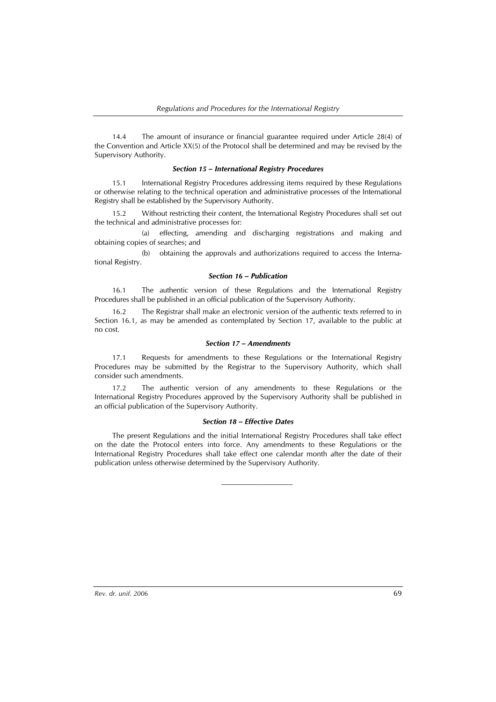14.4 The amount of insurance or financial guarantee required under Article 28(4) of the Convention and Article XX(5) of the Protocol shall be determined and may be revised by the Supervisory Authority.

## *Section 15 – International Registry Procedures*

15.1 International Registry Procedures addressing items required by these Regulations or otherwise relating to the technical operation and administrative processes of the International Registry shall be established by the Supervisory Authority.

15.2 Without restricting their content, the International Registry Procedures shall set out the technical and administrative processes for:

 (a) effecting, amending and discharging registrations and making and obtaining copies of searches; and

 (b) obtaining the approvals and authorizations required to access the International Registry.

#### *Section 16 – Publication*

16.1 The authentic version of these Regulations and the International Registry Procedures shall be published in an official publication of the Supervisory Authority.

16.2 The Registrar shall make an electronic version of the authentic texts referred to in Section 16.1, as may be amended as contemplated by Section 17, available to the public at no cost.

## *Section 17 – Amendments*

17.1 Requests for amendments to these Regulations or the International Registry Procedures may be submitted by the Registrar to the Supervisory Authority, which shall consider such amendments.

17.2 The authentic version of any amendments to these Regulations or the International Registry Procedures approved by the Supervisory Authority shall be published in an official publication of the Supervisory Authority.

## *Section 18 – Effective Dates*

The present Regulations and the initial International Registry Procedures shall take effect on the date the Protocol enters into force. Any amendments to these Regulations or the International Registry Procedures shall take effect one calendar month after the date of their publication unless otherwise determined by the Supervisory Authority.

 $\mathcal{L}=\mathcal{L}^{\mathcal{L}}$  , where  $\mathcal{L}^{\mathcal{L}}$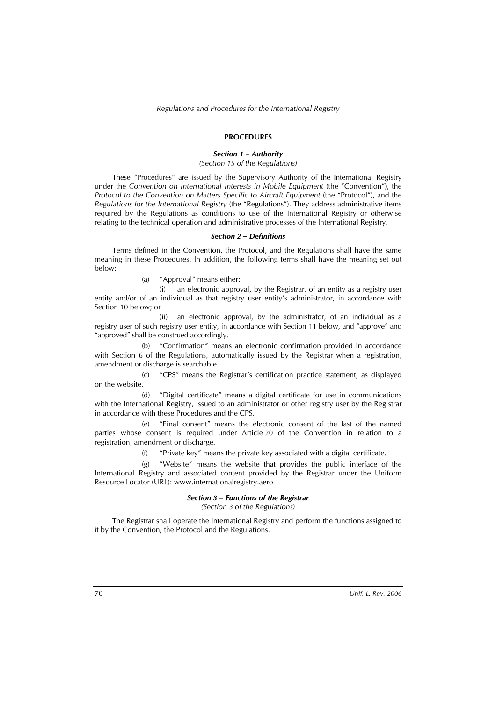# **PROCEDURES**

## *Section 1 – Authority*

*(Section 15 of the Regulations)*

These "Procedures" are issued by the Supervisory Authority of the International Registry under the *Convention on International Interests in Mobile Equipment* (the "Convention"), the *Protocol to the Convention on Matters Specific to Aircraft Equipment* (the "Protocol"), and the *Regulations for the International Registry* (the "Regulations"). They address administrative items required by the Regulations as conditions to use of the International Registry or otherwise relating to the technical operation and administrative processes of the International Registry.

#### *Section 2 – Definitions*

Terms defined in the Convention, the Protocol, and the Regulations shall have the same meaning in these Procedures. In addition, the following terms shall have the meaning set out below:

(a) "Approval" means either:

 (i) an electronic approval, by the Registrar, of an entity as a registry user entity and/or of an individual as that registry user entity's administrator, in accordance with Section 10 below; or

 (ii) an electronic approval, by the administrator, of an individual as a registry user of such registry user entity, in accordance with Section 11 below, and "approve" and "approved" shall be construed accordingly.

 (b) "Confirmation" means an electronic confirmation provided in accordance with Section 6 of the Regulations, automatically issued by the Registrar when a registration, amendment or discharge is searchable.

 (c) "CPS" means the Registrar's certification practice statement, as displayed on the website.

 (d) "Digital certificate" means a digital certificate for use in communications with the International Registry, issued to an administrator or other registry user by the Registrar in accordance with these Procedures and the CPS.

 (e) "Final consent" means the electronic consent of the last of the named parties whose consent is required under Article 20 of the Convention in relation to a registration, amendment or discharge.

(f) "Private key" means the private key associated with a digital certificate.

 (g) "Website" means the website that provides the public interface of the International Registry and associated content provided by the Registrar under the Uniform Resource Locator (URL): www.internationalregistry.aero

#### *Section 3 – Functions of the Registrar*

*(Section 3 of the Regulations)* 

The Registrar shall operate the International Registry and perform the functions assigned to it by the Convention, the Protocol and the Regulations.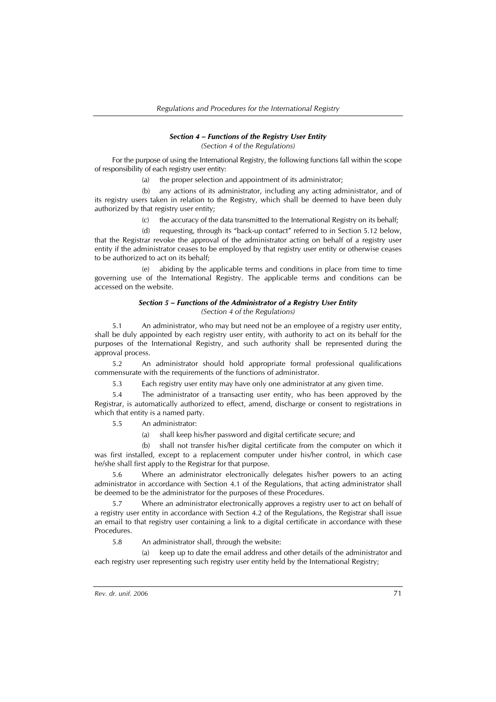#### *Section 4 – Functions of the Registry User Entity*

*(Section 4 of the Regulations)*

For the purpose of using the International Registry, the following functions fall within the scope of responsibility of each registry user entity:

(a) the proper selection and appointment of its administrator;

 (b) any actions of its administrator, including any acting administrator, and of its registry users taken in relation to the Registry, which shall be deemed to have been duly authorized by that registry user entity;

(c) the accuracy of the data transmitted to the International Registry on its behalf;

 (d) requesting, through its "back-up contact" referred to in Section 5.12 below, that the Registrar revoke the approval of the administrator acting on behalf of a registry user entity if the administrator ceases to be employed by that registry user entity or otherwise ceases to be authorized to act on its behalf;

abiding by the applicable terms and conditions in place from time to time governing use of the International Registry. The applicable terms and conditions can be accessed on the website.

# *Section 5 – Functions of the Administrator of a Registry User Entity (Section 4 of the Regulations)*

5.1 An administrator, who may but need not be an employee of a registry user entity, shall be duly appointed by each registry user entity, with authority to act on its behalf for the purposes of the International Registry, and such authority shall be represented during the approval process.

5.2 An administrator should hold appropriate formal professional qualifications commensurate with the requirements of the functions of administrator.

5.3 Each registry user entity may have only one administrator at any given time.

5.4 The administrator of a transacting user entity, who has been approved by the Registrar, is automatically authorized to effect, amend, discharge or consent to registrations in which that entity is a named party.

5.5 An administrator:

(a) shall keep his/her password and digital certificate secure; and

 (b) shall not transfer his/her digital certificate from the computer on which it was first installed, except to a replacement computer under his/her control, in which case he/she shall first apply to the Registrar for that purpose.

5.6 Where an administrator electronically delegates his/her powers to an acting administrator in accordance with Section 4.1 of the Regulations, that acting administrator shall be deemed to be the administrator for the purposes of these Procedures.

5.7 Where an administrator electronically approves a registry user to act on behalf of a registry user entity in accordance with Section 4.2 of the Regulations, the Registrar shall issue an email to that registry user containing a link to a digital certificate in accordance with these Procedures.

5.8 An administrator shall, through the website:

 (a) keep up to date the email address and other details of the administrator and each registry user representing such registry user entity held by the International Registry;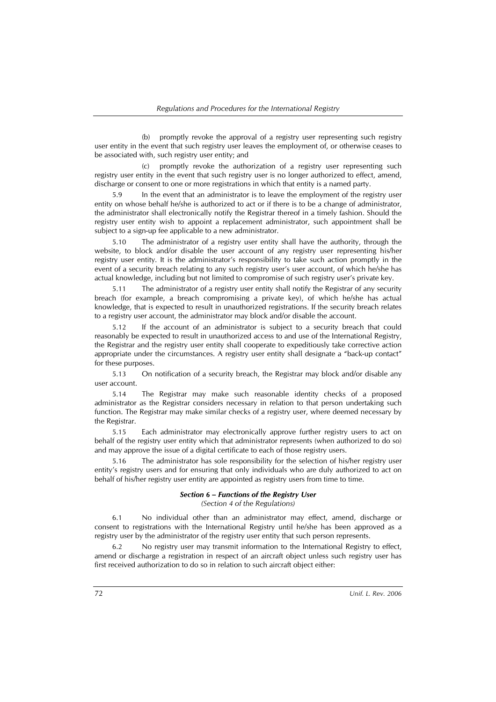(b) promptly revoke the approval of a registry user representing such registry user entity in the event that such registry user leaves the employment of, or otherwise ceases to be associated with, such registry user entity; and

 (c) promptly revoke the authorization of a registry user representing such registry user entity in the event that such registry user is no longer authorized to effect, amend, discharge or consent to one or more registrations in which that entity is a named party.

5.9 In the event that an administrator is to leave the employment of the registry user entity on whose behalf he/she is authorized to act or if there is to be a change of administrator, the administrator shall electronically notify the Registrar thereof in a timely fashion. Should the registry user entity wish to appoint a replacement administrator, such appointment shall be subject to a sign-up fee applicable to a new administrator.

5.10 The administrator of a registry user entity shall have the authority, through the website, to block and/or disable the user account of any registry user representing his/her registry user entity. It is the administrator's responsibility to take such action promptly in the event of a security breach relating to any such registry user's user account, of which he/she has actual knowledge, including but not limited to compromise of such registry user's private key.

5.11 The administrator of a registry user entity shall notify the Registrar of any security breach (for example, a breach compromising a private key), of which he/she has actual knowledge, that is expected to result in unauthorized registrations. If the security breach relates to a registry user account, the administrator may block and/or disable the account.

5.12 If the account of an administrator is subject to a security breach that could reasonably be expected to result in unauthorized access to and use of the International Registry, the Registrar and the registry user entity shall cooperate to expeditiously take corrective action appropriate under the circumstances. A registry user entity shall designate a "back-up contact" for these purposes.

5.13 On notification of a security breach, the Registrar may block and/or disable any user account.

5.14 The Registrar may make such reasonable identity checks of a proposed administrator as the Registrar considers necessary in relation to that person undertaking such function. The Registrar may make similar checks of a registry user, where deemed necessary by the Registrar.

5.15 Each administrator may electronically approve further registry users to act on behalf of the registry user entity which that administrator represents (when authorized to do so) and may approve the issue of a digital certificate to each of those registry users.

The administrator has sole responsibility for the selection of his/her registry user entity's registry users and for ensuring that only individuals who are duly authorized to act on behalf of his/her registry user entity are appointed as registry users from time to time.

#### *Section 6 – Functions of the Registry User (Section 4 of the Regulations)*

6.1 No individual other than an administrator may effect, amend, discharge or consent to registrations with the International Registry until he/she has been approved as a registry user by the administrator of the registry user entity that such person represents.

6.2 No registry user may transmit information to the International Registry to effect, amend or discharge a registration in respect of an aircraft object unless such registry user has first received authorization to do so in relation to such aircraft object either: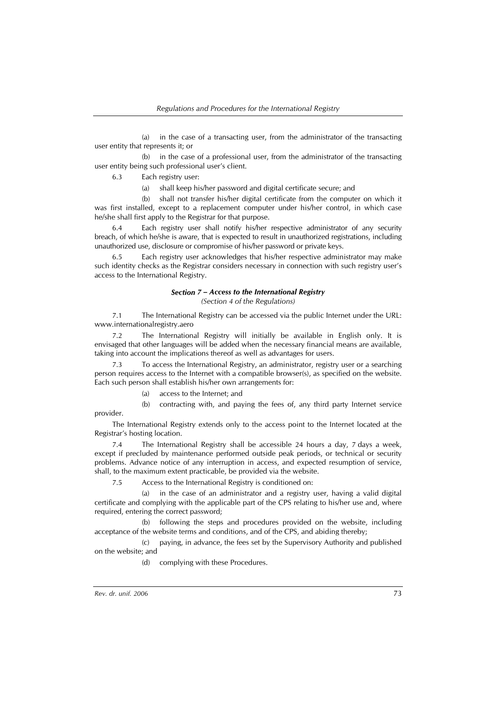(a) in the case of a transacting user, from the administrator of the transacting user entity that represents it; or

 (b) in the case of a professional user, from the administrator of the transacting user entity being such professional user's client.

6.3 Each registry user:

(a) shall keep his/her password and digital certificate secure; and

 (b) shall not transfer his/her digital certificate from the computer on which it was first installed, except to a replacement computer under his/her control, in which case he/she shall first apply to the Registrar for that purpose.

6.4 Each registry user shall notify his/her respective administrator of any security breach, of which he/she is aware, that is expected to result in unauthorized registrations, including unauthorized use, disclosure or compromise of his/her password or private keys.

6.5 Each registry user acknowledges that his/her respective administrator may make such identity checks as the Registrar considers necessary in connection with such registry user's access to the International Registry.

# *Section 7 – Access to the International Registry*

*(Section 4 of the Regulations)*

7.1 The International Registry can be accessed via the public Internet under the URL: www.internationalregistry.aero

7.2 The International Registry will initially be available in English only. It is envisaged that other languages will be added when the necessary financial means are available, taking into account the implications thereof as well as advantages for users.

7.3 To access the International Registry, an administrator, registry user or a searching person requires access to the Internet with a compatible browser(s), as specified on the website. Each such person shall establish his/her own arrangements for:

(a) access to the Internet; and

(b) contracting with, and paying the fees of, any third party Internet service

The International Registry extends only to the access point to the Internet located at the Registrar's hosting location.

7.4 The International Registry shall be accessible 24 hours a day, 7 days a week, except if precluded by maintenance performed outside peak periods, or technical or security problems. Advance notice of any interruption in access, and expected resumption of service, shall, to the maximum extent practicable, be provided via the website.

7.5 Access to the International Registry is conditioned on:

 (a) in the case of an administrator and a registry user, having a valid digital certificate and complying with the applicable part of the CPS relating to his/her use and, where required, entering the correct password;

 (b) following the steps and procedures provided on the website, including acceptance of the website terms and conditions, and of the CPS, and abiding thereby;

 (c) paying, in advance, the fees set by the Supervisory Authority and published on the website; and

(d) complying with these Procedures.

provider.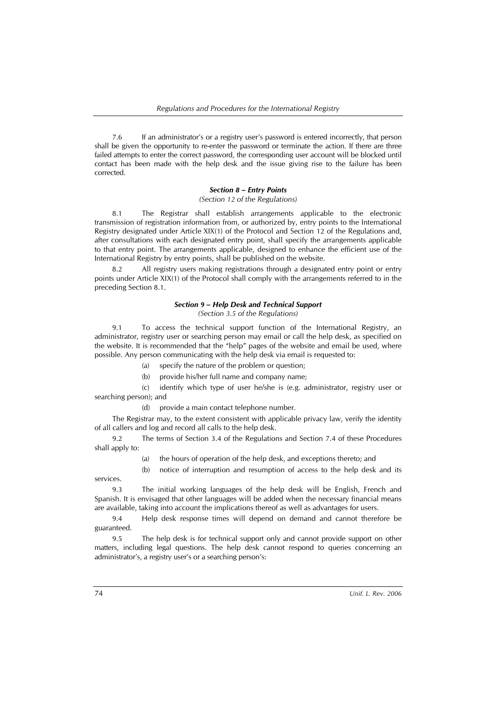7.6 If an administrator's or a registry user's password is entered incorrectly, that person shall be given the opportunity to re-enter the password or terminate the action. If there are three failed attempts to enter the correct password, the corresponding user account will be blocked until contact has been made with the help desk and the issue giving rise to the failure has been corrected.

#### *Section 8 – Entry Points*

## *(Section 12 of the Regulations)*

8.1 The Registrar shall establish arrangements applicable to the electronic transmission of registration information from, or authorized by, entry points to the International Registry designated under Article XIX(1) of the Protocol and Section 12 of the Regulations and, after consultations with each designated entry point, shall specify the arrangements applicable to that entry point. The arrangements applicable, designed to enhance the efficient use of the International Registry by entry points, shall be published on the website.

8.2 All registry users making registrations through a designated entry point or entry points under Article XIX(1) of the Protocol shall comply with the arrangements referred to in the preceding Section 8.1.

# *Section 9 – Help Desk and Technical Support*

*(Section 3.5 of the Regulations)* 

9.1 To access the technical support function of the International Registry, an administrator, registry user or searching person may email or call the help desk, as specified on the website. It is recommended that the "help" pages of the website and email be used, where possible. Any person communicating with the help desk via email is requested to:

- (a) specify the nature of the problem or question;
- (b) provide his/her full name and company name;

 (c) identify which type of user he/she is (e.g. administrator, registry user or searching person); and

(d) provide a main contact telephone number.

The Registrar may, to the extent consistent with applicable privacy law, verify the identity of all callers and log and record all calls to the help desk.

9.2 The terms of Section 3.4 of the Regulations and Section 7.4 of these Procedures shall apply to:

(a) the hours of operation of the help desk, and exceptions thereto; and

 (b) notice of interruption and resumption of access to the help desk and its services.

9.3 The initial working languages of the help desk will be English, French and Spanish. It is envisaged that other languages will be added when the necessary financial means are available, taking into account the implications thereof as well as advantages for users.

9.4 Help desk response times will depend on demand and cannot therefore be guaranteed.

9.5 The help desk is for technical support only and cannot provide support on other matters, including legal questions. The help desk cannot respond to queries concerning an administrator's, a registry user's or a searching person's: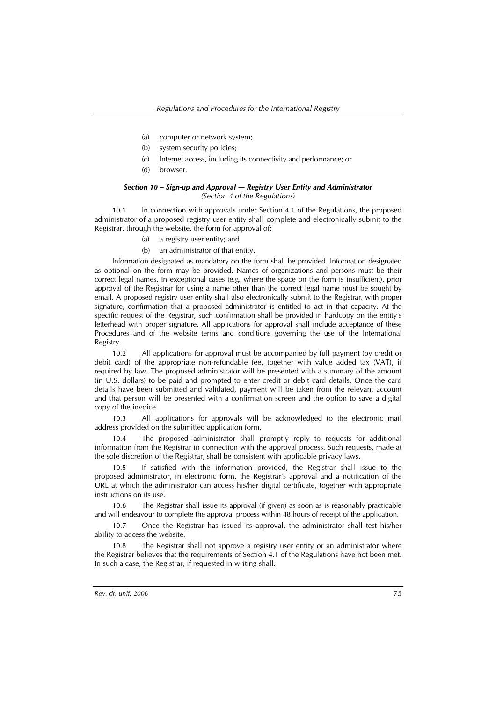- (a) computer or network system;
- (b) system security policies;
- (c) Internet access, including its connectivity and performance; or
- (d) browser.

# *Section 10 – Sign-up and Approval — Registry User Entity and Administrator (Section 4 of the Regulations)*

10.1 In connection with approvals under Section 4.1 of the Regulations, the proposed administrator of a proposed registry user entity shall complete and electronically submit to the Registrar, through the website, the form for approval of:

- (a) a registry user entity; and
- (b) an administrator of that entity.

Information designated as mandatory on the form shall be provided. Information designated as optional on the form may be provided. Names of organizations and persons must be their correct legal names. In exceptional cases (e.g. where the space on the form is insufficient), prior approval of the Registrar for using a name other than the correct legal name must be sought by email. A proposed registry user entity shall also electronically submit to the Registrar, with proper signature, confirmation that a proposed administrator is entitled to act in that capacity. At the specific request of the Registrar, such confirmation shall be provided in hardcopy on the entity's letterhead with proper signature. All applications for approval shall include acceptance of these Procedures and of the website terms and conditions governing the use of the International Registry.

10.2 All applications for approval must be accompanied by full payment (by credit or debit card) of the appropriate non-refundable fee, together with value added tax (VAT), if required by law. The proposed administrator will be presented with a summary of the amount (in U.S. dollars) to be paid and prompted to enter credit or debit card details. Once the card details have been submitted and validated, payment will be taken from the relevant account and that person will be presented with a confirmation screen and the option to save a digital copy of the invoice.

10.3 All applications for approvals will be acknowledged to the electronic mail address provided on the submitted application form.

10.4 The proposed administrator shall promptly reply to requests for additional information from the Registrar in connection with the approval process. Such requests, made at the sole discretion of the Registrar, shall be consistent with applicable privacy laws.

If satisfied with the information provided, the Registrar shall issue to the proposed administrator, in electronic form, the Registrar's approval and a notification of the URL at which the administrator can access his/her digital certificate, together with appropriate instructions on its use.

10.6 The Registrar shall issue its approval (if given) as soon as is reasonably practicable and will endeavour to complete the approval process within 48 hours of receipt of the application.

10.7 Once the Registrar has issued its approval, the administrator shall test his/her ability to access the website.

10.8 The Registrar shall not approve a registry user entity or an administrator where the Registrar believes that the requirements of Section 4.1 of the Regulations have not been met. In such a case, the Registrar, if requested in writing shall: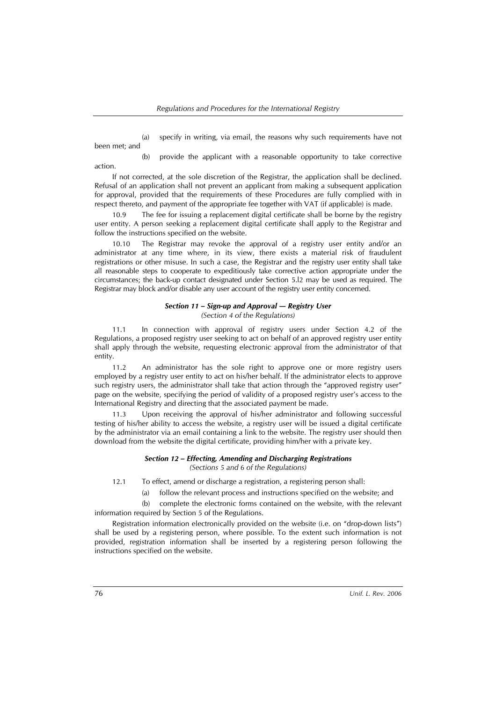(a) specify in writing, via email, the reasons why such requirements have not been met; and

 (b) provide the applicant with a reasonable opportunity to take corrective action.

If not corrected, at the sole discretion of the Registrar, the application shall be declined. Refusal of an application shall not prevent an applicant from making a subsequent application for approval, provided that the requirements of these Procedures are fully complied with in respect thereto, and payment of the appropriate fee together with VAT (if applicable) is made.

10.9 The fee for issuing a replacement digital certificate shall be borne by the registry user entity. A person seeking a replacement digital certificate shall apply to the Registrar and follow the instructions specified on the website.

10.10 The Registrar may revoke the approval of a registry user entity and/or an administrator at any time where, in its view, there exists a material risk of fraudulent registrations or other misuse. In such a case, the Registrar and the registry user entity shall take all reasonable steps to cooperate to expeditiously take corrective action appropriate under the circumstances; the back-up contact designated under Section 5.l2 may be used as required. The Registrar may block and/or disable any user account of the registry user entity concerned.

## *Section 11 – Sign-up and Approval — Registry User (Section 4 of the Regulations)*

11.1 In connection with approval of registry users under Section 4.2 of the Regulations, a proposed registry user seeking to act on behalf of an approved registry user entity shall apply through the website, requesting electronic approval from the administrator of that entity.

11.2 An administrator has the sole right to approve one or more registry users employed by a registry user entity to act on his/her behalf. If the administrator elects to approve such registry users, the administrator shall take that action through the "approved registry user" page on the website, specifying the period of validity of a proposed registry user's access to the International Registry and directing that the associated payment be made.

11.3 Upon receiving the approval of his/her administrator and following successful testing of his/her ability to access the website, a registry user will be issued a digital certificate by the administrator via an email containing a link to the website. The registry user should then download from the website the digital certificate, providing him/her with a private key.

#### *Section 12 – Effecting, Amending and Discharging Registrations (Sections 5 and 6 of the Regulations)*

12.1 To effect, amend or discharge a registration, a registering person shall:

(a) follow the relevant process and instructions specified on the website; and

 (b) complete the electronic forms contained on the website, with the relevant information required by Section 5 of the Regulations.

Registration information electronically provided on the website (i.e. on "drop-down lists") shall be used by a registering person, where possible. To the extent such information is not provided, registration information shall be inserted by a registering person following the instructions specified on the website.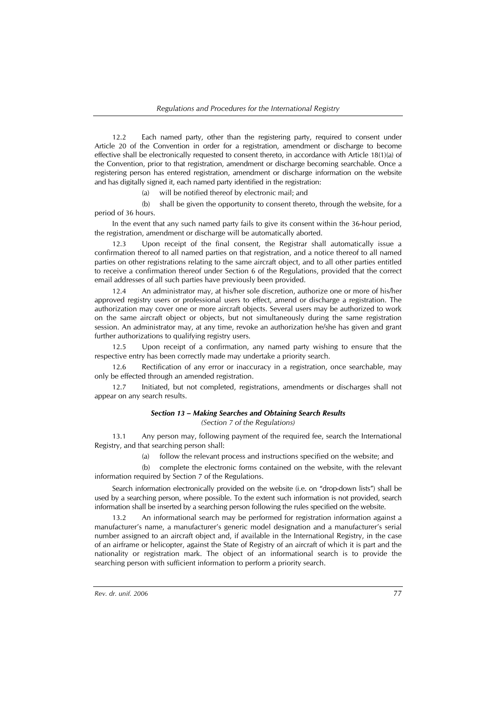12.2 Each named party, other than the registering party, required to consent under Article 20 of the Convention in order for a registration, amendment or discharge to become effective shall be electronically requested to consent thereto, in accordance with Article 18(1)(a) of the Convention, prior to that registration, amendment or discharge becoming searchable. Once a registering person has entered registration, amendment or discharge information on the website and has digitally signed it, each named party identified in the registration:

(a) will be notified thereof by electronic mail; and

 (b) shall be given the opportunity to consent thereto, through the website, for a period of 36 hours.

In the event that any such named party fails to give its consent within the 36-hour period, the registration, amendment or discharge will be automatically aborted.

12.3 Upon receipt of the final consent, the Registrar shall automatically issue a confirmation thereof to all named parties on that registration, and a notice thereof to all named parties on other registrations relating to the same aircraft object, and to all other parties entitled to receive a confirmation thereof under Section 6 of the Regulations, provided that the correct email addresses of all such parties have previously been provided.

12.4 An administrator may, at his/her sole discretion, authorize one or more of his/her approved registry users or professional users to effect, amend or discharge a registration. The authorization may cover one or more aircraft objects. Several users may be authorized to work on the same aircraft object or objects, but not simultaneously during the same registration session. An administrator may, at any time, revoke an authorization he/she has given and grant further authorizations to qualifying registry users.

12.5 Upon receipt of a confirmation, any named party wishing to ensure that the respective entry has been correctly made may undertake a priority search.

12.6 Rectification of any error or inaccuracy in a registration, once searchable, may only be effected through an amended registration.

12.7 Initiated, but not completed, registrations, amendments or discharges shall not appear on any search results.

## *Section 13 – Making Searches and Obtaining Search Results (Section 7 of the Regulations)*

13.1 Any person may, following payment of the required fee, search the International Registry, and that searching person shall:

(a) follow the relevant process and instructions specified on the website; and

 (b) complete the electronic forms contained on the website, with the relevant information required by Section 7 of the Regulations.

Search information electronically provided on the website (i.e. on "drop-down lists") shall be used by a searching person, where possible. To the extent such information is not provided, search information shall be inserted by a searching person following the rules specified on the website.

13.2 An informational search may be performed for registration information against a manufacturer's name, a manufacturer's generic model designation and a manufacturer's serial number assigned to an aircraft object and, if available in the International Registry, in the case of an airframe or helicopter, against the State of Registry of an aircraft of which it is part and the nationality or registration mark. The object of an informational search is to provide the searching person with sufficient information to perform a priority search.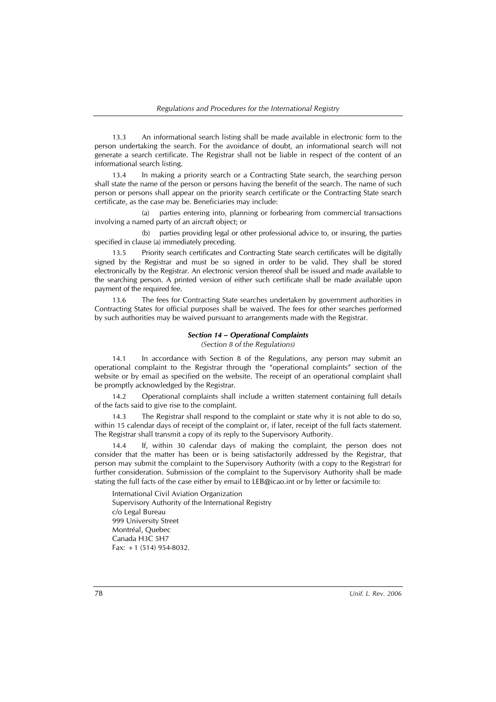13.3 An informational search listing shall be made available in electronic form to the person undertaking the search. For the avoidance of doubt, an informational search will not generate a search certificate. The Registrar shall not be liable in respect of the content of an informational search listing.

13.4 In making a priority search or a Contracting State search, the searching person shall state the name of the person or persons having the benefit of the search. The name of such person or persons shall appear on the priority search certificate or the Contracting State search certificate, as the case may be. Beneficiaries may include:

 (a) parties entering into, planning or forbearing from commercial transactions involving a named party of an aircraft object; or

 (b) parties providing legal or other professional advice to, or insuring, the parties specified in clause (a) immediately preceding.

13.5 Priority search certificates and Contracting State search certificates will be digitally signed by the Registrar and must be so signed in order to be valid. They shall be stored electronically by the Registrar. An electronic version thereof shall be issued and made available to the searching person. A printed version of either such certificate shall be made available upon payment of the required fee.

13.6 The fees for Contracting State searches undertaken by government authorities in Contracting States for official purposes shall be waived. The fees for other searches performed by such authorities may be waived pursuant to arrangements made with the Registrar.

## *Section 14 – Operational Complaints*

*(Section 8 of the Regulations)* 

14.1 In accordance with Section 8 of the Regulations, any person may submit an operational complaint to the Registrar through the "operational complaints" section of the website or by email as specified on the website. The receipt of an operational complaint shall be promptly acknowledged by the Registrar.

14.2 Operational complaints shall include a written statement containing full details of the facts said to give rise to the complaint.

14.3 The Registrar shall respond to the complaint or state why it is not able to do so, within 15 calendar days of receipt of the complaint or, if later, receipt of the full facts statement. The Registrar shall transmit a copy of its reply to the Supervisory Authority.

14.4 If, within 30 calendar days of making the complaint, the person does not consider that the matter has been or is being satisfactorily addressed by the Registrar, that person may submit the complaint to the Supervisory Authority (with a copy to the Registrar) for further consideration. Submission of the complaint to the Supervisory Authority shall be made stating the full facts of the case either by email to LEB@icao.int or by letter or facsimile to:

International Civil Aviation Organization Supervisory Authority of the International Registry c/o Legal Bureau 999 University Street Montréal, Quebec Canada H3C 5H7 Fax: +1 (514) 954-8032.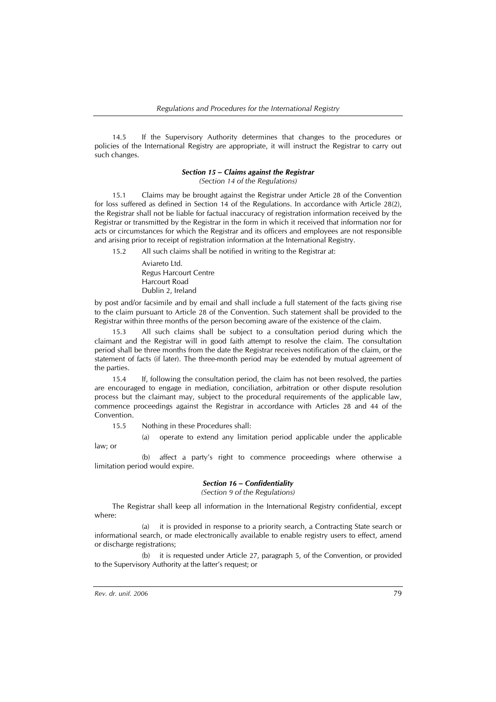14.5 If the Supervisory Authority determines that changes to the procedures or policies of the International Registry are appropriate, it will instruct the Registrar to carry out such changes.

> *Section 15 – Claims against the Registrar (Section 14 of the Regulations)*

15.1 Claims may be brought against the Registrar under Article 28 of the Convention for loss suffered as defined in Section 14 of the Regulations. In accordance with Article 28(2), the Registrar shall not be liable for factual inaccuracy of registration information received by the Registrar or transmitted by the Registrar in the form in which it received that information nor for acts or circumstances for which the Registrar and its officers and employees are not responsible and arising prior to receipt of registration information at the International Registry.

15.2 All such claims shall be notified in writing to the Registrar at:

 Aviareto Ltd. Regus Harcourt Centre Harcourt Road Dublin 2, Ireland

by post and/or facsimile and by email and shall include a full statement of the facts giving rise to the claim pursuant to Article 28 of the Convention. Such statement shall be provided to the Registrar within three months of the person becoming aware of the existence of the claim.

15.3 All such claims shall be subject to a consultation period during which the claimant and the Registrar will in good faith attempt to resolve the claim. The consultation period shall be three months from the date the Registrar receives notification of the claim, or the statement of facts (if later). The three-month period may be extended by mutual agreement of the parties.

15.4 If, following the consultation period, the claim has not been resolved, the parties are encouraged to engage in mediation, conciliation, arbitration or other dispute resolution process but the claimant may, subject to the procedural requirements of the applicable law, commence proceedings against the Registrar in accordance with Articles 28 and 44 of the Convention.

15.5 Nothing in these Procedures shall:

 (a) operate to extend any limitation period applicable under the applicable law; or

 (b) affect a party's right to commence proceedings where otherwise a limitation period would expire.

## *Section 16 – Confidentiality*

*(Section 9 of the Regulations)* 

The Registrar shall keep all information in the International Registry confidential, except where:

 (a) it is provided in response to a priority search, a Contracting State search or informational search, or made electronically available to enable registry users to effect, amend or discharge registrations;

 (b) it is requested under Article 27, paragraph 5, of the Convention, or provided to the Supervisory Authority at the latter's request; or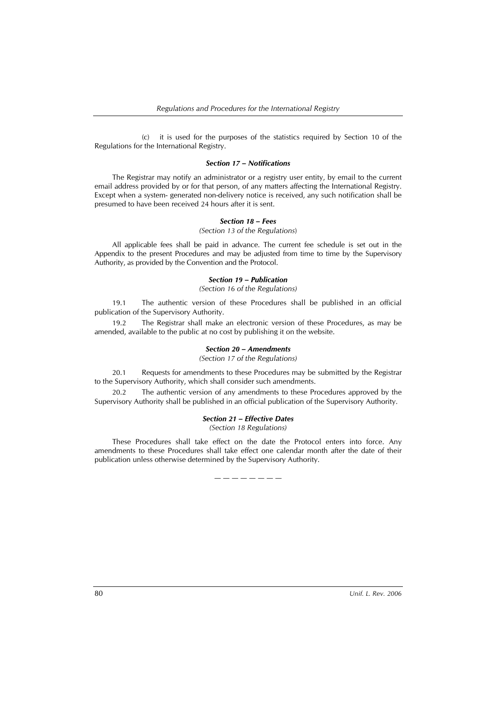(c) it is used for the purposes of the statistics required by Section 10 of the Regulations for the International Registry.

### *Section 17 – Notifications*

The Registrar may notify an administrator or a registry user entity, by email to the current email address provided by or for that person, of any matters affecting the International Registry. Except when a system- generated non-delivery notice is received, any such notification shall be presumed to have been received 24 hours after it is sent.

#### *Section 18 – Fees*

*(Section 13 of the Regulations*)

All applicable fees shall be paid in advance. The current fee schedule is set out in the Appendix to the present Procedures and may be adjusted from time to time by the Supervisory Authority, as provided by the Convention and the Protocol.

## *Section 19 – Publication*

*(Section 16 of the Regulations)* 

19.1 The authentic version of these Procedures shall be published in an official publication of the Supervisory Authority.

19.2 The Registrar shall make an electronic version of these Procedures, as may be amended, available to the public at no cost by publishing it on the website.

# *Section 20 – Amendments*

*(Section 17 of the Regulations)* 

20.1 Requests for amendments to these Procedures may be submitted by the Registrar to the Supervisory Authority, which shall consider such amendments.

20.2 The authentic version of any amendments to these Procedures approved by the Supervisory Authority shall be published in an official publication of the Supervisory Authority.

## *Section 21 – Effective Dates*

*(Section 18 Regulations)* 

These Procedures shall take effect on the date the Protocol enters into force. Any amendments to these Procedures shall take effect one calendar month after the date of their publication unless otherwise determined by the Supervisory Authority.

— — — — — — — —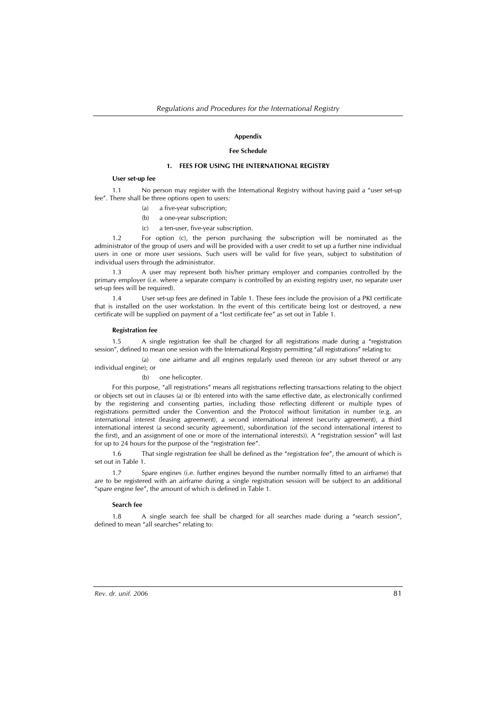## **Appendix**

## **Fee Schedule**

#### **1. FEES FOR USING THE INTERNATIONAL REGISTRY**

#### **User set-up fee**

1.1 No person may register with the International Registry without having paid a "user set-up fee". There shall be three options open to users:

- (a) a five-year subscription;
- (b) a one-year subscription;
- (c) a ten-user, five-year subscription.

1.2 For option (c), the person purchasing the subscription will be nominated as the administrator of the group of users and will be provided with a user credit to set up a further nine individual users in one or more user sessions. Such users will be valid for five years, subject to substitution of individual users through the administrator.

1.3 A user may represent both his/her primary employer and companies controlled by the primary employer (i.e. where a separate company is controlled by an existing registry user, no separate user set-up fees will be required).

1.4 User set-up fees are defined in Table 1. These fees include the provision of a PKI certificate that is installed on the user workstation. In the event of this certificate being lost or destroyed, a new certificate will be supplied on payment of a "lost certificate fee" as set out in Table 1.

#### **Registration fee**

1.5 A single registration fee shall be charged for all registrations made during a "registration session", defined to mean one session with the International Registry permitting "all registrations" relating to:

 (a) one airframe and all engines regularly used thereon (or any subset thereof or any individual engine); or

(b) one helicopter.

For this purpose, "all registrations" means all registrations reflecting transactions relating to the object or objects set out in clauses (a) or (b) entered into with the same effective date, as electronically confirmed by the registering and consenting parties, including those reflecting different or multiple types of registrations permitted under the Convention and the Protocol without limitation in number (e.g. an international interest (leasing agreement), a second international interest (security agreement), a third international interest (a second security agreement), subordination (of the second international interest to the first), and an assignment of one or more of the international interests)). A "registration session" will last for up to 24 hours for the purpose of the "registration fee".

1.6 That single registration fee shall be defined as the "registration fee", the amount of which is set out in Table 1.

1.7 Spare engines (i.e. further engines beyond the number normally fitted to an airframe) that are to be registered with an airframe during a single registration session will be subject to an additional "spare engine fee", the amount of which is defined in Table 1.

### **Search fee**

1.8 A single search fee shall be charged for all searches made during a "search session", defined to mean "all searches" relating to: